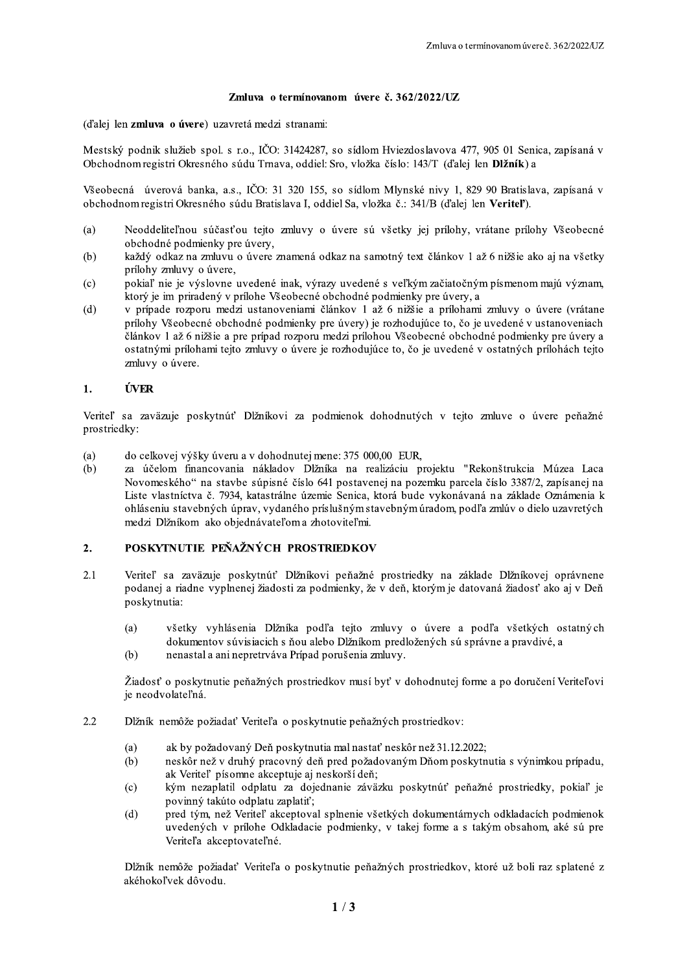## Zmluva o termínovanom úvere č. 362/2022/UZ

(d'alei len zmluva o úvere) uzavretá medzi stranami:

Mestský podnik služieb spol. s r.o., IČO: 31424287, so sídlom Hviezdoslavova 477, 905 01 Senica, zapísaná v Obchodnom registri Okresného súdu Trnava, oddiel: Sro, vložka číslo: 143/T (ďalej len Dlžník) a

Všeobecná úverová banka, a.s., IČO: 31 320 155, so sídlom Mlynské nivy 1, 829 90 Bratislava, zapísaná v obchodnom registri Okresného súdu Bratislava I, oddiel Sa, vložka č.: 341/B (ďalej len Veritel').

- Neoddeliteľnou súčasťou tejto zmluvy o úvere sú všetky jej prílohy, vrátane prílohy Všeobecné  $(a)$ obchodné podmienky pre úvery,
- každý odkaz na zmluvu o úvere znamená odkaz na samotný text článkov 1 až 6 nižšie ako aj na všetky  $(b)$ prílohy zmluvy o úvere,
- pokiaľ nie je výslovne uvedené inak, výrazy uvedené s veľkým začiatočným písmenom majú význam,  $(c)$ ktorý je im priradený v prílohe Všeobecné obchodné podmienky pre úvery, a
- $(d)$ v prípade rozporu medzi ustanoveniami článkov 1 až 6 nižšie a prílohami zmluvy o úvere (vrátane prílohy Všeobecné obchodné podmienky pre úvery) je rozhodujúce to, čo je uvedené v ustanoveniach článkov 1 až 6 nižšie a pre prípad rozporu medzi prílohou Všeobecné obchodné podmienky pre úvery a ostatnými prílohami tejto zmluvy o úvere je rozhodujúce to, čo je uvedené v ostatných prílohách tejto zmluvy o úvere.

#### $\mathbf{1}$ . **ÚVER**

Veriteľ sa zaväzuje poskytnúť Dĺžníkovi za podmienok dohodnutých v tejto zmluve o úvere peňažné prostriedky:

- do celkovej výšky úveru a v dohodnutej mene: 375 000,00 EUR,  $(a)$
- za účelom financovania nákladov Dĺžníka na realizáciu projektu "Rekonštrukcia Múzea Laca  $(b)$ Novomeského" na stavbe súpisné číslo 641 postavenej na pozemku parcela číslo 3387/2, zapísanej na Liste vlastníctva č. 7934, katastrálne územie Senica, ktorá bude vykonávaná na základe Oznámenia k ohláseniu stavebných úprav, vydaného príslušným stavebným úradom, podľa zmlúv o dielo uzavretých medzi Dlžníkom ako objednávateľom a zhotoviteľmi.

#### POSKYTNUTIE PEŇAŽNÝCH PROSTRIEDKOV  $2.$

- $2.1$ Veriteľ sa zaväzuje poskytnúť Dĺžníkovi peňažné prostriedky na základe Dĺžníkovej oprávnene podanej a riadne vyplnenej žiadosti za podmienky, že v deň, ktorým je datovaná žiadosť ako aj v Deň poskytnutia:
	- všetky vyhlásenia Dĺžníka podľa tejto zmluvy o úvere a podľa všetkých ostatných  $(a)$ dokumentov súvisiacich s ňou alebo Dĺžníkom predložených sú správne a pravdivé, a
	- $(b)$ nenastal a ani nepretrváva Prípad porušenia zmluvy.

Žiadosť o poskytnutie peňažných prostriedkov musí byť v dohodnutej forme a po doručení Veriteľovi je neodvolateľná.

- 2.2 Dĺžník nemôže požiadať Veriteľa o poskytnutie peňažných prostriedkov:
	- $(a)$ ak by požadovaný Deň poskytnutia mal nastať neskôr než 31.12.2022;
	- $(b)$ neskôr než v druhý pracovný deň pred požadovaným Dňom poskytnutia s výnimkou prípadu, ak Veriteľ písomne akceptuje aj neskorší deň;
	- $(c)$ kým nezaplatil odplatu za dojednanie záväzku poskytnúť peňažné prostriedky, pokiaľ je povinný takúto odplatu zaplatiť;
	- $(d)$ pred tým, než Veriteľ akceptoval splnenie všetkých dokumentárnych odkladacích podmienok uvedených v prílohe Odkladacie podmienky, v takej forme a s takým obsahom, aké sú pre Veriteľa akceptovateľné.

Dĺžník nemôže požiadať Veriteľa o poskytnutie peňažných prostriedkov, ktoré už boli raz splatené z akéhokoľvek dôvodu.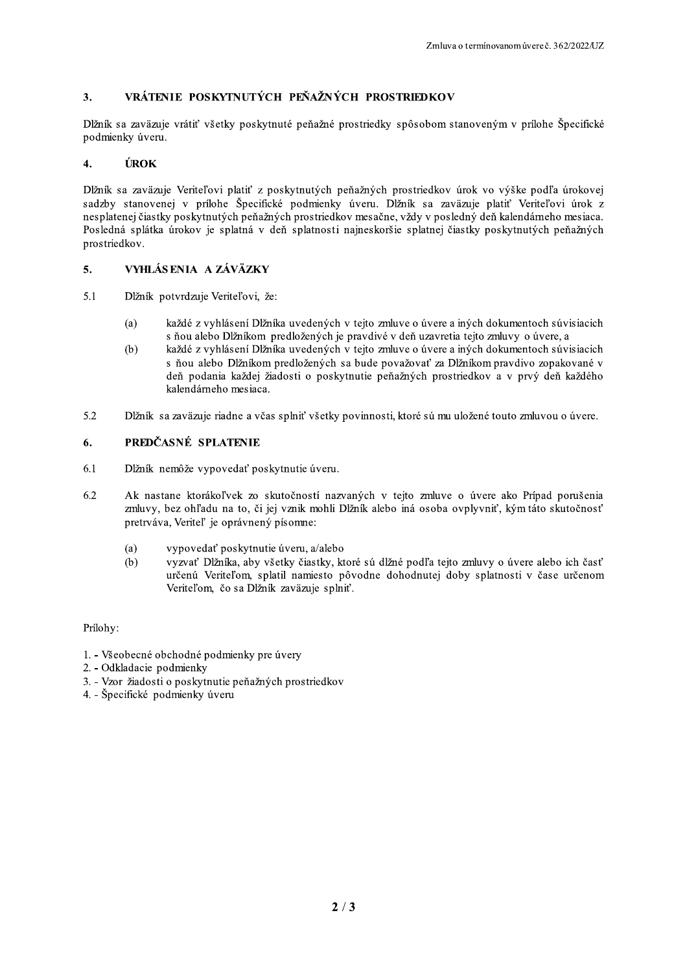#### VRÁTENIE POSKYTNUTÝCH PEŇAŽNÝCH PROSTRIEDKOV  $3.$

Dĺžník sa zaväzuje vrátiť všetky poskytnuté peňažné prostriedky spôsobom stanoveným v prílohe Špecifické podmienky úveru.

#### ÚROK  $\overline{4}$ .

Dĺžník sa zaväzuje Veriteľovi platiť z poskytnutých peňažných prostriedkov úrok vo výške podľa úrokovej sadzby stanovenej v prílohe Špecifické podmienky úveru. Dĺžník sa zaväzuje platiť Veriteľovi úrok z nesplatenej čiastky poskytnutých peňažných prostriedkov mesačne, vždy v posledný deň kalendárneho mesiaca. Posledná splátka úrokov je splatná v deň splatnosti najneskoršie splatnej čiastky poskytnutých peňažných prostriedkov.

#### VYHLÁS ENIA A ZÁVÄZKY 5.

- $5.1$ Dlžník potvrdzuje Veriteľovi, že:
	- každé z vyhlásení Dlžníka uvedených v tejto zmluve o úvere a iných dokumentoch súvisiacich  $(a)$ s ňou alebo Dlžníkom predložených je pravdivé v deň uzavretia tejto zmluvy o úvere, a
	- každé z vyhlásení Dlžníka uvedených v tejto zmluve o úvere a iných dokumentoch súvisiacich  $(b)$ s ňou alebo Dĺžníkom predložených sa bude považovať za Dĺžníkom pravdivo zopakované v deň podania každej žiadosti o poskytnutie peňažných prostriedkov a v prvý deň každého kalendárneho mesiaca.
- $5.2$ Dĺžník sa zaväzuje riadne a včas splniť všetky povinnosti, ktoré sú mu uložené touto zmluvou o úvere.

#### PREDČASNÉ SPLATENIE 6.

- 6.1 Dĺžník nemôže vypovedať poskytnutie úveru.
- Ak nastane ktorákoľvek zo skutočností nazvaných v tejto zmluve o úvere ako Prípad porušenia 6.2 zmluvy, bez ohľadu na to, či jej vznik mohli Dĺžník alebo iná osoba ovplyvniť, kým táto skutočnosť pretrváva, Veriteľ je oprávnený písomne:
	- $(a)$ vypovedať poskytnutie úveru, a/alebo
	- $(b)$ vyzvať Dlžníka, aby všetky čiastky, ktoré sú dlžné podľa tejto zmluvy o úvere alebo ich časť určenú Veriteľom, splatil namiesto pôvodne dohodnutej doby splatnosti v čase určenom Veriteľom, čo sa Dĺžník zaväzuje splniť.

Prílohy:

- 1. Všeobecné obchodné podmienky pre úvery
- 2. Odkladacie podmienky
- 3. Vzor žiadosti o poskytnutie peňažných prostriedkov
- 4. Špecifické podmienky úveru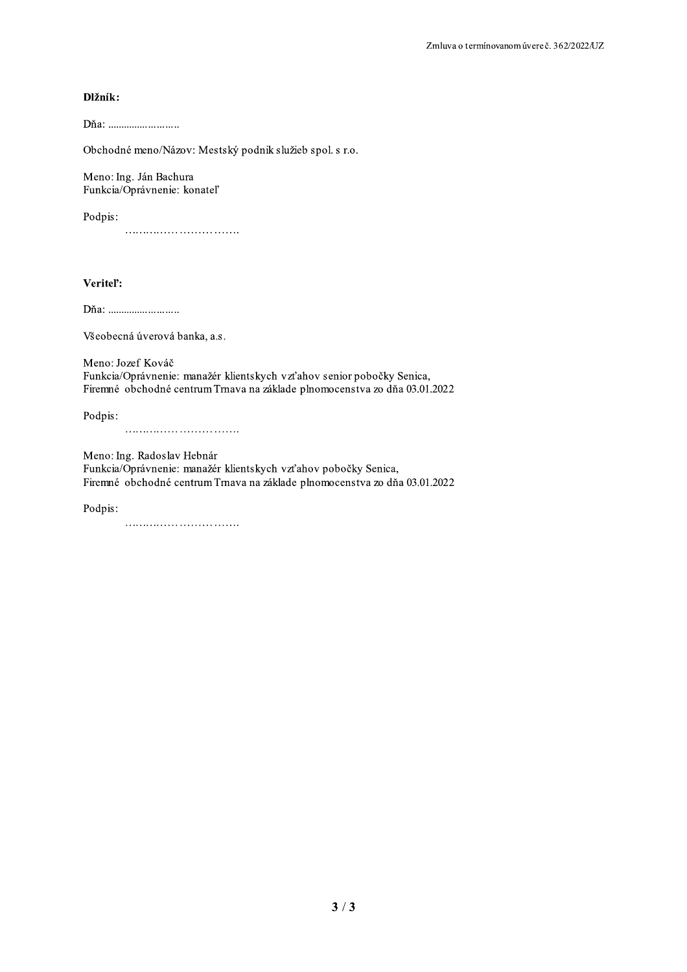## Dlžník:

Dňa: ............................

Obchodné meno/Názov: Mestský podnik služieb spol. s r.o.

Meno: Ing. Ján Bachura Funkcia/Oprávnenie: konateľ

Podpis:

## Veritel':

Všeobecná úverová banka, a.s.

Meno: Jozef Kováč Funkcia/Oprávnenie: manažér klientskych vzťahov senior pobočky Senica, Firemné obchodné centrum Trnava na základe plnomocenstva zo dňa 03.01.2022

Podpis: 

Meno: Ing. Radoslav Hebnár Funkcia/Oprávnenie: manažér klientskych vzťahov pobočky Senica, Firemné obchodné centrum Trnava na základe plnomocenstva zo dňa 03.01.2022

Podpis: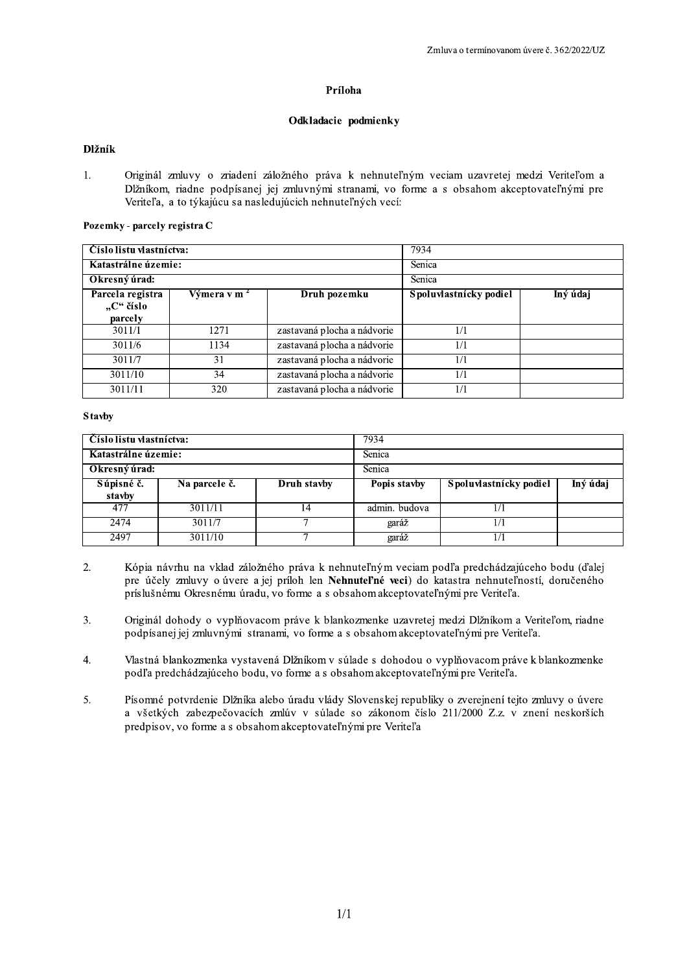## Príloha

## Odkladacie podmienky

## Dlžník

Zmluva o term<br> **Príloha**<br> **Príloha**<br> **Dlžník**<br>
1. Originál zmluvy o zriadení záložného práva k nehnuteľným veciam uza<br>
Dlžníkom, riadne podpísanej jej zmluvnými stranami, vo forme a s obsaho<br>
Veriteľa, a to týkajúcu sa nas 1. Original zmluvy o znadení zalozného prava k nehnuteľnym veciam uzavretej medzi Veriteľom a Diznikom, nadne podpisanej jej zmluvnymi stranami, vo torme a s obsahom akceptovateľnymi pre Veritel'a, a to tykajúcu sa nasledujúcich nehnuteľných vecí:

## Pozemky - parcely registra C

| <b>Dlžník</b>                 |                         |                                                                                                                                                                                                                                                             |                        |          |
|-------------------------------|-------------------------|-------------------------------------------------------------------------------------------------------------------------------------------------------------------------------------------------------------------------------------------------------------|------------------------|----------|
| $1_{\cdot}$                   |                         | Originál zmluvy o zriadení záložného práva k nehnuteľným veciam uzavretej medzi Veriteľom a<br>Dĺžníkom, riadne podpísanej jej zmluvnými stranami, vo forme a s obsahom akceptovateľnými pre<br>Veriteľa, a to týkajúcu sa nasledujúcich nehnuteľných vecí: |                        |          |
| Pozemky - parcely registra C  |                         |                                                                                                                                                                                                                                                             |                        |          |
| Císlo listu vlastníctva:      |                         |                                                                                                                                                                                                                                                             | 7934                   |          |
| Katastrálne územie:           |                         |                                                                                                                                                                                                                                                             | Senica                 |          |
| Okresný úrad:                 |                         |                                                                                                                                                                                                                                                             | Senica                 |          |
| Parcela registra<br>"C" číslo | Výmera v m <sup>2</sup> | Druh pozemku                                                                                                                                                                                                                                                | Spoluvlastnícky podiel | Iný údaj |
| parcely                       |                         |                                                                                                                                                                                                                                                             |                        |          |
| 3011/1                        | 1271                    | zastavaná plocha a nádvorie                                                                                                                                                                                                                                 | 1/1                    |          |
| 3011/6                        | 1134                    | zastavaná plocha a nádvorie                                                                                                                                                                                                                                 | 1/1                    |          |
| 3011/7                        | 31                      | zastavaná plocha a nádvorie                                                                                                                                                                                                                                 | 1/1                    |          |
| 3011/10                       | 34                      | zastavaná plocha a nádvorie                                                                                                                                                                                                                                 | 1/1                    |          |

## S tavby

| Císlo listu vlastníctva:             |         |    | 7934             |     |  |  |
|--------------------------------------|---------|----|------------------|-----|--|--|
| Katastrálne územie:<br>Okresný úrad: |         |    | Senica<br>Senica |     |  |  |
|                                      |         |    |                  |     |  |  |
| 477                                  | 3011/11 | 14 | admin. budova    | 1/1 |  |  |
| 2474                                 | 3011/7  |    | garáž            | 1/1 |  |  |
| 2497                                 | 3011/10 |    | garáž            | 1/1 |  |  |

- $\overline{2}$ . 2. Kopia navrhu na vklad založného prava k nehnuteľnym veciam podľa predchadzajuceho bodu (ďalej pre učely zmluvy o uvere a jej priloh len **Nehnutel'ne veci**) do katastra nehnuteľnosti, doručeného prislusnemu Okresnemu uradu, vo torme a s obsahom akceptovateľnymi pre Veriteľa.
- 3. Original dohody o vyplnovacom prave k blankozmenke uzavretej medzi Dlžnikom a Veriteľom, riadne podpisanej jej zmluvnými stranami, vo torme a s obsahom akceptovateľnými pre Veriteľa.
- 4. Vlastna blankozmenka vystavena Dižnikom v súlade s dohodou o vyplňovacom prave k blankozmenke podľa predchadzajuceho bodu, vo forme a s obsahom akceptovateľnymi pre Veriteľa.
- 5. Pisomne potvrđenie Dižnika alebo uradu vlady Slovenskej republiky o zverejneni tejto zmluvy o uvere a vsetkych zabezpecovacich zmluv v sulade so zakonom cislo  $211/2000$  Z.z. v zneni neskorsich predpisov, vo forme a s obsahom akceptovateľnymi pre Veriteľa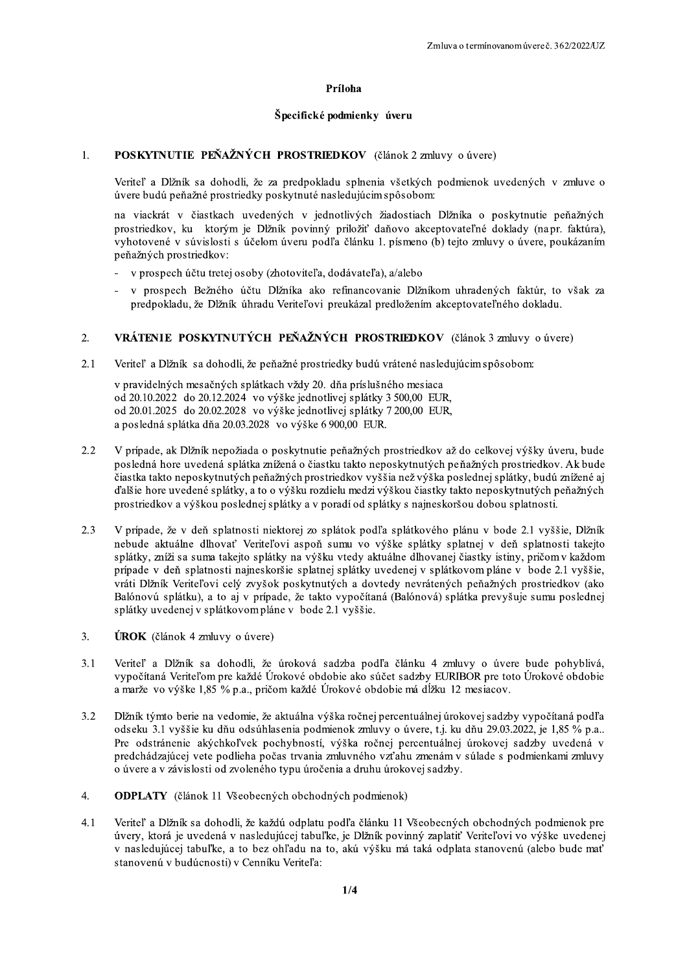## Príloha

## Špecifické podmienky úveru

#### POSKYTNUTIE PEŇAŽNÝCH PROSTRIEDKOV (článok 2 zmluvy o úvere)  $1.$

Veriteľ a Dĺžník sa dohodli, že za predpokladu splnenia všetkých podmienok uvedených v zmluve o úvere budú peňažné prostriedky poskytnuté nasledujúcim spôsobom:

na viackrát v čiastkach uvedených v jednotlivých žiadostiach Dlžníka o poskytnutie peňažných prostriedkov, ku ktorým je Dĺžník povinný priložiť daňovo akceptovateľné doklady (napr. faktúra), vyhotovené v súvislosti s účelom úveru podľa článku 1. písmeno (b) tejto zmluvy o úvere, poukázaním peňažných prostriedkov:

- v prospech účtu tretej osoby (zhotoviteľa, dodávateľa), a/alebo
- v prospech Bežného účtu Dĺžníka ako refinancovanie Dĺžníkom uhradených faktúr, to však za predpokladu, že Dĺžník úhradu Veriteľovi preukázal predložením akceptovateľného dokladu.

#### $\overline{2}$ . VRÁTENIE POSKYTNUTÝCH PEŇAŽNÝCH PROSTRIEDKOV (článok 3 zmluvy o úvere)

 $2.1$ Veriteľ a Dĺžník sa dohodli, že peňažné prostriedky budú vrátené nasledujúcim spôsobom:

v pravidelných mesačných splátkach vždy 20. dňa príslušného mesiaca od 20.10.2022 do 20.12.2024 vo výške jednotlivej splátky 3 500,00 EUR, od 20.01.2025 do 20.02.2028 vo výške jednotlivej splátky 7 200,00 EUR, a posledná splátka dňa 20.03.2028 vo výške 6 900.00 EUR.

- $2.2$ V prípade, ak Dĺžník nepožiada o poskytnutie peňažných prostriedkov až do celkovej výšky úveru, bude posledná hore uvedená splátka znížená o čiastku takto neposkytnutých peňažných prostriedkov. Ak bude čiastka takto neposkytnutých peňažných prostriedkov vyššia než výška poslednej splátky, budú znížené aj ďalšie hore uvedené splátky, a to o výšku rozdielu medzi výškou čiastky takto neposkytnutých peňažných prostriedkov a výškou poslednej splátky a v poradí od splátky s najneskoršou dobou splatnosti.
- $2.3$ V prípade, že v deň splatnosti niektorej zo splátok podľa splátkového plánu v bode 2.1 vyššie, Dlžník nebude aktuálne dlhovať Veriteľovi aspoň sumu vo výške splátky splatnej v deň splatnosti takejto splátky, zníži sa suma takejto splátky na výšku vtedy aktuálne dlhovanej čiastky istiny, pričom v každom prípade v deň splatnosti najneskoršie splatnej splátky uvedenej v splátkovom pláne v bode 2.1 vyššie, vráti Dĺžník Veriteľovi celý zvyšok poskytnutých a dovtedy nevrátených peňažných prostriedkov (ako Balónovú splátku), a to aj v prípade, že takto vypočítaná (Balónová) splátka prevyšuje sumu poslednej splátky uvedenej v splátkovom pláne v bode 2.1 vyššie.
- 3. **ÚROK** (článok 4 zmluvy o úvere)
- $3.1$ Veriteľ a Dĺžník sa dohodli, že úroková sadzba podľa článku 4 zmluvy o úvere bude pohyblivá, vypočítaná Veriteľom pre každé Úrokové obdobie ako súčet sadzby EURIBOR pre toto Úrokové obdobie a marže vo výške 1,85 % p.a., pričom každé Úrokové obdobie má dĺžku 12 mesiacov.
- $3.2$ Dĺžník týmto berie na vedomie, že aktuálna výška ročnej percentuálnej úrokovej sadzby vypočítaná podľa odseku 3.1 vyššie ku dňu odsúhlasenia podmienok zmluvy o úvere, t.j. ku dňu 29.03.2022, je 1,85 % p.a.. Pre odstránenie akýchkoľvek pochybností, výška ročnej percentuálnej úrokovej sadzby uvedená v predchádzajúcej vete podlieha počas trvania zmluvného vzťahu zmenám v súlade s podmienkami zmluvy o úvere a v závislosti od zvoleného typu úročenia a druhu úrokovej sadzby.
- 4. **ODPLATY** (článok 11 Všeobecných obchodných podmienok)
- Veriteľ a Dĺžník sa dohodli, že každú odplatu podľa článku 11 Všeobecných obchodných podmienok pre 4.1 úvery, ktorá je uvedená v nasledujúcej tabuľke, je Dĺžník povinný zaplatiť Veriteľovi vo výške uvedenej v nasledujúcej tabuľke, a to bez ohľadu na to, akú výšku má taká odplata stanovenú (alebo bude mať stanovenú v budúcnosti) v Cenníku Veriteľa: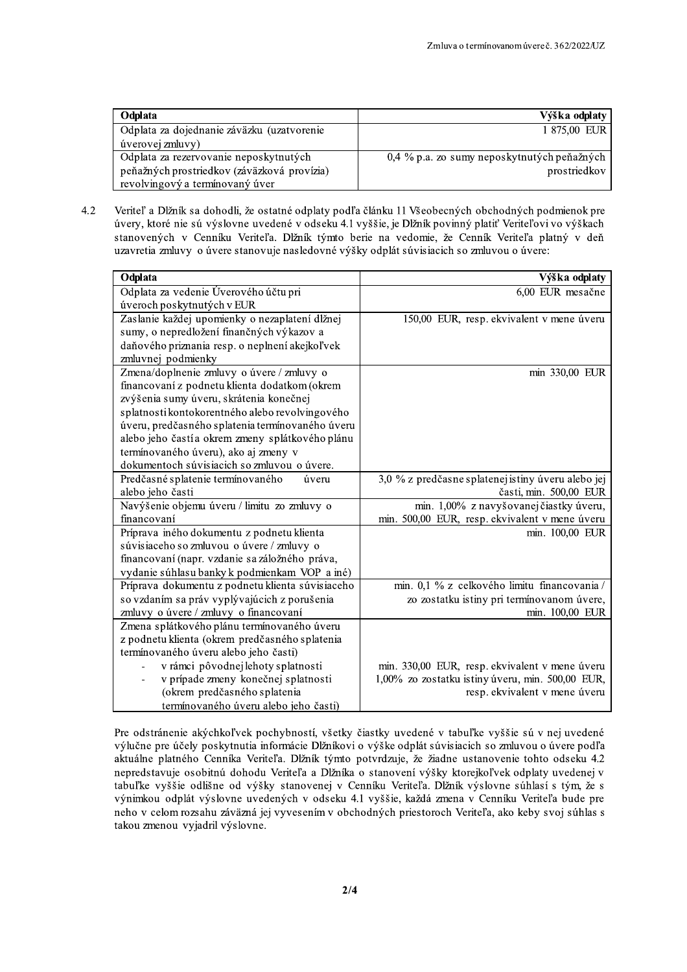| Odplata                                     | Výška odplaty                               |
|---------------------------------------------|---------------------------------------------|
| Odplata za dojednanie záväzku (uzatvorenie  | 1 875,00 EUR                                |
| úverovej zmluvy)                            |                                             |
| Odplata za rezervovanie neposkytnutých      | 0,4 % p.a. zo sumy neposkytnutých peňažných |
| peňažných prostriedkov (záväzková provízia) | prostriedkov                                |
| revolvingový a termínovaný úver             |                                             |

Veriteľ a Dĺžník sa dohodli, že ostatné odplaty podľa článku 11 Všeobecných obchodných podmienok pre  $4.2$ úvery, ktoré nie sú výslovne uvedené v odseku 4.1 vyššie, je Dĺžník povinný platiť Veriteľovi vo výškach stanovených v Cenníku Veriteľa. Dĺžník týmto berie na vedomie, že Cenník Veriteľa platný v deň uzavretia zmluvy o úvere stanovuje nasledovné výšky odplát súvisiacich so zmluvou o úvere:

| Odplata                                          | Výška odplaty                                      |
|--------------------------------------------------|----------------------------------------------------|
| Odplata za vedenie Úverového účtu pri            | 6,00 EUR mesačne                                   |
| úveroch poskytnutých v EUR                       |                                                    |
| Zaslanie každej upomienky o nezaplatení dlžnej   | 150,00 EUR, resp. ekvivalent v mene úveru          |
| sumy, o nepredložení finančných výkazov a        |                                                    |
| daňového priznania resp. o neplnení akejkoľvek   |                                                    |
| zmluvnej podmienky                               |                                                    |
| Zmena/doplnenie zmluvy o úvere / zmluvy o        | min 330,00 EUR                                     |
| financovaní z podnetu klienta dodatkom (okrem    |                                                    |
| zvýšenia sumy úveru, skrátenia konečnej          |                                                    |
| splatnosti kontokorentného alebo revolvingového  |                                                    |
| úveru, predčasného splatenia termínovaného úveru |                                                    |
| alebo jeho častí a okrem zmeny splátkového plánu |                                                    |
| termínovaného úveru), ako aj zmeny v             |                                                    |
| dokumentoch súvisiacich so zmluvou o úvere.      |                                                    |
| Predčasné splatenie termínovaného<br>úveru       | 3,0 % z predčasne splatenej istiny úveru alebo jej |
| alebo jeho časti                                 | časti, min. 500,00 EUR                             |
| Navýšenie objemu úveru / limitu zo zmluvy o      | min. 1,00% z navyšovanej čiastky úveru,            |
| financovaní                                      | min. 500,00 EUR, resp. ekvivalent v mene úveru     |
| Príprava iného dokumentu z podnetu klienta       | min. 100,00 EUR                                    |
| súvisiaceho so zmluvou o úvere / zmluvy o        |                                                    |
| financovaní (napr. vzdanie sa záložného práva,   |                                                    |
| vydanie súhlasu banky k podmienkam VOP a iné)    |                                                    |
| Príprava dokumentu z podnetu klienta súvisiaceho | min. 0,1 % z celkového limitu financovania /       |
| so vzdaním sa práv vyplývajúcich z porušenia     | zo zostatku istiny pri termínovanom úvere,         |
| zmluvy o úvere / zmluvy o financovaní            | min. 100,00 EUR                                    |
| Zmena splátkového plánu termínovaného úveru      |                                                    |
| z podnetu klienta (okrem predčasného splatenia   |                                                    |
| termínovaného úveru alebo jeho časti)            |                                                    |
| v rámci pôvodnej lehoty splatnosti               | min. 330,00 EUR, resp. ekvivalent v mene úveru     |
| v prípade zmeny konečnej splatnosti              | 1,00% zo zostatku istiny úveru, min. 500,00 EUR,   |
| (okrem predčasného splatenia                     | resp. ekvivalent v mene úveru                      |
| termínovaného úveru alebo jeho časti)            |                                                    |

Pre odstránenie akýchkoľvek pochybností, všetky čiastky uvedené v tabuľke vyššie sú v nej uvedené výlučne pre účely poskytnutia informácie Dĺžníkovi o výške odplát súvisiacich so zmluvou o úvere podľa aktuálne platného Cenníka Veriteľa. Dlžník týmto potvrdzuje, že žiadne ustanovenie tohto odseku 4.2 nepredstavuje osobitnú dohodu Veriteľa a Dĺžníka o stanovení výšky ktorejkoľvek odplaty uvedenej v tabuľke vyššie odlišne od výšky stanovenej v Cenníku Veriteľa. Dĺžník výslovne súhlasí s tým, že s výnimkou odplát výslovne uvedených v odseku 4.1 vyššie, každá zmena v Cenníku Veriteľa bude pre neho v celom rozsahu záväzná jej vyvesením v obchodných priestoroch Veriteľa, ako keby svoj súhlas s takou zmenou vyjadril výslovne.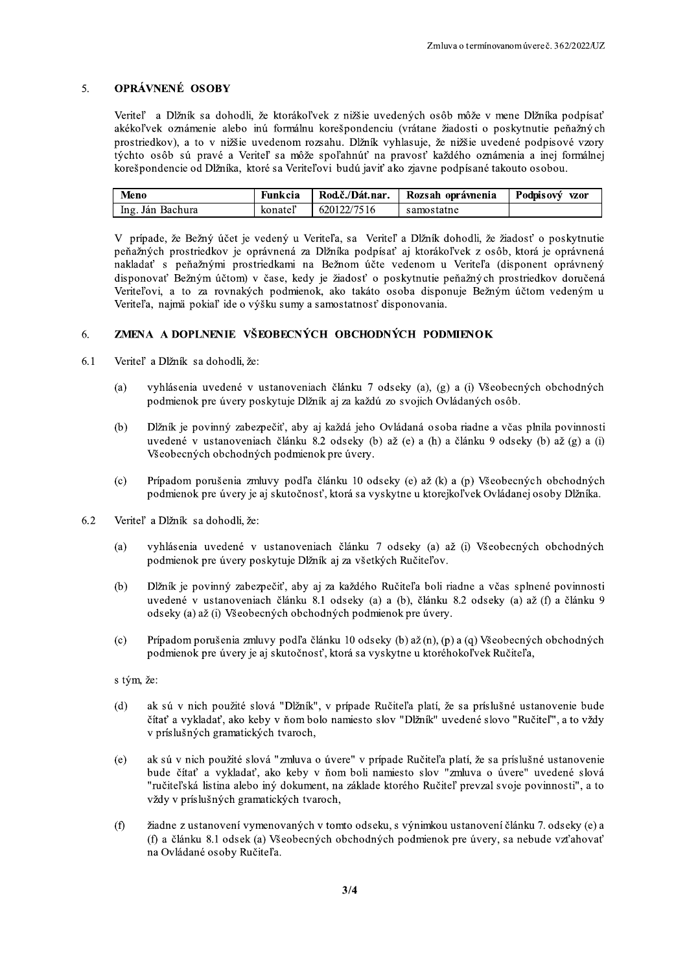#### **OPRÁVNENÉ OSOBY**  $\overline{5}$ .

Veriteľ a Dĺžník sa dohodli, že ktorákoľvek z nižšie uvedených osôb môže v mene Dĺžníka podpísať akékoľvek oznámenie alebo inú formálnu korešpondenciu (vrátane žiadosti o poskytnutie peňažných prostriedkov), a to v nižšie uvedenom rozsahu. Dlžník vyhlasuje, že nižšie uvedené podpisové vzory týchto osôb sú pravé a Veriteľ sa môže spoľahnúť na pravosť každého oznámenia a inej formálnej korešpondencie od Dĺžníka, ktoré sa Veriteľovi budú javiť ako zjavne podpísané takouto osobou.

| Meno             | Funkcia | Rod.č./Dát.nar. | Rozsah oprávnenia | Podpisový vzor |
|------------------|---------|-----------------|-------------------|----------------|
| Ing. Ján Bachura | konateľ | 620122/7516     | samostatne        |                |

V prípade, že Bežný účet je vedený u Veriteľa, sa Veriteľ a Dĺžník dohodli, že žiadosť o poskytnutie peňažných prostriedkov je oprávnená za Dĺžníka podpísať aj ktorákoľvek z osôb, ktorá je oprávnená nakladať s peňažnými prostriedkami na Bežnom účte vedenom u Veriteľa (disponent oprávnený disponovať Bežným účtom) v čase, kedy je žiadosť o poskytnutie peňažných prostriedkov doručená Veriteľovi, a to za rovnakých podmienok, ako takáto osoba disponuje Bežným účtom vedeným u Veriteľa, najmä pokiaľ ide o výšku sumy a samostatnosť disponovania.

#### ZMENA A DOPLNENIE VŠEOBECNÝCH OBCHODNÝCH PODMIENOK 6.

- 6.1 Veriteľ a Dĺžník sa dohodli, že:
	- vyhlásenia uvedené v ustanoveniach článku 7 odseky (a), (g) a (i) Všeobecných obchodných  $(a)$ podmienok pre úvery poskytuje Dĺžník aj za každú zo svojich Ovládaných osôb.
	- $(b)$ Dĺžník je povinný zabezpečiť, aby aj každá jeho Ovládaná osoba riadne a včas plnila povinnosti uvedené v ustanoveniach článku 8.2 odseky (b) až (e) a (h) a článku 9 odseky (b) až (g) a (i) Všeobecných obchodných podmienok pre úvery.
	- Prípadom porušenia zmluvy podľa článku 10 odseky (e) až (k) a (p) Všeobecných obchodných  $(c)$ podmienok pre úvery je aj skutočnosť, ktorá sa vyskytne u ktorejkoľvek Ovládanej osoby Dĺžníka.
- 6.2 Veriteľ a Dĺžník sa dohodli, že:
	- vyhlásenia uvedené v ustanoveniach článku 7 odseky (a) až (i) Všeobecných obchodných  $(a)$ podmienok pre úvery poskytuje Dĺžník aj za všetkých Ručiteľov.
	- $(b)$ Dĺžník je povinný zabezpečiť, aby aj za každého Ručiteľa boli riadne a včas splnené povinnosti uvedené v ustanoveniach článku 8.1 odseky (a) a (b), článku 8.2 odseky (a) až (f) a článku 9 odseky (a) až (i) Všeobecných obchodných podmienok pre úvery.
	- Prípadom porušenia zmluvy podľa článku 10 odseky (b) až (n), (p) a (q) Všeobecných obchodných  $(c)$ podmienok pre úvery je aj skutočnosť, ktorá sa vyskytne u ktoréhokoľvek Ručiteľa,

### s tým, že:

- ak sú v nich použité slová "Dĺžník", v prípade Ručiteľa platí, že sa príslušné ustanovenie bude  $(d)$ čítať a vykladať, ako keby v ňom bolo namiesto slov "Dĺžník" uvedené slovo "Ručiteľ", a to vždy v príslušných gramatických tvaroch,
- ak sú v nich použité slová "zmluva o úvere" v prípade Ručiteľa platí, že sa príslušné ustanovenie  $(e)$ bude čítať a vykladať, ako keby v ňom boli namiesto slov "zmluva o úvere" uvedené slová "ručiteľská listina alebo iný dokument, na základe ktorého Ručiteľ prevzal svoje povinnosti", a to vždy v príslušných gramatických tvaroch,
- žiadne z ustanovení vymenovaných v tomto odseku, s výnimkou ustanovení článku 7. odseky (e) a  $(f)$ (f) a článku 8.1 odsek (a) Všeobecných obchodných podmienok pre úvery, sa nebude vzťahovať na Ovládané osoby Ručiteľa.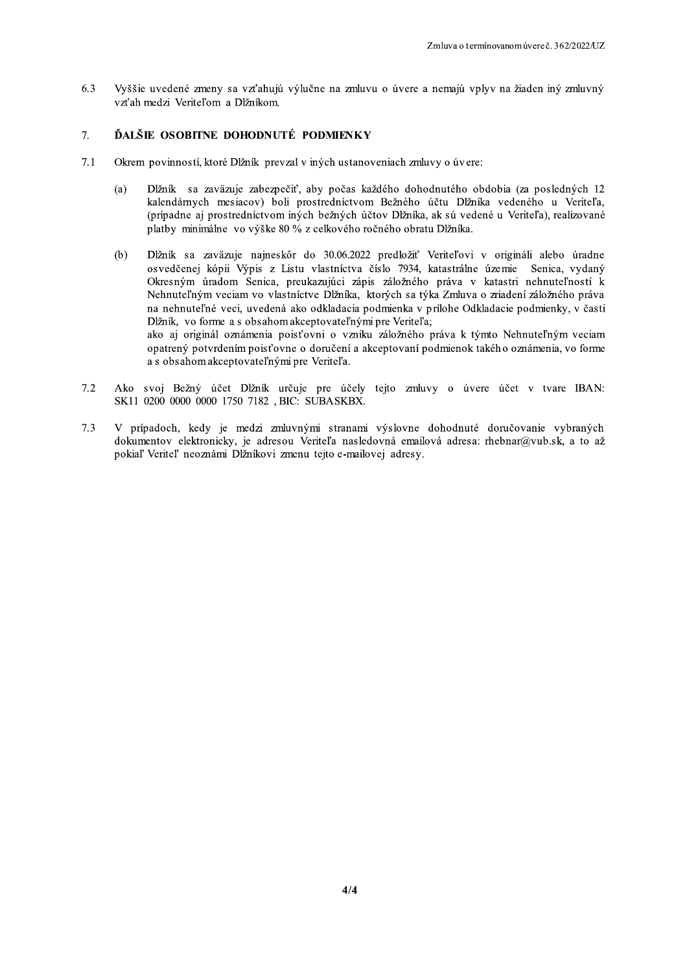6.3 Vyššie uvedené zmeny sa vzťahujú výlučne na zmluvu o úvere a nemajú vplyv na žiaden iný zmluvný vzťah medzi Veriteľom a Dĺžníkom.

#### $7.$ ĎALŠIE OSOBITNE DOHODNUTÉ PODMIENKY

- $7.1$ Okrem povinností, ktoré Dĺžník prevzal v iných ustanoveniach zmluvy o úvere:
	- Dĺžník sa zaväzuje zabezpečiť, aby počas každého dohodnutého obdobia (za posledných 12  $(a)$ kalendárnych mesiacov) boli prostredníctvom Bežného účtu Dĺžníka vedeného u Veriteľa, (prípadne aj prostredníctvom iných bežných účtov Dĺžníka, ak sú vedené u Veriteľa), realizované platby minimálne vo výške 80 % z celkového ročného obratu Dĺžníka.
	- $(b)$ Dĺžník sa zaväzuje najneskôr do 30.06.2022 predložiť Veriteľovi v origináli alebo úradne osvedčenej kópii Výpis z Listu vlastníctva číslo 7934, katastrálne územie Senica, vydaný Okresným úradom Senica, preukazujúci zápis záložného práva v katastri nehnuteľností k Nehnuteľným veciam vo vlastníctve Dĺžníka, ktorých sa týka Zmluva o zriadení záložného práva na nehnuteľné veci, uvedená ako odkladacia podmienka v prílohe Odkladacie podmienky, v časti Dĺžník, vo forme a s obsahom akceptovateľnými pre Veriteľa; ako aj originál oznámenia poisťovni o vzniku záložného práva k týmto Nehnuteľným veciam opatrený potvrdením poisťovne o doručení a akceptovaní podmienok takého oznámenia, vo forme a s obsahom akceptovateľnými pre Veriteľa.
- Ako svoj Bežný účet Dĺžník určuje pre účely tejto zmluvy o úvere účet v tvare IBAN:  $7.2$ SK11 0200 0000 0000 1750 7182, BIC: SUBASKBX.
- V prípadoch, kedy je medzi zmluvnými stranami výslovne dohodnuté doručovanie vybraných  $7.3$ dokumentov elektronicky, je adresou Veriteľa nasledovná emailová adresa: rhebnar@vub.sk, a to až pokiaľ Veriteľ neoznámi Dĺžníkovi zmenu tejto e-mailovej adresy.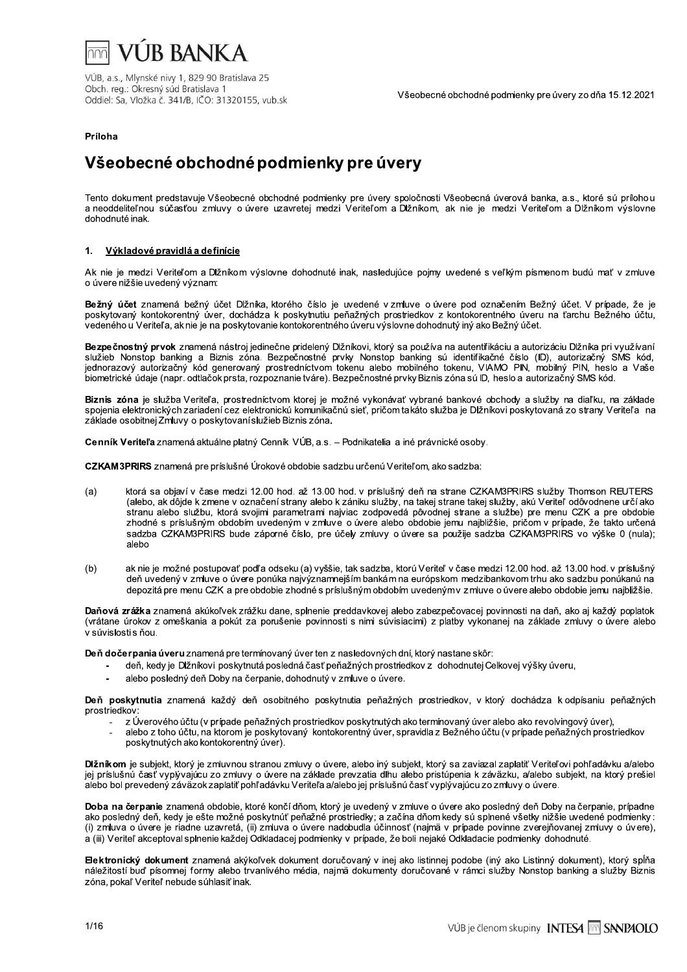

## Príloha

## Všeobecné obchodné podmienky pre úvery

Tento dokument predstavuje Všeobecné obchodné podmienky pre úvery spoločnosti Všeobecná úverová banka, a.s., ktoré sú prílohou a neoddeliteľnou súčasťou zmluvy o úvere uzavretej medzi Veriteľom a Dižníkom, ak nie je medzi Veriteľom a Dižníkom výslovne dohodnuté inak.

#### Výkladové pravidlá a definície  $\blacksquare$

Ak nie je medzi Veriteľom a Dĺžníkom výslovne dohodnuté inak, nasledujúce pojmy uvedené s veľkým písmenom budú mať v zmluve o úvere nižšie uvedený význam:

Bežný účet znamená bežný účet Dižníka, ktorého číslo je uvedené vzmluve o úvere pod označením Bežný účet. V prípade, že je poskytovaný kontokorentný úver, dochádza k poskytnutiu peňažných prostriedkov z kontokorentného úveru na ťarchu Bežného účtu. vedeného u Veriteľa, ak nie je na poskytovanie kontokorentného úveru výslovne dohodnutý iný ako Bežný účet.

Bezpečnostný prvok znamená nástroj jedinečne pridelený Dĺžníkovi, ktorý sa používa na autentřikáciu a autorizáciu Dĺžníka pri využívaní služieb Nonstop banking a Biznis zóna. Bezpečnostné prvky Nonstop banking sú identifikačné číslo (ID), autorizačný SMS kód,<br>jednorazový autorizačný kód generovaný prostredníctvom tokenu alebo mobilného tokenu, VIAMO PIN, m biometrické údaje (napr. odtlačok prsta, rozpoznanie tváre). Bezpečnostné prvky Biznis zóna sú ID, heslo a autorizačný SMS kód.

Biznis zóna je služba Veriteľa, prostredníctvom ktorej je možné vykonávať vybrané bankové obchody a služby na diaľku, na základe spojenia elektronických zariadení cez elektronickú komunikačnú sieť, pričom takáto služba je Dlžníkovi poskytovaná zo strany Veriteľa na základe osobitnej Zmluvy o poskytovaní služieb Biznis zóna.

Cenník Veriteľa znamená aktuálne platný Cenník VÚB, a.s. - Podnikatelia a iné právnické osoby.

CZKAM3PRIRS znamená pre príslušné Úrokové obdobie sadzbu určenú Veriteľom, ako sadzba:

- ktorá sa objaví v čase medzi 12.00 hod. až 13.00 hod. v príslušný deň na strane CZKAM3PRIRS služby Thomson REUTERS  $(a)$ (alebo, ak dôjde k zmene v označení strany alebo k zániku služby, na takej strane takej služby, akú Veriteľ odôvodnene určí ako stranu alebo službu, ktorá svojimi parametrami najviac zodpovedá pôvodnej strane a službe) pre menu CZK a pre obdobie zhodné s príslušným obdobím uvedeným v zmluve o úvere alebo obdobie jemu najbližšie, príčom v prípade, že takto určená sadzba CZKAM3PRIRS bude záporné číslo, pre účely zmluvy o úvere sa použije sadzba CZKAM3PRIRS vo výške 0 (nula); alebo
- ak nie je možné postupovať podľa odseku (a) vyššie, tak sadzba, ktorú Veriteľ v čase medzi 12.00 hod. až 13.00 hod. v príslušný  $(b)$ deň uvedený v zmluve o úvere ponúka najvýznamnejším bankám na európskom medzibankovom trhu ako sadzbu ponúkanú na depozitá pre menu CZK a pre obdobie zhodné s príslušným obdobím uvedenýmy z mluve o úvere alebo obdobie jemu naibližšie.

Daňová zrážka znamená akúkoľvek zrážku dane, splnenie preddavkovej alebo zabezpečovacej povinnosti na daň, ako aj každý poplatok (vrátane úrokov z omeškania a pokút za porušenie povinnosti s nimi súvisiacimi) z platby vykonanej na základe zmluvy o úvere alebo v súvislosti s ňou.

Deň dočerpania úveru znamená pre termínovaný úver ten z nasledovných dní, ktorý nastane skôr:

- deň, kedy je Dĺžníkovi poskytnutá posledná časť peňažných prostriedkov z dohodnutej Celkovej výšky úveru.
- alebo posledný deň Doby na čerpanie, dohodnutý v zmluve o úvere.

Deň poskytnutia znamená každý deň osobitného poskytnutia peňažných prostriedkov, v ktorý dochádza k odpísaniu peňažných prostriedkov:

- z Úverového účtu (v prípade peňažných prostriedkov poskytnutých ako termínovaný úver alebo ako revolvingový úver),
- alebo z toho účtu, na ktorom je poskytovaný kontokorentný úver, spravidla z Bežného účtu (v prípade peňažných prostriedkov poskytnutých ako kontokorentný úver).

Dĺžníkom je subjekt, ktorý je zmluvnou stranou zmluvy o úvere, alebo iný subjekt, ktorý sa zaviazal zaplatiť Veriteľovi pohľadávku a/alebo jej príslušnú časť vyplývajúcu zo zmluvy o úvere na základe prevzatia dlhu alebo pristúpenia k záväzku, a/alebo subjekt, na ktorý prešiel alebo bol prevedený záväzok zaplatiť pohľadávku Veriteľa a/alebo jej príslušnú časť vyplývajúcu zo zmluvy o úvere.

Doba na čerpanie znamená obdobie, ktoré končí dňom, ktorý je uvedený v zmluve o úvere ako posledný deň Doby na čerpanie, prípadne ako posledný deň, kedy je ešte možné poskytnúť peňažné prostriedky: a začína dňom kedy sú splnené všetky nižšie uvedené podmienky: (i) zmluva o úvere je riadne uzavretá, (ii) zmluva o úvere nadobudla účinnosť (najmä v prípade povinne zverejňovanej zmluvy o úvere), a (iii) Veriteľ akceptoval splnenie každej Odkladacej podmienky v prípade, že boli nejaké Odkladacie podmienky dohodnuté.

Elektronický dokument znamená akýkoľvek dokument doručovaný v inej ako listinnej podobe (iný ako Listinný dokument), ktorý spĺňa náležitostí buď písomnej formy alebo trvanlivého média, najmä dokumenty doručované v rámci služby Nonstop banking a služby Biznis zóna, pokaľ Veriteľ nebude súhlasiť inak.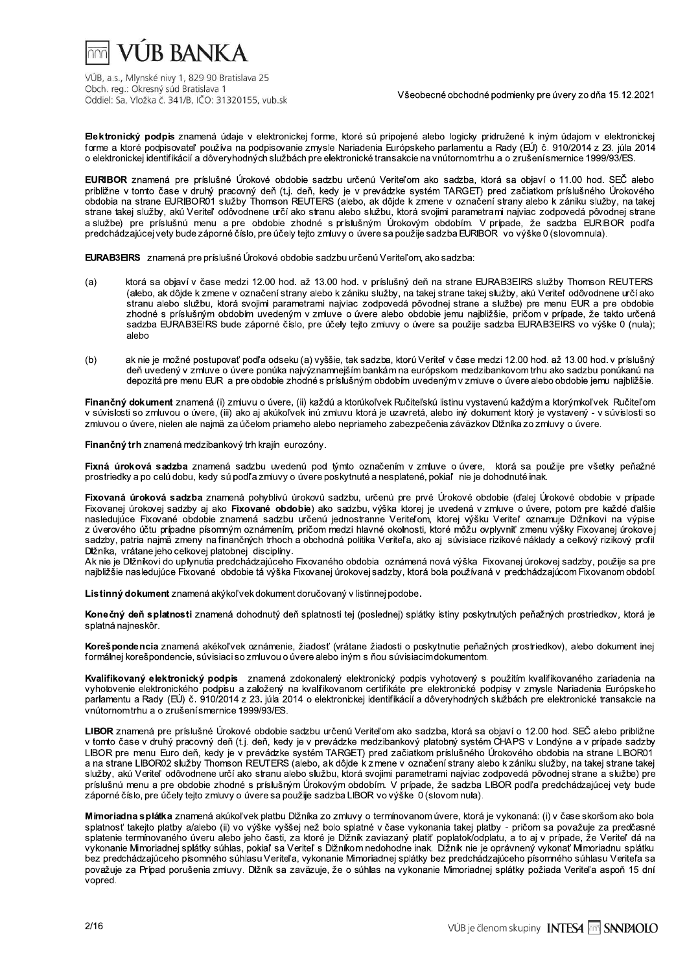## **VUR BANKA**

VÚB, a.s., Mlynské nivy 1, 829 90 Bratislava 25 Obch. reg.: Okresný súd Bratislava 1 Oddiel: Sa, Vložka č. 341/B, IČO: 31320155, vub.sk

Všeobecné obchodné podmienky pre úvery zo dňa 15.12.2021

Elektronický podpis znamená údaje v elektronickej forme, ktoré sú pripojené alebo logicky pridružené k iným údajom v elektronickej forme a ktoré podpisovateľ používa na podpisovanie zmysle Nariadenia Európskeho parlamentu a Rady (EÚ) č. 910/2014 z 23. júla 2014 o elektronickej identifikácií a dôveryhodných službách pre elektronické transakcie na vnútornom trhu a o zrušení smernice 1999/93/ES.

EURIBOR znamená pre príslušné Úrokové obdobie sadzbu určenú Veriteľom ako sadzba, ktorá sa objaví o 11.00 hod. SEČ alebo približne v tomto čase v druhý pracovný deň (t.j. deň, kedy je v prevádzke systém TARGET) pred začiatkom príslušného Úrokového<br>obdobia na strane EURIBOR01 služby Thomson REUTERS (alebo, ak dôjde k zmene v označení strany a strane takej služby, aku Veriteľ odôvodnene určí ako stranu alebo službu, ktorá svojimi parametrami najviac zodpovedá pôvodnej strane a službe) pre príslušnú menu a pre obdobie zhodné s príslušným Úrokovým obdobím. V prípade, že sadzba EURIBOR podľa predchádzajúcej vety bude záporné číslo, pre účely tejto zmluvy o úvere sa použije sadzba EURIBOR vo výške 0 (slovomnula).

EURAB3EIRS znamená pre príslušné Úrokové obdobie sadzbu určenú Veriteľom, ako sadzba:

- $(a)$ ktorá sa objaví v čase medzi 12.00 hod. až 13.00 hod. v príslušný deň na strane EURAB3EIRS služby Thomson REUTERS (alebo, ak dôjde k zmene v označení strany alebo k zániku služby, na takej strane takej služby, akú Veriteľ odôvodnene určí ako stranu alebo službu, ktorá svojimi parametrami najviac zodpovedá pôvodnej strane a službe) pre menu EUR a pre obdobie zhodné s príslušným obdobím uvedeným v zmluve o úvere alebo obdobie jemu najbližšie, pričom v prípade, že takto určená sadzba EURAB3EIRS bude záporné číslo, pre účely teito zmluvy o úvere sa použije sadzba EURAB3EIRS vo výške 0 (nula): alebo
- ak nie je možné postupovať podľa odseku (a) vyššie, tak sadzba, ktorú Veriteľ v čase medzi 12.00 hod. až 13.00 hod. v príslušný  $(b)$ deň uvedený v zmluve o úvere ponúka najvýznamnejším bankám na európskom medzibankovom trhu ako sadzbu ponúkanú na depozitá pre menu EUR a pre obdobie zhodné s príslušným obdobím uvedeným v zmluve o úvere alebo obdobie jemu najbližšie.

Finančný dokument znamená (i) zmluvu o úvere. (ii) každú a ktorúkoľvek Ručiteľskú listinu vystavenú každým a ktorýmkoľvek Ručiteľom v súvislosti so zmluvou o úvere, (iii) ako aj akúkoľvek inú zmluvu ktorá je uzavretá, alebo iný dokument ktorý je vystavený - v súvislosti so zmluvou o úvere, nielen ale najmä za účelom priameho alebo nepriameho zabezpečenia záväzkov Dlžníka zo zmluvy o úvere.

Finančný trh znamená medzibankový trh krajín eurozóny.

Fixná úroková sadzba znamená sadzbu uvedenú pod týmto označením v zmluve o úvere, ktorá sa použije pre všetky peňažné prostriedky a po celú dobu, kedy sú podľa zmluvy o úvere poskytnuté a nesplatené, pokiaľ nie je dohodnuté inak.

Fixovaná úroková sadzba znamená pohyblivú úrokovú sadzbu, určenú pre prvé Úrokové obdobie (ďalej Úrokové obdobie v prípade Fixovanej úrokovej sadzby aj ako Fixované obdobie) ako sadzbu, výška ktorej je uvedená v zmluve o úvere, potom pre každé ďalšie nasledujúce Fixované obdobie znamená sadzbu určenú jednostranne Veriteľom, ktorej výšku Veriteľ oznamuje Dižníkovi na výpise<br>z úverového účtu prípadne písomným oznámením, pričom medzi hlavné okolnosti, ktoré môžu ovplyvniť sadzby, patria najmä zmeny na finančných trhoch a obchodná politika Veriteľa, ako aj súvisiace rizikové náklady a celkový rizikový profil Dižníka. vrátane jeho celkovej platobnej disciplíny.

Ak nie je Dižníkovi do uplynutia predchádzajúceho Fixovaného obdobia oznámená nová výška Fixovanej úrokovej sadzby, použije sa pre najbližšie nasledujúce Fixované obdobie tá výška Fixovanej úrokovej sadzby, ktorá bola používaná v predchádzajúcom Fixovanom období.

Listinný dokument znamená akýkoľvek dokument doručovaný v listinnej podobe.

Konečný deň splatnosti znamená dohodnutý deň splatnosti tej (poslednej) splátky istiny poskytnutých peňažných prostriedkov, ktorá je splatná najneskôr.

Koreš pondencia znamená akékoľvek oznámenie, žiadosť (vrátane žiadosti o poskytnutie peňažných prostriedkov), alebo dokument inej formálnej korešpondencie, súvisiaci so zmluvou o úvere alebo iným s ňou súvisiacim dokumentom.

Kvalifikovaný elektronický podpis znamená zdokonalený elektronický podpis vyhotovený s použitím kvalifikovaného zariadenia na vyhotovenie elektronického podpsu a založený na kvalifikovanom certifikáte pre elektronické podpisy v zmysle Nariadenia Európskeho parlamentu a Rady (EÚ) č. 910/2014 z 23. júla 2014 o elektronickej identifikácií a dôveryhodných službách pre elektronické transakcie na vnútornom trhu a o zrušení smernice 1999/93/ES.

LIBOR znamená pre príslušné Úrokové obdobie sadzbu určenú Veriteľom ako sadzba, ktorá sa objaví o 12.00 hod. SEČ alebo približne v tomto čase v druhý pracovný deň (t.j. deň, kedy je v prevádzke medzibankový platobný systém CHAPS v Londýne a v prípade sadzby LIBOR pre menu Euro deň, kedy je v prevádzke systém TARGET) pred začiatkom príslušného Úrokového obdobia na strane LIBOR01 a na strane LIBOR02 služby Thomson REUTERS (alebo, ak dôjde k z mene v označení strany alebo k zániku služby, na takej strane takej služby, akú Veriteľ odôvodnene určí ako stranu alebo službu, ktorá svojimi parametrami najviac zodpovedá pôvodnej strane a službe) pre príslušnú menu a pre obdobie zhodné s príslušným Úrokovým obdobím. V prípade, že sadzba LIBOR podľa predchádzajúcej vety bude záporné číslo, pre účely tejto zmluvy o úvere sa použije sadzba LIBOR vo výške 0 (slovom nula).

Mimoriadna splátka znamená akúkoľvek platbu Dlžníka zo zmluvy o termínovanom úvere, ktorá je vykonaná: (i) v čase skoršom ako bola splatnosť takejto platby a/alebo (ii) vo výške vyššej než bolo splatné v čase vykonania takej platby - pričom sa považuje za predčasné splatenie termínovaného úveru alebo jeho časti, za ktoré je Dlžník zaviazaný platiť poplatok/odplatu, a to aj v prípade, že Veriteľ dá na vykonanie Mimoriadnej splátky súhlas, pokiaľ sa Veriteľ s Dĺžníkom nedohodne inak. Dĺžník nie je oprávnený vykonať Mimoriadnu splátku bez predchádzajúceho písomného súhlasu Veriteľa, vykonanie Mimoriadnej splátky bez predchádzajúceho písomného súhlasu Veriteľa sa považuje za Prípad porušenia zmluvy. Dlžník sa zaväzuje, že o súhlas na vykonanie Mimoriadnej splátky požiada Veriteľa aspoň 15 dní vopred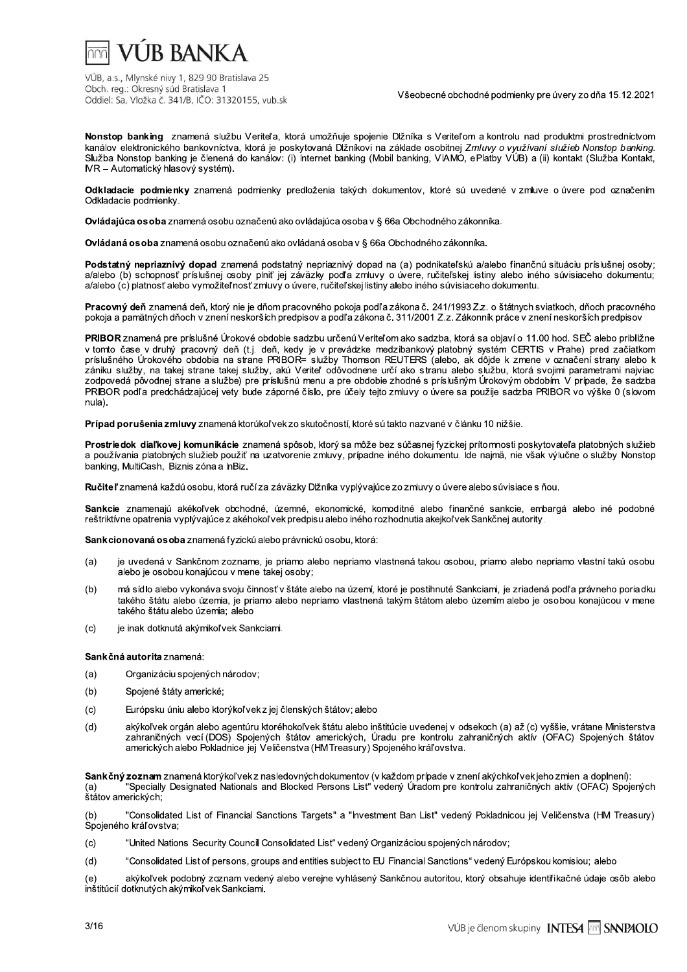

Všeobecné obchodné podmienky pre úvery zo dňa 15.12.2021

Nonstop banking znamená službu Veriteľa, ktorá umožňuje spojenie Dĺžníka s Veriteľom a kontrolu nad produktmi prostredníctvom kanálov elektronického bankovníctva, ktorá je poskytovaná Dĺžníkovi na základe osobitnej Zmluvy o využívaní služieb Nonstop banking. Služba Nonstop banking je členená do kanálov: (i) Internet banking (Mobil banking, VIAMÓ, ePlatby VÚB) a (ii) kontakt (Služba Kontakt, IVR – Automatický hlasový systém).

Odkladacie podmienky znamená podmienky predloženia takých dokumentov, ktoré sú uvedené v zmluve o úvere pod označením Odkladacie podmienky.

Ovládajúca osoba znamená osobu označenú ako ovládajúca osoba v § 66a Obchodného zákonníka.

Ovládaná osoba znamená osobu označenú ako ovládaná osoba v § 66a Obchodného zákonníka.

Podstatný nepriaznivý dopad znamená podstatný nepriaznivý dopad na (a) podnikateľskú a/alebo finančnú situáciu príslušnej osoby; a/alebo (b) schopnosť príslušnej osoby plniť jej záväzky podľa zmluvy o úvere, ručiteľskej listiny alebo iného súvisiaceho dokumentu; a/alebo (c) platnosť alebo vymožiteľ nosť zmluvy o úvere, ručiteľskej listiny alebo iného súvisiaceho dokumentu.

Pracovný deň znamená deň, ktorý nie je dňom pracovného pokoja podľa zákona č. 241/1993 Zz. o štátnych sviatkoch, dňoch pracovného pokoja a pamätných dňoch v znení neskorších predpisov a podľa zákona č. 311/2001 Z.z. Zákonník práce v znení neskorších predpisov

PRIBOR znamená pre príslušné Úrokové obdobie sadzbu určenú Veriteľom ako sadzba, ktorá sa objaví o 11.00 hod. SEČ alebo približne v tomto čase v druhý pracovný deň (t.j. deň, kedy je v prevádzke medzibankový platobný systém CERTIS v Prahe) pred začiatkom príslušného Úrokového obdobia na strane PRIBOR= služby Thomson REUTERS (alebo, ak dôjde k zmene v označení strany alebo k zániku služby, na takej strane takej služby, akú Veriteľ odôvodnene určí ako stranu alebo službu, ktorá svojimi parametrami najviac<br>zodpovedá pôvodnej strane a službe) pre príslušnú menu a pre obdobie zhodné s príslušným Ú PRIBOR podľa predchádzajúcej vety bude záporné číslo, pre účely tejto zmluvy o úvere sa použije sadzba PRIBOR vo výške 0 (slovom nula).

Prípad porušenia zmluvy znamená ktorúkoľ vek zo skutočností, ktoré sú takto nazvané v článku 10 nižšie.

Prostriedok diaľkovej komunikácie znamená spôsob, ktorý sa môže bez súčasnej fyzickej prítomnosti poskytovateľa platobných služieb a používania platobných služieb použiť na uzatvorenie zmluvy, prípadne iného dokumentu. Ide najmä, nie však výlučne o služby Nonstop banking, MultiCash, Biznis zóna a InBiz.

Ručiteľ znamená každú osobu, ktorá ručí za záväzky Dlžníka vyplývajúce zo zmluvy o úvere alebo súvisiace s ňou.

Sankcie znamenajú akékoľvek obchodné, územné, ekonomické, komoditné alebo finančné sankcie, embargá alebo iné podobné reštriktívne opatrenia vyplývajúce z akéhokoľvek predpisu alebo iného rozhodnutia akejkoľvek Sankčnej autority.

Sankcionovaná osoba znamená fyzickú alebo právnickú osobu, ktorá:

- $(a)$ je uvedená v Sankčnom zozname, je priamo alebo nepriamo vlastnená takou osobou, priamo alebo nepriamo vlastní takú osobu alebo je osobou konajúcou v mene takej osoby;
- má sídlo alebo vykonáva svoju činnosť v štáte alebo na území, ktoré je postihnuté Sankciami, je zriadená podľa právneho poriadku  $(b)$ takého štátu alebo územia, je priamo alebo nepriamo vlastnená takým štátom alebo územím alebo je osobou konajúcou v mene takého štátu alebo územia; alebo
- je inak dotknutá akýmikoľvek Sankciami.  $(c)$

Sankčná autorita znamená:

- $(a)$ Organizáciu spojených národov;
- $(b)$ Spojené štáty americké;
- $(c)$ Európsku úniu alebo ktorýkoľvek z jej členských štátov; alebo
- akýkoľvek orgán alebo agentúru ktoréhokoľvek štátu alebo inštitúcie uvedenej v odsekoch (a) až (c) vyššie, vrátane Ministerstva  $(d)$ zahraničných vecí (DOS) Spojených štátov amerických, Úradu pre kontrolu zahraničných aktív (OFAC) Spojených štátov amerických alebo Pokladnice jej Veličenstva (HMTreasury) Spojeného kráľovstva.

Sankčný zoznam znamená ktorýkoľvek z nasledovných dokumentov (v každom prípade v znení akýchkoľvek jeho zmien a doplnení):  $(a)$ "Specially Designated Nationals and Blocked Persons List" vedený Úradom pre kontrolu zahraničných aktív (OFAC) Spojených štátov amerických;

"Consolidated List of Financial Sanctions Targets" a "Investment Ban List" vedený Pokladnicou jej Veličenstva (HM Treasury)  $(b)$ Spojeného kráľovstva;

 $(c)$ "United Nations Security Council Consolidated List" vedený Organizáciou spojených národov:

 $(d)$ "Consolidated List of persons, groups and entities subject to EU Financial Sanctions" vedený Európskou komisiou; alebo

akýkoľvek podobný zoznam vedený alebo verejne vyhlásený Sankčnou autoritou, ktorý obsahuje identifikačné údaje osôb alebo  $(e)$ inštitúcií dotknutých akýmikoľvek Sankciami.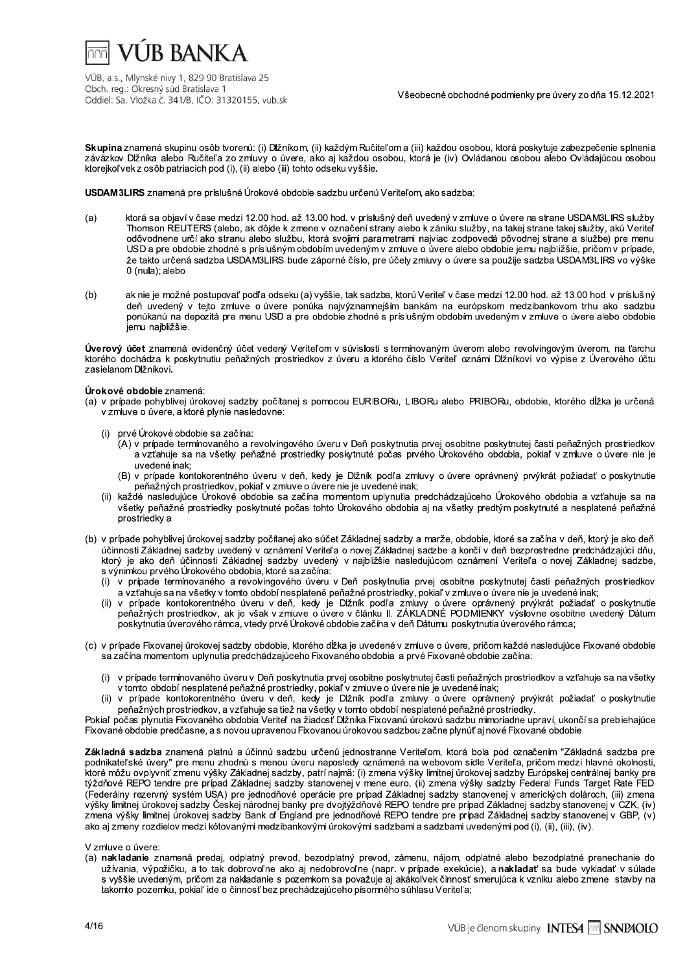

v seobeche obchodne podmienky pre uvery zo dna 15.12.2021

J.  $\mathsf{skupinu}$ osob tvorenu: (i) Dizhikom, (ii) kazdym Rucitelom a (iii) kazdou osobou, która poskytuje zabezpecenie sj Diznika alebo Rucitela zo zmluvy o uvere, ako aj kazdou osobou, ktora je (iv) Ovladanou osobou alebo Ovladajucou osobou ktorejkol vek z osob patriacich pod (i), (ii) alebo (iii) tohto odseku v<sub>)</sub>

pre prisiusne Urokove obdobie sadzbu urcenu Veritelom, ako sadzba:

- VÚB, a.s., Mlynské nivy 1, 829 90 Bratislav<br>Obch. reg.: Okresný súd Bratislava 1<br>Oddiel: Sa, Vložka č. 341/B, IČO: 3132015<br>**Skupina** znamená skupinu osôb tvorenú<br>záväzkov Dlžníka alebo Ručiteľa zo zm<br>ktorejkoľvek z osôb pa bbecné obchodné podmienky pre úvery zo dňa<br>ii) každou osobou, ktorá poskytuje zabezpeče<br>orá je (iv) Ovládanou osobou alebo Ovládajú<br>m, ako sadzba:<br>wedený v zmluve o úvere na strane USDAM3<br>o k zániku služby, na takej strane VÜB, a.s., Mlynské nivy 1, 829 90 Bratislava 25<br>Obch. reg.: Okresný súd Bratislava 1<br>Oddiel: Sa, Vložka č. 341/B, ICO: 31320155, vub.sk<br>**Skupina z**namená skupinu osôb Morenú: (i) Džinkom, (ii) každým Ručiteľom a (iii) každ Všeobecné obchodné podmie<br>aždým Ručiteľom a (iii) každou osobou, ktorá<br>aj každou osobou, ktorá je (iv) Ovládanou os<br>eku vyššie.<br>dzbu určenú Veriteľom, ako sadzba:<br>hod. v príslušný deň uvedený v zmluve o úveroznačení strany Všeobecné obchodné podmienky pre úver<br>eľom a (iii) každou osobou, ktorá poskytuje za<br>sobou, ktorá je (iv) Ovládanou osobou alebo<br>Veriteľom, ako sadzba:<br>šný deň uvedený v zmluve o úvere na strane lany alebo k zániku služby, podmienky pre úvery zo dňa 15.12.2021<br>1, ktorá poskytuje zabezpečenie splnenia<br>1990 o osobou alebo Ovládajúcou osobou<br>1990 o úvere na strane USDAM3LIRS služby<br>1, na takej strane takej služby, akú Veriteľ<br>dá pôvodnej strane Skupina znamená skupinu osôb tvorenú: (i) Dlžníkom, (ii) každým Ručiteľ<br>Záväzkov Dlžníka alebo Ručiteľa zo zmluvy o úvere, ako aj každým Ručiteľ<br>Záväzkov Dlžníka alebo Ručiteľa zo zmluvy o úvere, ako aj každou oso<br>ktorejko Skupina znamená skupinu osôb tvorenú: (i) Džníkom, (ii) každým Ručiteľom a (iii) každou osobo záväzkov Džníka alebo Ručiteľa zo zmluvy o úvere, ako aj každou osobou, ktorá je (iv) Ovlád<br>
ktorejkoľvek z osôb patriacich pod sa objavi v čase medzi 12.00 hod. az 13.00 hod. v príslusný den uvedený v zmluve o uvere na strane USDAMBLIRS sluzby Thomson REUTERS (alebo, ak dojde k zmene v označeni strany alebo k zaniku služby, na takej strane takej služby, aku Veritel dým Ručiteľom a (iii) každou osobou, ktorá po<br>každou osobou, ktorá je (iv) Ovládanou osob<br>každou osobou, ktorá je (iv) Ovládanou osob<br>u vyššie.<br>d. v príslušný deň uvedený v zmluve o úvere r<br>načení strany alebo k zániku slu odovodnené urci ako stránu alebo službu, która svojimi parametrami najviac zodpoveda povodnej stráne a službe) pre menu orenu: (I) Diznikom, (II) kazdym Kučiteľom a (II<br>co zmluvy o úvere, ako aj každou osobou, kt<br>(i), (ii) alebo (iii) tohto odseku vyššie.<br>šné Úrokové obdobie sadzbu určenú Veriteľom<br>dzi 12.00 hod. až 13.00 hod. v príslušný d na (III) kazdou osobou, ktorá poskytuje zabezju, ktorá je (iv) Ovládanou osobou alebo Ovládanou<br>U, ktorá je (iv) Ovládanou osobou alebo Ovládanou<br>teľom, ako sadzba:<br>deň uvedený v zmluve o úvere na strane USD,<br>alebo k zánik USD a pre obdobie znodne s prisiusnym obdobím uvedenym v zmluve o uvere alebo obdobie jemu najblizsie, pricom v pripade, ze takto urcena sadzba USDAM3LIRS bude zaporne cisio, pre ucely zmluvy o uvere sa pouzije sadzba USDAM3LIRS vo vyske<br>. SDAM3LIRS znamená pre príslušné Úrokové<br>
SDAM3LIRS znamená pre príslušné Úrokové<br>
a) ktorá sa objaví v čase medzi 12.00 ho<br>
Thomson REUTERS (alebo, ak dôjde<br>
odôvodnene určí ako stranu alebo sl<br>
USD a pre odobie zhodné s p ) (i), (ii) alebo (ili) tonto otseku vyssie.<br>
lušné Úrokové obdobie sadzbu určenú Veriteľo<br>
medzi 12.00 hod. až 13.00 hod. v príslušný deř<br>
lebo, ak dôjde k zmene v označení strany alebo,<br>
stranu alebo službu, ktorá svojim 0 (nula); alebo hod. v príslušný deň uvedený v zmluve o úver<br>označení strany alebo k zániku služby, na tak<br>svojimi parametrami najviac zodpovedá pôvo<br>n uvedeným v zmluve o úvere alebo obdobie je<br>prné číslo, pre účely zmluvy o úvere sa pou Thomson REUTERS (alebo, ak dôjde k zme<br>odôvodnene určí ako stranu alebo službu,<br>USD a pre obdobie zhodné s príslušným obe<br>že takto určená sadzba USDAM3LIRS bude<br>0 (nula); alebo<br>ak nie je možné postupovať podľa odseku (a<br>eň
	- (b) ak nie je mozne postupovat podľa odseku (a) vyssie, tak sadzba, któru veriteľ v čáse medzi 12.00 hod. az 13.00 hod. V prislus ny den uvedeny v tejto zmluve o uvere ponuka najvyznamnejsim bankam na europskom medzibankovom trnu ako sadzbu. ponukanu na depozita pre menu USD a pre obdobie znodne s prisiusnym obdobim uvedenym v zmluve o uvere alebo obdobie jemu najblizsie. že takto určená sadzba USDAM3LIF<br>
	0 (nula); alebo<br>
	(b) ak nie je možné postupovať podľa od<br>
	deň uvedený v tejto zmluve o úve<br>
	ponúkanú na depozitá pre menu US<br>
	jemu najbližšie.<br>
	Úverový účet znamená evidenčný účet vede<br>
	kt 0 (nula); alebo<br>
	(b) ak nie je možné postupova<br>
	deň uvedený v tejto zmlu<br>
	ponúkanú na depozitá pre<br>
	jemu najbližšie.<br> **Úverový účet** znamená evidenčný<br>
	ktorého dochádza k poskytnutiu pe<br>
	zasielanom Dlžníkovi.<br> **Úrokové ob** ba, ktorú Veriteľ v čase medzi 12.00 hod. až 1:<br>jším bankám na európskom medzibankovom<br>s príslušným obdobím uvedeným v zmluve o<br>s termínovaným úverom alebo revolvingovým<br>prého číslo Veriteľ oznámi Dĺžníkovi vo výpis<br>ORu, L deň uvedený v tejto zmluve o úvere<br>
	ponúkanú na depozitá pre menu USD a<br>
	jemu najbližšie.<br>
	Úverový účet znamená evidenčný účet vedený v<br>
	ktorého dochádza k poskytnutiu peňažných pros<br>
	zasielanom Dlžníkovi.<br>
	Úrokové obdobie

 $\mathbb{Z}^2$ evidenchy ucet vedeny Veriterom v suvisiosti s terminovanym uverom alebo revolvingovym uverom, na tarchu ktoreho dochadza k poskytnutiu penaznych prostriedkov z uveru a ktoreho cislo veriteľ oznami Diznikovi vo vypise z Uveroveho uctu zasielanom Diznikovi.

#### Úrokové obdobie znamená:

- pripade ponyblivej urokovej sadzby pocitanej s pomocou EURIBORu, LIBORu alebo PRIBORu, obdobie, ktoreno dizka je u v zmluve o uvere, a ktore plynie nasledovne:
	- (i) prve Urokove obdobie sa začina:
- e o úvere alebo obdobie<br>prvým úverom, na ťarchu<br>výpise z Úverového účtu<br>ktorého dĺžka je určená<br>peňažných prostriedkov<br>v zmluve o úvere nie je<br>t požiadať o poskytnutie<br>dobia a vzťahuie sa na (A) v pripade terminovaneno a revolvingoveno uveru v Den poskytnutia prvej osobitne poskytnutej casti penaznych prostriedkov a vztanuje sa na vsetky penazne prostriedky poskytnute pocas prveno Urokoveno obdobia, pokiaľ v zmluve o uvere nie je uvedené inak: ınaк;<br>.
	- (B) v pripade kontokorentneno uveru v den, kedy je Diznik podľa zmuvy o uvere opravneny prvykrat poziadať o poskytnutie penaznych prostriedkov, pokiaľ v zmluve o uvere nie je uvedené inak;
	- (ii) kazde nasiedujuce Urokove obdobie sa začina momentom uplynutia predchadzajuceho Urokoveho obdobia a vzťahuje sa na vsetky penazne prostriedky poskytnute pocas tonto Urokoveno obdobia aj na vsetky predtym poskytnute a nesplatene penazne prostriedky a
- u, LIBORu alebo PRIBORu, obdobie, ktorého<br>vtnutia prvej osobitne poskytnutej časti peňažn<br>as prvého Úrokového obdobia, pokiaľ v zmlu<br>ľa zmluvy o úvere oprávnený prvýkrát požia<br>é inak;<br>utia predchádzajúceho Úrokového obdobi bo PRIBORu, obdobie, ktorého dĺžka je urče<br>sobitne poskytnutej časti peňažných prostriedk<br>kového obdobia, pokiaľ v zmluve o úvere nie<br>vere oprávnený prvýkrát požiadať o poskytnu<br>zajúceho Úrokového obdobia a vzťahuje sa<br>šet Deň poskytnutia prvej osobitne poskytnutej č<br>
Deň poskytnutia prvej osobitne poskytnutej č<br>
Sytnuté počas prvého Úrokového obdobia, pol<br>
Dlžník podľa zmluvy o úvere oprávnený prvý<br>
je uvedené inak;<br>
intom uplynutia predchá  $\mathbb{R}^2$ (b) v pripade ponyblivej urokovej sadzby počitanej ako sučet Zakladnej sadzby a marze, obdobie, ktore sa začina v den, ktory je ako den ňažné prostriedky poskytnuté počas prvého Ú<br>úveru v deň, kedy je Dlžník podľa zmluvy c<br>valí v zmluve o úvere nie je uvedené inak;<br>dobie sa začína momentom uplynutia predch<br>kytnuté počas tohto Úrokového obdobia aj na<br>y počí ucinnosti Zakiadnej sadzby uvedeny v oznamení Veritera o novej Zakiadnej sadzbe a konci v den bezprostredne predchadzajúci dnu, uvedené inak;<br>
(B) v prípade kontokorentnéh<br>
peňažných prostriedkov, r<br>
(ii) každé nasledujúce Úrokové všetky peňažné prostriedky p<br>
prostriedky a<br>
(b) v prípade pohyblivej úrokovej sad:<br>
účinnosti Základnej sadzby uvede<br> ik;<br>ki;<br>prostriedkov, pokiaľ v zmluve o úvere nie je Dižník podľa zmluvy o úvere oprávnený prvýkrát požiadať o poskytnutie<br>ornotokorentného úveru v deň, kedy je Dižník podľa zmluvy o úvere oprávnený prvýkrát požiadať o pos ktory je ako den učinnosti Zakladnej sadzby uvedeny v najblizsie nasledujucom oznameni Veriteľa o novej Zakladnej sadzbe, v prípade kontokorentného úveru v deň, kedy je Dlžník podľa zmluvy o úvere oprávnený prvýkrát požiadať o poskytnutie<br>peňažných prostriedkov, poklaľ v zmluve úvere nie je uvedené inak;<br>dé nasledujúce Úrokové obdobie sa začí s vynimkou prveno Urokoveno obdobia, ktoré sa začina:<br>... adzby a marže, obdobie, ktoré sa začína v deň, ktorý je ako dadnej sadzbe a končí v deň bezprostredne predchádzajúci c<br>
nasledujúcom oznámení Veriteľa o novej Základnej sadz<br>
nutia prvej osobitne poskytnutej časti peňažnýc ičítanej ako súčet Základnej sadzby a marže, v<br>známení Veriteľa o novej Základnej sadzbe a<br>sadzby uvedený v najbližšie nasledujúcom<br>ktoré sa začína:<br>obí nesplatené peňažné prostriedky, pokiaľ v z<br>obí nesplatené peňažné pro čína v deň, ktorý je ako deň<br>stredne predchádzajúci dňu,<br>o novej Základnej sadzbe,<br>sti peňažných prostriedkov<br>uvedené inak;<br>rrát požiadať o poskytnutie<br>ne osobitne uvedený Dátum<br>o rámca;<br>sledujúce Fixované obdobie<br>lkov a v (b) v prípade pohyblivej úrokovej sadzby počítanej ako súčet Základnej sadzby a marže, obdobie, ktoré sa začína v deň, ktorý je ako do účinnosti Základnej sadzby uvedený v vanámní Veriteľa o novej Základnej sadzby uvedený
	- (i) v pripade terminovaneno a revolvingoveno uveru v Den poskytnutia prvej osobitne poskytnutej casti penaznych prostriedkov a vzťanuje sa na vsetky v tomto období nesplatene penazne prostriedky, poklal v zmluve o uveré nie je uvedene in inak;
	- (ii) v pripade kontokorentneho uveru v den, kedy je Diznik podra zmluvy o uvere č poziadat o poskytnutie penaznych prostriedkov, ak je vsak v zmiuve o uvere v II. ZAKLADNE PODMIENKY vyslovne osobitne uvedeny D poskytnutia uveroveno ramca, vtedy prve Urokove obdobie začina v den Datumu poskytnutia uveroveno ra šho Úrokového obdobia, ktoré sa začína:<br>
	termínovaného a revolvingového úveru v Deřsa na všetky v tomto období nesplatené peňaží<br>
	kontokorentného úveru v deň, kedy je Dĺžr<br>
	prostriedkov, ak je však v zmluve o úvere v úvero
	- (c) v pripade Fixovanej urokovej sadzby obdobie, któreho dzka je uvedene v zmluve o uvere, pricom kazde nasiedujuce Fixovane obdobie sa zacina momentom uplynutia predchadzajuceho Fixovaneho obdobia  $\,$ a prve Fixovane obdobie zacina:  $\,$ 
		- (i) v pripade terminovaného úveru v Den poskythutia prvej osobitné poskythutej casti penazných prostriedkov a vzťanuje sa na vsetky  $\nu$  tomto obdobil hesplatene penazne prostriedky, pokial  $\nu$  zmiuve o uvere nie je uvedene inak;
		- (ii) v pripade kontokorentneno uveru vlden, kedy je Diznik podľa zmluvy olivere opravneny prvykrat poziadať olposkytnutie  $\beta$ enaznych prostriedkov, a vztanuje sa tiez na vsetky v toritio opdobí nesplatené penazné prostriedky.

Pokiai počas plynutia Fixovaneno obdobia veritel na zladost Diznika Fixovanu urokovu sadzbu mimoriadne upravi, ukonci sa preblenajuće Fixovane obdobie predcasne, a s novou upravenou Fixovanou urokovou sadzbou začné plynut aj nové Fixovane obdobie.

. ZÁKLÁDNÉ PODMIENKY výslovne osobitn<br>v deň Dátumu poskytnutia úverového rámca;<br>é v zmluve o úvere, pričom každé nasledujúce<br>a a prvé Fixované obdobie začína:<br>osskytnutej časti peňažných prostriedkov a vzťávere nie je uved PODMIENKY výslovne osobitne uvedený Dár<br>poskytnutia úverového rámca;<br>vere, pričom každé nasledujúce Fixované obdo<br>ané obdobie začína:<br>ti peňažných prostriedkov a vzťahuje sa na vše<br>vedené inak;<br>vere oprávnený prvýkrát poži  $\mathbf{r}$ (i) v prípade termínovaného úveru v Deň posl<br>v tomto období nesplatené peňažné prostr<br>(ii) v prípade kontokorentného úveru v deň<br>peňažných prostriedkov, a vzťahuje sa tiež<br>Pokiaľ počas plynutia Fixovaného obdobia Veriteľ r platnu a ucinnu saozbu urcenu jednostranne veritelom, która bola pod označením zakladna saozba pre bitne poskytnutej časti peňažných prostriedkov<br>uve o úvere nie je uvedené inak;<br>podľa zmluvy o úvere oprávnený prvýkrát<br>období nesplatené peňažné prostriedky.<br>Fixovanú úrokovú sadzbu mimoriadne upraví,<br>vou sadzbou začne pl ažných prostriedkov a vzťahuje sa na všetky<br>sinak;<br>právnený prvýkrát požiadať o poskytnutie<br>né prostriedky.<br>mimoriadne upraví, ukončí sa prebiehajúce<br>aj nové Fixované obdobie.<br>ola pod označením "Základná sadzba pre<br>le Veri podnikatel ske uvery "pre menu znodnu s menou uveru naposledy oznamena" na webovom sidle veritela, pricom medzi niavne okolnosti, oskytnutia prvej osobitne poskytnutej časti peňažnýc<br>striedky, pokiaľ v zmluve o úvere nie je uvedené inakeň, kedy je Dlžník podľa zmluvy o úvere opráv<br>iež na všetky v tomto období nesplatené peňažné pr<br>aľ na žiadosť Dlžní które możu ovplyvnit zmenu vysky zakladnej sadzby, patri najma: (i) zmena vysky limitnej urokovej sadzby Europskej c to období nesplatené peňažné prostriedky, pol<br>pade kontokorentného úveru v deň, kedy je<br>žných prostriedkov, a vzťahuje sa tiež na všetk<br>plynutia Fixovaného obdobia Veriteľ na žiados<br>obie predčasne, a s novou upravenou Fixo (ii) v tomto období nesplatené peňažné prostriedky, pokiaľ v zmluve o úvere nie je uvedené inák;<br>
(iii) v pripade kontokorenteho úveru v deň, kedy je Džžník podľa zmluvy o úvere oprávnený prvýkrát požiadať o poskytnutie<br>  $R$ EPO tendre pre pripad Zakladnej sadzby stanovenej v mene euro, (ii) zmena vysky sadzby Federal Funds Target Rate FED bade kontokorentného úveru v deň, kedy je<br>iných prostriedkov, a vzťahuje sa tiež na všetky<br>plynutia Fixovaného obdobia Veriteľ na žiadost<br>bie predčasne, a s novou upravenou Fixovan<br>dzba znamená platnú a účinnú sadzbu určer ipeňažných prostriedkov, a vzťahuje sa tiež na všetky v tomto období nesplatené peňažné prostriedky.<br>Pokiaľ počas plynutia Fixované obdobie Veridi na žiadosť Džinka Fixovanú úrokovú sadzbu miromiedne upraví, ukončí sa preb rezervny system USA) pre jednodnove operacie pre pripad Zakladnej sadzby stanovenej v amerických dolaroch, (ili) zmeha a vzťahuje sa tiež na všetky v tomto období nes<br>obdobia Veriteľ na žiadosť Dlžníka Fixovanú ú<br>novou upravenou Fixovanou úrokovou sadzbo<br>nú a účinnú sadzbu určenú jednostranne Ver<br>hodnú s menou úveru naposledy oznámená n<br>y na všetky v tomto období nesplatené peňažné<br>a žiadosť Dlžníka Fixovanú úrokovú sadzbu mi<br>Fixovanou úrokovou sadzbou začne plynúť aj<br>bu určenú jednostranne Veriteľom, ktorá bola<br>veru naposledy oznámená na webovom sídle<br>by, prostriedky.<br>moriadne upraví, ukončí sa prebiehajúce<br>nové Fixované obdobie.<br>a pod označením "Základná sadzba pre<br>jsadzby Európskej centrálnej banky pre<br>sadzby Federal Funds Target Rate FED<br>venej v amerických dolároch, (iii vysky limitnej urokovej sadzby Českej narodnej banky pre dvojtyzdnové REPO tendre pre pripad Zakladnej sadzby stanovenej v ČZK, (IV) nutia Fixovaného obdobia Veriteľ na žiadosť D<br>e predčasne, a s novou upravenou Fixovanou<br>oa znamená platnú a účinnú sadzbu určenú<br>'eny" pre menu zhodnú s menou úveru napos<br>'wniť zmenu výšky Základnej sadzby, patrí najr<br>ten nú úrokovú sadzbu mimoriadne upraví, ukončí<br>Izbou začne plynúť aj nové Fixované obdobie.<br>Veriteľom, ktorá bola pod označením "Záklaná na webovom sídle Veriteľa, pričom medzi l<br>výšky limitnej úrokovej sadzby Európskej centr zmena vysky limitnej urokovej saczby Bank of England pre jednodnove REPO tendre pre pripad Zakladnej saczby stanovenej v GBP, (v) lzbou začne plynúť aj nové Fixované obdobie.<br>
Veriteľom, ktorá bola pod označením "Záklatá na webovom sídle Veriteľa, pričom medzi r<br>Výšky limitnej úrokovej sadzby Európskej centro, (ii) zmena výšky sadzby Federal Funds T<br> ako aj zmeny rozdielov medzi kotovanymi medzibankovymi urokovymi sadzbami a sadzbami uvedenymi pod (i), (ii), (iii), (iv).<br>. ktoré môžu ovplyvniť zmenu výšky Základnej sa<br>týždňové REPO tendre pre prípad Základnej sa<br>týždňové REPO tendre pre prípad Základnej sa<br>(Federálny rezervný systém USA) pre jednodň<br>výšky limitnej úrokovej sadzby Českej náro patrí najmä: (i) zmena výšky limitnej úrokovej<br>
stanovenej v mene euro, (ii) zmena výšky sa<br>
sperácie pre prípad Základnej sadzby stanove<br>
y pre dvojtýždňové REPO tendre pre prípad Z<br>
d pre jednodňové REPO tendre pre prípa nä: (i) zmena výšky limitnej úrokovej sadzby Enej v mene euro, (ii) zmena výšky sadzby Federic prípad Základnej sadzby stanovenej v amtýždňové REPO tendre pre prípad Základnej smlodňové REPO tendre pre prípad Základnej sko erácie pre prípad Základnej sadzby stanoven<br>pre dvojtýždňové REPO tendre pre prípad Zák<br>pre jednodňové REPO tendre pre prípad Zák<br>ými úrokovými sadzbami a sadzbami uvedený<br>ezodplatný prevod, zámenu, nájom, odplatné<br>nedobro

V zmluve o úvere:

predaj, odplatny prevod, bezodplatny prevod, zamenu, najom, odplatne alebo bezodplatne prenechanie do uzivanja, vypozičku, a to tak gobrovorne ako aj negobrovorne (napr. v pripade exekucie), a **nakladat** sa bude vykladat v sulade s vyssie uvedenym, pricom za nakladanie s pozemkom sa povazuje aj akakoivek cinnost smerujuca k vzniku alebo zmene stavby na  $\tt{takomto pozemku, pokiai, ide o cinnost bez precnadzajućeno pisomneno sunasu veritela;$ v Českej národnej banky pre dvojtýždňové REI<br>Sadzby Bank of England pre jednodňové REI<br>sadzby Bank of England pre jednodňové REI<br>kótovanými medzibankovými úrokovými sadzb<br>daj, odplatný prevod, bezodplatný prevod, z<br>tak dob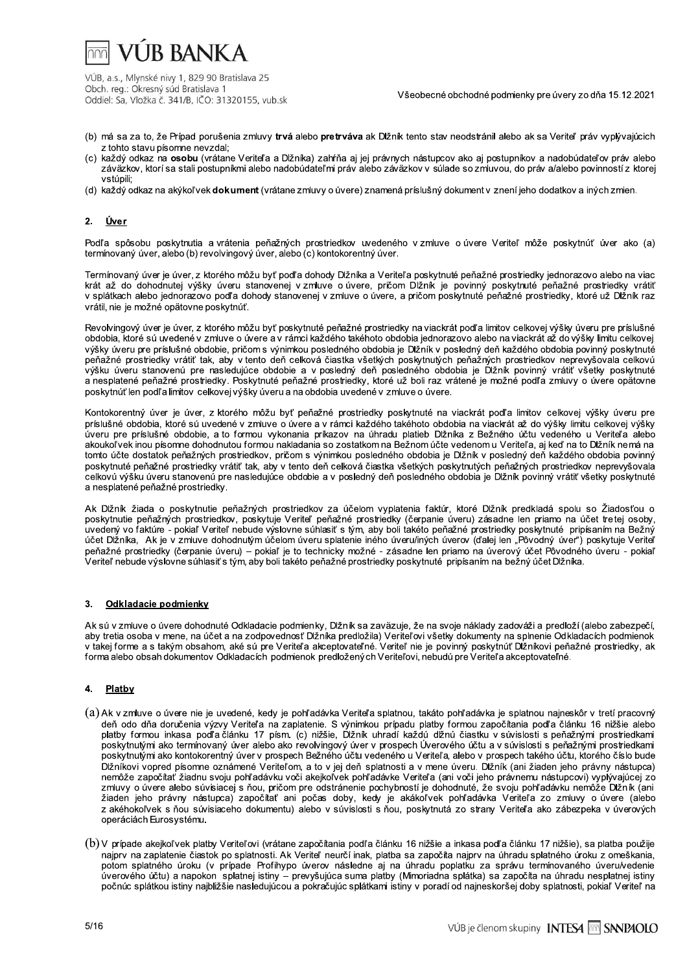

Všeobecné obchodné podmienky pre úvery zo dňa 15.12.2021

- (b) má sa za to, že Prípad porušenia zmluvy trvá alebo pretrváva ak Dižník tento stav neodstránil alebo ak sa Veriteľ práv vyplívajúcich z tohto stavu písomne nevzdal:
- (c) každý odkaz na osobu (vrátane Veriteľa a Dlžníka) zahŕňa aj jej právnych nástupcov ako aj postupníkov a nadobúdateľov práv alebo záväzkov, ktorí sa stali postupníkmi alebo nadobúdateľmi práv alebo záväzkov v súlade so zmluvou, do práv a/alebo povinností z ktorej vstúpili:
- (d) každý odkaz na akýkoľvek dokument (vrátane zmluvy o úvere) znamená príslušný dokument v znení jeho dodatkov a iných zmien.

#### $2.$ <u>Úver</u>

Podľa spôsobu poskytnutia a vrátenia peňažných prostriedkov uvedeného vzmluve o úvere Veriteľ môže poskytnúť úver ako (a) termínovaný úver, alebo (b) revolvingový úver, alebo (c) kontokorentný úver.

Termínovaný úver je úver, z ktorého môžu byť podľa dohody Dlžníka a Veriteľa poskytnuté peňažné prostriedky jednorazovo alebo na viac krát až do dohodnutej výšky úveru stanovenej v zmluve o úvere, pričom Dĺžník je povinný poskytnuté peňažné prostriedky vrátiť v splátkach alebo jednorazovo podľa dohody stanovenej v zmluve o úvere, a pričom poskytnuté peňažné prostriedky, ktoré už Dlžník raz vrátil, nie je možné opätovne poskytnúť.

Revolvingový úver je úver, z ktorého môžu byť poskytnuté peňažné prostriedky na viackrát podľa limitov celkovej výšky úveru pre príslušné obdobia, ktoré sú uvedené v zmluve o úvere a v rámci každého takéhoto obdobia jednorazovo alebo na viackráť až do výšky limitu celkovej výšky úveru pre príslušné obdobie, pričom s výnimkou posledného obdobia je Dĺžník v posledný deň každého obdobia povinný poskytnuté peňažné prostriedky vrátiť tak, aby v tento deň celková čiastka všetkých poskytnutých peňažných prostriedkov neprevyšovala celkovú výšku úveru stanovenú pre nasledujúce obdobie a v posledný deň posledného obdobia je Dĺžník povinný vrátiť všetky poskytnuté a nesplatené peňažné prostriedky. Poskytnuté peňažné prostriedky, ktoré už boli raz vrátené je možné podľa zmluvy o úvere opätovne poskytnúť len podľa limitov celkovej výšky úveru a na obdobia uvedené v zmluve o úvere.

Kontokorentný úver je úver, z ktorého môžu byť peňažné prostriedky poskytnuté na vjackrát podľa limitov celkovej výšky úveru pre príslušné obdobia, ktoré sú uvedené v zmluve o úvere a v rámci každého takéhoto obdobia na viackrát až do výšky limitu celkovej výšky .<br>úveru pre príslušné obdobie, a to formou vykonania príkazov na úhradu platieb Dlžníka z Bežného účtu vedeného u Veriteľa alebo akoukoľvek inou písomne dohodnutou formou nakladania so zostatkom na Bežnom účte vedenom u Veriteľa, aj keď na to Dĺžník nemá na tomto účte dostatok peňažných prostriedkov, pričom s výnimkou posledného obdobia je Dlžník v posledný deň každého obdobia povinný poskytnuté peňažné prostriedky vrátiť tak, aby v tento deň celková čiastka všetkých poskytnutých peňažných prostriedkov neprevyšovala celkovú výšku úveru stanovenú pre nasledujúce obdobie a v posledný deň posledného obdobia je Dĺžník povinný vrátiť všetky poskytnuté a nesplatené peňažné prostriedky.

Ak Dĺžník žiada o poskytnutie peňažných prostriedkov za účelom vyplatenia faktúr, ktoré Dĺžník predkladá spolu so Žiadosťou o poskytnutie peňažných prostriedkov, poskytuje Veriteľ peňažné prostriedky (čerpanie úveru) zásadne len priamo na účet tretej osoby, uvedený vo faktúre - pokiaľ Veriteľ nebude výslovne súhlasiť s tým, aby boli takéto peňažné prostriedky poskytnuté pripísaním na Bežný účet Dĺžníka, Ak je v zmluve dohodnutým účelom úveru splatenie iného úveru/iných úverov (ďalej len "Pôvodný úver") poskytuje Veriteľ veriteľ nebude výslovne súhlasiť s tým, aby boli takéto peňažné prostriedky poskytnuté priamo na úverový účet Pôvodného úveru - pokiaľ<br>Veriteľ nebude výslovne súhlasiť s tým, aby boli takéto peňažné prostriedky poskytnuté

#### Odkladacie podmienky  $\mathbf{3}$

Ak sú v zmluve o úvere dohodnuté Odkladacie podmienky, Dlžník sa zaväzuje, že na svoje náklady zadováži a predloží (alebo zabezpečí, aby tretia osoba v mene, na účet a na zodpovednosť Dižníka predložila) Veriteľovi všetky dokumenty na splnenie Odkladacích podmienok<br>v takej forme a s takým obsahom, aké sú pre Veriteľa akceptovateľné. Veriteľ nie je povin forma alebo obsah dokumentov Odkladacích podmienok predložených Veriteľovi, nebudú pre Veriteľa akceptovateľné.

#### Platby  $\mathbf{4}$

- (a) Ak v zmluve o úvere nie je uvedené, kedy je pohľadávka Veriteľa splatnou, takáto pohľadávka je splatnou najneskôr v tretí pracovný deň odo dňa doručenia výzvy Veriteľa na zaplatenie. S výnimkou prípadu platby formou započítania podľa článku 16 nižšie alebo platby formou inkasa podľačlánku 17 písm. (c) nižšie, Dĺžník uhradí každú dĺžnú čiastku v súvislosti s peňažnými prostriedkami poskytnutými ako termínovaný úver alebo ako revolvingový úver v prospech Úverového účtu a v súvislosti s peňažnými prostriedkami poskytnutými ako kontokorentný úver v prospech Bežného účtu vedeného u Veriteľa, alebo v prospech takého účtu, ktorého číslo bude Dĺžníkovi vopred písomne oznámené Veriteľom, a to v jej deň splatnosti a v mene úveru. Dĺžník (ani žiaden jeho právny nástupca) nemôže započítať žiadnu svoju pohľadávku voči akejkoľvek pohľadávke Veriteľa (ani voči jeho právnemu nástupcovi) vyplývajúcej zo zmluvy o úvere alebo súvisiacej s ňou, pričom pre odstránenie pochybností je dohodnuté, že svoju pohľadávku nemôže Dlžník (ani žiaden jeho právny nástupca) započítať ani počas doby, kedy je akákoľvek pohľadávka Veriteľa zo zmluvy o úvere (alebo z akéhokoľvek s ňou súvisiaceho dokumentu) alebo v súvislosti s ňou, poskytnutá zo strany Veriteľa ako zábezpeka v úverových operáciách Eurosystému.
- (b) V prípade akejkoľvek platby Veriteľovi (vrátane započítania podľa článku 16 nižšie a inkasa podľa článku 17 nižšie), sa platba použiie najprv na zaplatenie čiastok po splatnosti. Ak Veriteľ neurčí inak, platba sa započíta najprv na úhradu splatného úroku z omeškania, potom splatného úroku (v prípade Profihypo úverov následne aj na úhradu poplatku za správu termínovaného úveru/vedenie úverového účtu) a napokon splatnej istiny – prevyšujúca suma platby (Mimoriadna splátka) sa započíta na úhradu nesplatnej istiny<br>počnúc splátkou istiny najbližšie nasledujúcou a pokračujúc splátkami istiny v poradí od najn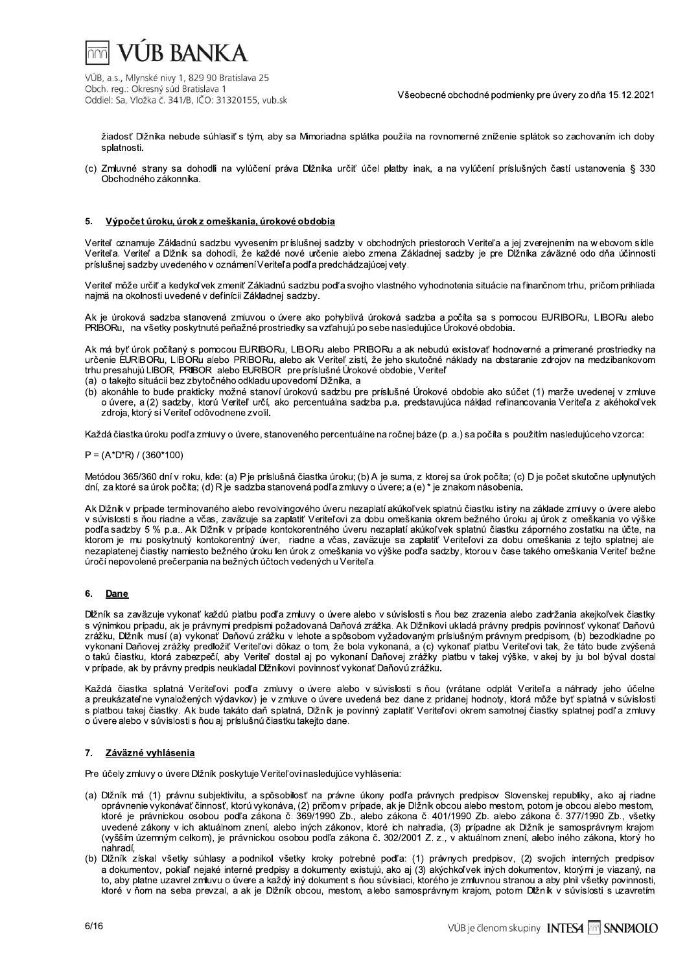

Všeobecné obchodné podmienky pre úvery zo dňa 15.12.2021

žiadosť Dĺžníka nebude súhlasiť s tým, aby sa Mimoriadna splátka použila na rovnomerné zníženie splátok so zachovaním ich doby splatnosti.

(c) Zmluvné strany sa dohodli na vylúčení práva Dlžníka určiť účel platby inak, a na vylúčení príslušných častí ustanovenia § 330 Obchodného zákonníka.

#### 5. Výpočet úroku, úrok z omeškania, úrokové obdobia

Veriteľ oznamuje Základnú sadzbu vyvesením príslušnej sadzby v obchodných priestoroch Veriteľa a jej zverejnením na webovom sídle Veriteľa. Veriteľ a Dĺžník sa dohodli, že každé nové určenie alebo zmena Základnej sadzby je pre Dĺžníka záväzné odo dňa účinnosti príslušnej sadzby uvedeného v oznámení Veriteľa podľa predchádzajúcej vety.

Veriteľ môže určiť a kedykoľvek zmeniť Základnú sadzbu podľa svojho vlastného vyhodnotenia situácie na finančnom trhu, pričom prihliada najmä na okolnosti uvedené v definícii Základnej sadzby.

Ak je úroková sadzba stanovená zmluvou o úvere ako pohyblivá úroková sadzba a počíta sa s pomocou EURIBORu, LIBORu alebo PRIBORu, na všetky poskytnuté peňažné prostriedky sa vzťahujú po sebe nasledujúce Úrokové obdobia.

Ak má byť úrok počítaný s pomocou EURIBORu, LIBORu alebo PRIBORu a ak nebudú existovať hodnoverné a primerané prostriedky na určenie EURIBORu, LIBORu alebo PRIBORu, alebo ak Veriteľ zistí, že jeho skutočné náklady na obstaranie zdrojov na medzibankovom trhu presahujú LIBOR, PRIBOR alebo EURIBOR pre príslušné Úrokové obdobie, Veriteľ

(a) o takejto situácii bez zbytočného odkladu upovedomí Dĺžníka, a

(b) akonáhle to bude prakticky možné stanoví úrokovú sadzbu pre príslušné Úrokové obdobie ako súčet (1) marže uvedenej v zmluve o úvere, a (2) sadzby, ktorú Veriteľ určí, ako percentuálna sadzba p.a. predstavujúca náklad refinancovania Veriteľa z akéhokoľvek zdroja, ktorý si Veriteľ odôvodnene zvolil.

Každá čiastka úroku podľa zmluvy o úvere, stanoveného percentuálne na ročnej báze (p. a.) sa počíta s použitím nasledujúceho vzorca:

 $P = (A^*D^*R) / (360^*100)$ 

Metódou 365/360 dní v roku, kde: (a) P je príslušná čiastka úroku; (b) A je suma, z ktorej sa úrok počíta; (c) D je počet skutočne uplynutých dní, za ktoré sa úrok počíta; (d) R je sadzba stanovená podľa zmluvy o úvere; a (e) \* je znakom násobenia.

Ak Dlžník v prípade termínovaného alebo revolvingového úveru nezaplatí akúkoľvek splatnú čiastku istiny na základe zmluvy o úvere alebo v súvislosti s ňou riadne a včas, zaväzuje sa zaplatiť Veriteľovi za dobu omeškania okrem bežného úroku aj úrok z omeškania vo výške podľa sadzby 5 % p.a.. Ak Dižník v prípade kontokorentného úveru nezaplatí akúkoľvek splatnú čiastku záporného zostatku na účte, na ktorom je mu poskytnutý kontokorentný úver, riadne a včas, zaväzuje sa zaplatiť Veriteľovi za dobu omeškania z tejto splatnej ale nezaplatenej čiastky namiesto bežného úroku len úrok z omeškania vo výške podľa sadzby, ktorou v čase takého omeškania Veriteľ bežne úročí nepovolené prečerpania na bežných účtoch vedených u Veriteľa.

#### 6. Dane

Dĺžník sa zaväzuje vykonať každú platbu podľa zmluvy o úvere alebo v súvislosti s ňou bez zrazenia alebo zadržania akejkoľvek čiastky s výnimkou prípadu, ak je právnymi predpismi požadovaná Daňová zrážka. Ak Dižníkovi ukladá právny predpis povinnosť vykonať Daňovú zrážku, Dlžník musí (a) vykonať Daňovú zrážku v lehote a spôsobom vyžadovaným príslušným právnym predpisom, (b) bezodkladne po vykonaní Daňovej zrážky predložiť Veriteľovi dôkaz o tom, že bola vykonaná, a (c) vykonať platbu Veriteľovi tak, že táto bude zvýšená o takú čiastku, ktorá zabezpečí, aby Veriteľ dostal aj po vykonaní Daňovej zrážky platbu v takej výške, v akej by ju bol býval dostal v prípade, ak by právny predpis neukladal Dlžníkovi povinnosť vykonať Daňovú zrážku.

Každá čiastka splatná Veriteľovi podľa zmluvy o úvere alebo v súvislosti s ňou (vrátane odplát Veriteľa a náhrady jeho účelne a preukázateľne vynaložených výdavkov) je v zmluve o úvere uvedená bez dane z pridanej hodnoty, ktorá môže byť splatná v súvislosti s platbou takej čiastky. Ak bude takáto daň splatná, Dlžník je povinný zaplatiť Veriteľovi okrem samotnej čiastky splatnej podľa zmluvy o úvere alebo v súvislosti s ňou aj príslušnú čiastku takejto dane.

## 7. Záväzné vyhlásenia

Pre účely zmluvy o úvere Dlžník poskytuje Veriteľovi nasledujúce vyhlásenia:

- (a) Dĺžník má (1) právnu subjektivitu, a spôsobilosť na právne úkony podľa právnych predpisov Slovenskej republiky, ako aj riadne oprávnenie vykonávať činnosť, ktorú vykonáva, (2) pričom v prípade, ak je Dĺžník obcou alebo mestom, potom je obcou alebo mestom, ktoré je právnickou osobou podľa zákona č. 369/1990 Zb., alebo zákona č. 401/1990 Zb. alebo zákona č. 377/1990 Zb., všetky uvedené zákony v ich aktuálnom znení, alebo iných zákonov, ktoré ich nahradia, (3) prípadne ak Dlžník je samosprávnym krajom (vyšším územným celkom), je právnickou osobou podľa zákona č. 302/2001 Z. z., v aktuálnom znení, alebo iného zákona, ktorý ho nahradí.
- (b) Dĺžník získal všetky súhlasy a podnikol všetky kroky potrebné podľa: (1) právnych predpisov, (2) svojich interných predpisov a dokumentov, pokiaľ nejaké interné predpisy a dokumenty existujú, ako aj (3) akýchkoľvek iných dokumentov, ktorými je viazaný, na to, aby platne uzavrel zmluvu o úvere a každý iný dokument s ňou súvisiaci, ktorého je zmluvnou stranou a aby plnil všetky povinnosti, ktoré v ňom na seba prevzal, a ak je Dlžník obcou, mestom, alebo samosprávnym krajom, potom Dlžník v súvislosti s uzavretím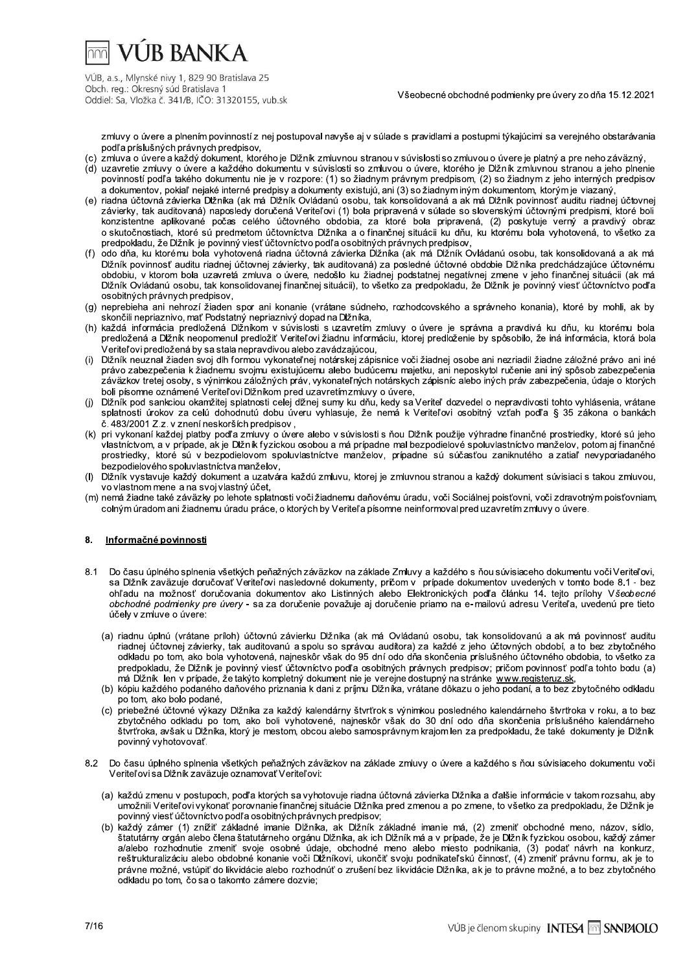

Všeobecné obchodné podmienky pre úvery zo dňa 15.12.2021

zmluvy o úvere a plnením povinností z nei postupoval navyše ai v súlade s pravidlami a postupmi týkajúcimi sa verejného obstarávania podľa príslušných právnych predpisov.

- (c) zmluva o úvere a každý dokument, ktorého je Dlžník zmluvnou stranou v súvislosti so zmluvou o úvere je platný a pre neho záväzný,
- (d) uzavretie zmluvy o úvere a každého dokumentu v súvislosti so zmluvou o úvere, ktorého je Dlžník zmluvnou stranou a jeho plnenie povinností podľa takého dokumentu nie je v rozpore: (1) so žiadnym právnym predpisom, (2) so žiadnym z jeho interných predpisov a dokumentov, pokiaľ nejaké interné predpisy a dokumenty existujú, ani (3) so žiadnym iným dokumentom, ktorým je viazaný,
- (e) riadna účtovná závierka Dlžníka (ak má Dlžník Ovládanú osobu, tak konsolidovaná a ak má Dlžník povinnosť auditu riadnej účtovnej závierky, tak auditovaná) naposledy doručená Veriteľovi (1) bola pripravená v súlade so slovenskými účtovnými predpismi, ktoré boli konzistentne aplikované počas celého účtovného obdobia, za ktoré bola pripravená, (2) poskytuje verný a pravdivý obraz o skutočnostiach, ktoré sú predmetom účtovníctva Dlžníka a o finančnej situácii ku dňu, ku ktorému bola vyhotovená, to všetko za predpokladu, že Dlžník je povinný viesť účtovníctvo podľa osobitných právnych predpisov,
- (f) odo dňa, ku ktorému bola vyhotovená riadna účtovná závierka Dĺžníka (ak má Dĺžník Ovládanú osobu, tak konsolidovaná a ak má Dĺžník povinnosť auditu riadnej účtovnej závierky, tak auditovaná) za posledné účtovné obdobie Dĺžníka predchádzajúce účtovnému obdobiu, v ktorom bola uzavretá zmluva o úvere, nedošlo ku žiadnej podstatnej negatívnej zmene v jeho finančnej situácii (ak má Dĺžník Ovládanú osobu, tak konsolidovanej finančnej situácii), to všetko za predpokladu, že Dĺžník je povinný viesť účtovníctvo podľa osobitných právnych predpisov,
- (g) neprebieha ani nehrozí žiaden spor ani konanie (vrátane súdneho, rozhodcovského a správneho konania), ktoré by mohli, ak by skončili nepriaznivo, mať Podstatný nepriaznivý dopad na Dĺžníka,
- (h) každá informácia predložená Dlžníkom v súvislosti s uzavretím zmluvy o úvere je správna a pravdivá ku dňu, ku ktorému bola predložená a Dĺžník neopomenul predložiť Veriteľovi žiadnu informáciu, ktorej predloženie by spôsobilo, že iná informácia, ktorá bola Veriteľovi predložená by sa stala nepravdivou alebo zavádzajúcou.
- Dĺžník neuznal žiaden svoj dlh formou vykonateľnej notárskej zápisnice voči žiadnej osobe ani nezriadil žiadne záložné právo ani iné  $(i)$ právo zabezpečenia k žiadnemu svojmu existujúcemu alebo budúcemu majetku, ani neposkytol ručenie ani iný spôsob zabezpečenia záväzkov tretej osoby, s výnimkou záložných práv, vykonateľných notárskych zápisníc alebo iných práv zabezpečenia, údaje o ktorých boli písomne oznámené Veriteľovi Dlžníkom pred uzavretímzmluvy o úvere,
- Dlžník pod sankciou okamžitej splatnosti celej dĺžnej sumy ku dňu, kedy sa Veriteľ dozvedel o nepravdivosti tohto vyhlásenia, vrátane  $(i)$ splatnosti úrokov za celú dohodnutú dobu úveru vyhlasuje, že nemá k Veriteľovi osobitný vzťah podľa § 35 zákona o bankách č. 483/2001 Z.z. v znení neskorších predpisov,
- (k) pri vykonaní každej platby podľa zmluvy o úvere alebo v súvislosti s ňou Dlžník použije výhradne finančné prostriedky, ktoré sú jeho vlastníctvom, a v prípade, ak je Dĺžník fyzickou osobou a má prípadne mal bezpodielové spoluvlastníctvo manželov, potom aj finančné prostriedky, ktoré sú v bezpodielovom spoluvlastníctve manželov, prípadne sú súčasťou zaniknutého a zatiaľ nevyporiadaného bezpodielového spoluvlastníctva manželov,
- Dĺžník vystavuje každý dokument a uzatvára každú zmluvu, ktorej je zmluvnou stranou a každý dokument súvisiaci s takou zmluvou,  $(1)$ vo vlastnom mene a na svoj vlastný účet,
- (m) nemá žiadne také záväzky po lehote splatnosti voči žiadnemu daňovému úradu, voči Sociálnej poisťovni, voči zdravotným poisťovniam, colným úradom ani žiadnemu úradu práce, o ktorých by Veriteľa písomne neinformoval pred uzavretím zmluvy o úvere.

#### 8. Informačné povinnosti

- Do času úplného splnenia všetkých peňažných záväzkov na základe Zmluvy a každého s ňou súvisiaceho dokumentu voči Veriteľovi,  $8.1$ sa Dlžník zaväzuje doručovať Veriteľovi nasledovné dokumenty, pričom v prípade dokumentov uvedených v tomto bode 8.1 - bez ohľadu na možnosť doručovania dokumentov ako Listinných alebo Elektronických podľa článku 14. teito prílohy Všeobecné obchodné podmienky pre úvery - sa za doručenie považuje aj doručenie priamo na e-mailovú adresu Veriteľa, uvedenú pre tieto účely v zmluve o úvere:
	- (a) riadnu úplnú (vrátane príloh) účtovnú závierku Dĺžníka (ak má Ovládanú osobu, tak konsolidovanú a ak má povinnosť auditu riadnej účtovnej závierky, tak auditovanú a spolu so správou audítora) za každé z jeho účtovných období, a to bez zbytočného odkladu po tom, ako bola vyhotovená, najneskôr však do 95 dní odo dňa skončenia príslušného účtovného obdobia, to všetko za predpokladu, že Dlžník je povinný viesť účtovníctvo podľa osobitných právnych predpisov; pričom povinnosť podľa tohto bodu (a) má Dĺžník len v prípade, že takýto kompletný dokument nie je verejne dostupný na stránke www registeruz sk
	- (b) kópiu každého podaného daňového priznania k dani z príjmu Dlžníka, vrátane dôkazu o jeho podaní, a to bez zbytočného odkladu po tom, ako bolo podané,
	- (c) priebežné účtovné výkazy Dlžníka za každý kalendárny štvrťrok s výnimkou posledného kalendárneho štvrťroka v roku, a to bez zbytočného odkladu po tom, ako boli vyhotovené, najneskôr však do 30 dní odo dňa skončenia príslušného kalendárneho štvrťroka, avšak u Dlžníka, ktorý je mestom, obcou alebo samosprávnym krajom len za predpokladu, že také dokumenty je Dlžník povinný vyhotovovať.
- 8.2 Do času úplného splnenia všetkých peňažných záväzkov na základe zmluvy o úvere a každého s ňou súvisiaceho dokumentu voči Veriteľovi sa Dĺžník zaväzuje oznamovať Veriteľovi:
	- (a) každú zmenu v postupoch, podľa ktorých sa vyhotovuje riadna účtovná závierka Dlžníka a ďalšie informácie v takom rozsahu, aby umožnili Veriteľovi vykonať porovnanie finančnej situácie Dĺžníka pred zmenou a po zmene, to všetko za predpokladu, že Dĺžník je povinný viesť účtovníctvo podľa osobitných právnych predpisov;
	- (b) každý zámer (1) znížiť základné imanie Dĺžníka, ak Dĺžník základné imanie má, (2) zmeniť obchodné meno, názov, sídlo,<br>štatutárny orgán alebo člena štatutárneho orgánu Dĺžníka, ak ich Dĺžník má a v prípade, že je Dĺžník a/alebo rozhodnutie zmeniť svoje osobné údaje, obchodné meno alebo miesto podnikania, (3) podať návrh na konkurz, reštrukturalizáciu alebo obdobné konanie voči Dĺžníkovi, ukončiť svoju podnikateľskú činnosť, (4) zmeniť právnu formu, ak je to právne možné, vstúpiť do likvidácie alebo rozhodnúť o zrušení bez likvidácie Dlžníka, ak je to právne možné, a to bez zbytočného odkladu po tom, čo sa o takomto zámere dozvie;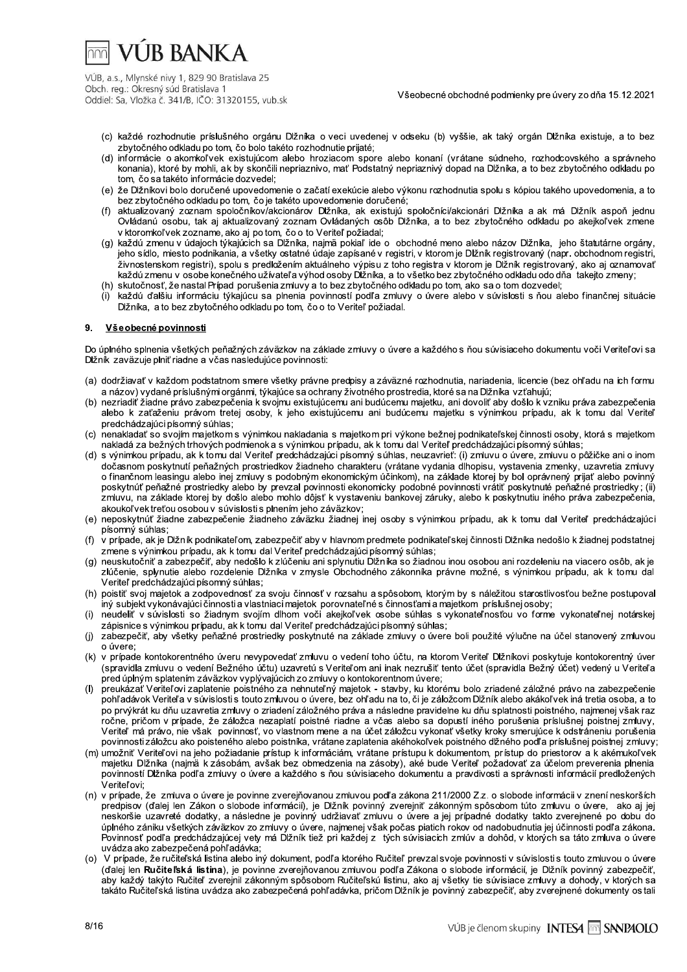# **VUR BANKA**

VÚB, a.s., Mlynské nivy 1, 829 90 Bratislava 25 Obch. reg.: Okresný súd Bratislava 1 Oddiel: Sa, Vložka č. 341/B, IČO: 31320155, vub.sk

Všeobecné obchodné podmienky pre úvery zo dňa 15.12.2021

- (c) každé rozhodnutie príslušného orgánu Dlžníka o veci uvedenej v odseku (b) vyššie, ak taký orgán Dlžníka existuje, a to bez zbytočného odkladu po tom, čo bolo takéto rozhodnutie prijaté:
- (d) informácie o akomkoľvek existujúcom alebo hroziacom spore alebo konaní (vrátane súdneho, rozhodcovského a správneho konania), ktoré by mohli, ak by skončili nepriaznivo, mať Podstatný nepriaznivý dopad na Dlžníka, a to bez zbytočného odkladu po tom, čo sa takéto informácie dozvedel:
- (e) že Dĺžníkovi bolo doručené upovedomenie o začatí exekúcie alebo výkonu rozhodnutia spolu s kópiou takého upovedomenia, a to bez zbytočného odkladu po tom, čo je takéto upovedomenie doručené;
- (f) aktualizovaný zoznam spoločníkov/akcionárov Dižníka, ak existujú spoločníci/akcionári Dižníka a ak má Dižník aspoň jednu Ovládanú osobu, tak aj aktualizovaný zoznam Ovládaných osôb Dlžníka, a to bez zbytočného odkladu po akejkoľvek zmene v ktoromkoľvek zozname, ako aj po tom, čo o to Veriteľ požiadal;
- (g) každú zmenu v údajoch týkajúcich sa Dlžníka, najmä pokiaľ ide o obchodné meno alebo názov Dlžníka, jeho štatutárne orgány, jeho sídlo, miesto podnikania, a všetky ostatné údaje zapísané v registri, v ktorom je Dĺžník registrovaný (napr. obchodnom registri, živnostenskom registri), spolu s predložením aktuálneho výpisu z toho registra v ktorom je Dĺžník registrovaný, ako aj oznamovať každú zmenu v osobe konečného užívateľ a výhod osoby Dĺžníka, a to všetko bez zbytočného odkladu odo dňa takejto zmeny;
- (h) skutočnosť, že nastal Prípad porušenia zmluvy a to bez zbytočného odkladu po tom, ako sa o tom dozvedel;
- každú ďalšiu informáciu týkajúcu sa plnenia povinností podľa zmluvy o úvere alebo v súvislosti s ňou alebo finančnej situácie Dižníka, a to bez zbytočného odkladu po tom, čo o to Veriteľ požiadal.

#### $\mathbf{Q}$ Všeobecné povinnosti

Do úplného splnenia všetkých peňažných záväzkov na základe zmluvy o úvere a každého s ňou súvisiaceho dokumentu voči Veriteľovi sa Dižník zavazuje plniť riadne a včas nasledujúce povinnosti:

- (a) dodržiavať v každom podstatnom smere všetky právne predpisy a záväzné rozhodnutia, nariadenia, licencie (bez ohľadu na ich formu a názov) vydané príslušnými orgánmi, týkajúce sa ochrany životného prostredia, ktoré sa na Dižníka vzťahujú;
- (b) nezriadiť žiadne právo zabezpečenia k svojmu existujúcemu ani budúcemu majetku, ani dovoliť aby došlo k vzniku práva zabezpečenia alebo k zaťaženiu právom tretej osoby, k jeho existujúcemu ani budúcemu majetku s výnimkou prípadu, ak k tomu dal Veriteľ predchádzajúci písomný súhlas;
- (c) nenakladať so svojím majetkom s výnimkou nakladania s majetkom pri výkone bežnej podnikateľskej činnosti osoby, ktorá s majetkom nakladá za bežných trhových podmienok a s výnimkou prípadu, ak k tomu dal Veriteľ predchádzajúci písomný súhlas;
- (d) s výnimkou prípadu, ak k tomu dal Veriteľ predchádzajúci písomný súhlas, neuzavrieť: (i) zmluvu o úvere, zmluvu o pôžičke ani o inom dočasnom poskytnutí peňažných prostriedkov žiadneho charakteru (vrátane vydania dlhopisu, vystavenia zmenky, uzavretia zmluvy o finančnom leasingu alebo inej zmluvy s podobným ekonomickým účinkom), na základe ktorej by bol oprávnený prijať alebo povinný poskytnúť peňažné prostriedky alebo by prevzal povinnosti ekonomicky podobné povinnosti vrátiť poskytnuté peňažné prostriedky; (ii) zmluvu, na základe ktorej by došlo alebo mohlo dôjsť k vystaveniu bankovej záruky, alebo k poskytnutiu iného práva zabezpečenia, akoukoľvek treťou osobou v súvislosti s plnením jeho záväzkov;
- (e) neposkytnúť žiadne zabezpečenie žiadneho záväzku žiadnej inej osoby s výnimkou prípadu, ak k tomu dal Veriteľ predchádzajúci písomný súhlas:
- $(f)$ v prípade, ak je Dižník podnikateľom, zabezpečiť aby v hlavnom predmete podnikateľskej činnosti Dižníka nedošlo k žiadnej podstatnej zmene s výnimkou prípadu, ak k tomu dal Veriteľ predchádzajúci písomný súhlas:
- (g) neuskutočniť a zabezpečiť, aby nedošlo k zlúčeniu ani splynutiu Dlžníka so žiadnou inou osobou ani rozdeleniu na viacero osôb. ak ie zlúčenie, splynutie alebo rozdelenie Dlžníka v zmysle Obchodného zákonníka právne možné, s výnimkou prípadu, ak k tomu dal Veriteľ predchádzajúci písomný súhlas;
- (h) poistiť svoi majetok a zodpovednosť za svoju činnosť v rozsahu a spôsobom, ktorým by s náležitou starostlivosťou bežne postupoval iný subjekt vykonávajúci činnosti a vlastniaci majetok porovnateľné s činnosťami a majetkom príslušnej osoby;
- neudeliť v súvislosti so žiadnym svojím dlhom voči akejkoľvek osobe súhlas s vykonateľnosťou vo forme vykonateľnej notárskej  $(i)$ zápisnice s výnimkou prípadu, ak k tomu dal Veriteľ predchádzajúci písomný súhlas;
- $(i)$ zabezpečiť, aby všetky peňažné prostriedky poskytnuté na základe zmluvy o úvere boli použité výlučne na účel stanovený zmluvou o úvere:
- (k) v prípade kontokorentného úveru nevypovedať zmluvu o vedení toho účtu, na ktorom Veriteľ Dlžníkovi poskytuje kontokorentný úver (spravidla zmluvu o vedení Bežného účtu) uzavretú s Veriteľom ani inak nezrušiť tento účet (spravidla Bežný účet) vedený u Veriteľa pred úplným splatením záväzkov vyplývajúcich zo zmluvy o kontokorentnom úvere;
- preukázať Veriteľovi zaplatenie poistného za nehnuteľný majetok stavby, ku ktorému bolo zriadené záložné právo na zabezpečenie  $(1)$ pohľadávok Veriteľa v súvislosti s touto zmluvou o úvere, bez ohľadu na to, či je záložcom Dlžník alebo akákoľvek iná tretia osoba, a to po prvýkrát ku dňu uzavretia zmluvy o zriadení záložného práva a následne pravidelne ku dňu splatnosti poistného, najmenej však raz ročne, pričom v prípade, že záložca nezaplatí poistné riadne a včas alebo sa dopustí iného porušenia príslušnej poistnej zmluvy, Veriteľ má právo, nie však povinnosť, vo vlastnom mene a na účet záložcu vykonať všetky kroky smerujúce k odstráneniu porušenia povinnosti záložcu ako poisteného alebo poistníka, vrátane zaplatenia akéhokoľvek poistného dĺžného podľa príslušnej poistnej zmluvy;
- (m) umožniť Veriteľovi na jeho požiadanie prístup k informáciám, vrátane prístupu k dokumentom, prístup do priestorov a k akémukoľvek majetku Dĺžníka (najmä k zásobám, avšak bez obmedzenia na zásoby), aké bude Veriteľ požadovať za účelom preverenia plnenia povinností Dĺžníka podľa zmluvy o úvere a každého s ňou súvisiaceho dokumentu a pravdivosti a správnosti informácií predložených Veriteľovi:
- (n) v prípade, že zmluva o úvere je povinne zverejňovanou zmluvou podľa zákona 211/2000 Zz. o slobode informácii v znení neskorších predpisov (ďalej len Zákon o slobode informácií), je Dĺžník povinný zverejniť zákonným spôsobom túto zmluvu o úvere, ako aj jej neskoršie uzavreté dodatky, a následne je povinný udržiavať zmluvu o úvere a jej prípadné dodatky takto zverejnené po dobu do úplného zániku všetkých záväzkov zo zmluvy o úvere, najmenej však počas piatich rokov od nadobudnutia jej účinnosti podľa zákona. Povinnosť podľa predchádzajúcej vety má Dĺžník tiež pri každej z tých súvisiacich zmlúv a dohôd, v ktorých sa táto zmluva o úvere uvádza ako zabezpečená pohľadávka;
- (o) V prípade, že ručiteľská listina alebo iný dokument, podľa ktorého Ručiteľ prevzal svoje povinnosti v súvislosti s touto zmluvou o úvere (ďalej len Ručiteľská listina), je povinne zverejňovanou zmluvou podľa Zákona o slobode informácií, je Dlžník povinný zabezpečiť, aby každý takýto Ručiteľ zverejnil zákonným spôsobom Ručiteľskú listinu, ako aj všetky tie súvisiace zmluvy a dohody, v ktorých sa takáto Ručiteľská listina uvádza ako zabezpečená pohľadávka, pričom Dlžník je povinný zabezpečiť, aby zverejnené dokumenty ostali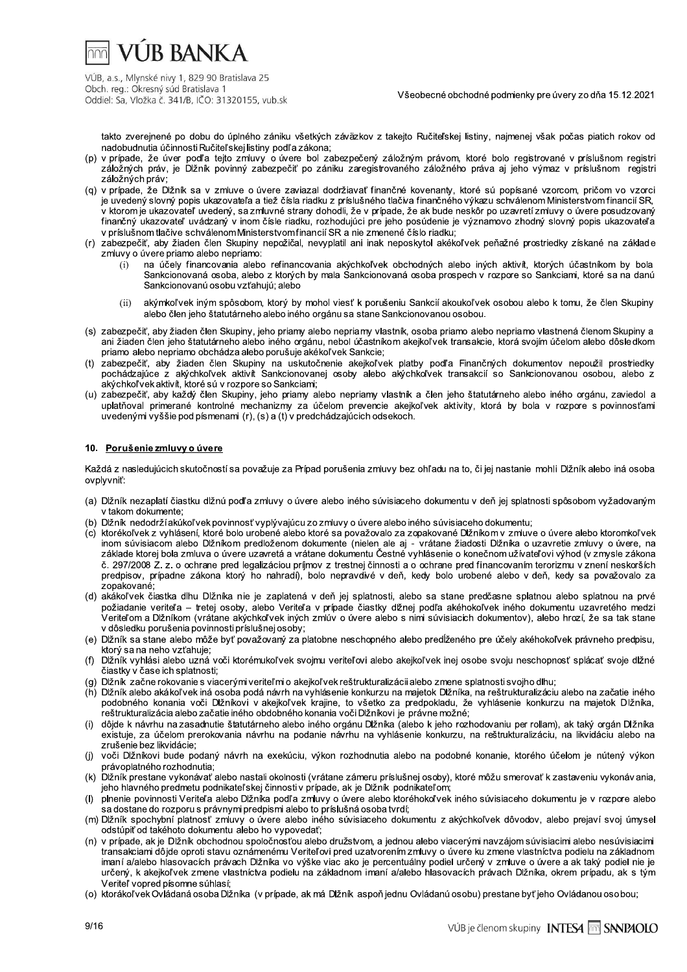

Všeobecné obchodné podmienky pre úvery zo dňa 15.12.2021

takto zverejnené po dobu do úplného zániku všetkých záväzkov z takejto Ručiteľskej listiny, najmenej však počas piatich rokov od nadobudnutia účinnosti Ručiteľskej listiny podľa zákona;

- (p) v prípade, že úver podľa tejto zmluvy o úvere bol zabezpečený záložným právom, ktoré bolo registrované v príslušnom registri záložných práv, je Dlžník povinný zabezpečiť po zániku zaregistrovaného záložného práva aj jeho výmaz v príslušnom registri záložných práv;
- (q) v prípade, že Dĺžník sa v zmluve o úvere zaviazal dodržiavať finančné kovenanty, ktoré sú popísané vzorcom, pričom vo vzorci je uvedený slovný popis ukazovateľa a tiež čísla riadku z príslušného tlačiva finančného výkazu schválenom Ministerstvom financií SR, ,<br>v ktorom je ukazovateľ uvedený, sa zmluvné strany dohodli, že v prípade, že ak bude neskôr po uzavretí zmluvy o úvere posudzovaný finančný ukazovateľ uvádzaný v inom čísle riadku, rozhodujúci pre jeho posúdenie je významovo zhodný slovný popis ukazovateľa v príslušnom tlačive schválenom Ministerstvom financií SR a nie zmenené číslo riadku;
- (r) zabezpečiť, aby žiaden člen Skupiny nepožičal, nevyplatil ani inak neposkytol akékoľvek peňažné prostriedky získané na základe zmluvy o úvere priamo alebo nepriamo:
	- na účely financovania alebo refinancovania akýchkoľvek obchodných alebo iných aktivít, ktorých účastníkom by bola  $(i)$ Sankcionovaná osoba, alebo z ktorých by mala Sankcionovaná osoba prospech v rozpore so Sankciami, ktoré sa na danú Sankcionovanú osobu vzťahujú; alebo
	- akýmkoľvek iným spôsobom, ktorý by mohol viesť k porušeniu Sankcií akoukoľvek osobou alebo k tomu, že člen Skupiny  $(ii)$ alebo člen jeho štatutárneho alebo iného orgánu sa stane Sankcionovanou osobou.
- (s) zabezpečiť, aby žiaden člen Skupiny, jeho priamy alebo nepriamy vlastník, osoba priamo alebo nepriamo vlastnená členom Skupiny a ani žiaden člen jeho štatutárneho alebo iného orgánu, nebol účastníkom akejkoľvek transakcie, ktorá svojím účelom alebo dôsledkom priamo alebo nepriamo obchádza alebo porušuje akékoľvek Sankcie;
- $(1)$ zabezpečiť, aby žiaden člen Skupiny na uskutočnenie akejkoľvek platby podľa Finančných dokumentov nepoužil prostriedky pochádzajúce z akýchkoľvek aktivít Sankcionovanej osoby alebo akýchkoľvek transakcií so Sankcionovanou osobou, alebo z akýchkoľ vek aktivít, ktoré sú v rozpore so Sankciami;
- (u) zabezpečiť, aby každý člen Skupiny, jeho priamy alebo nepriamy vlastník a člen jeho štatutárneho alebo iného orgánu, zaviedol a uplatňoval primerané kontrolné mechanizmy za účelom prevencie akejkoľvek aktivity, ktorá by bola v rozpore s povinnosťami uvedenými vyššie pod písmenami (r), (s) a (t) v predchádzajúcich odsekoch.

### 10. Porušenie zmluvy o úvere

Každá z nasledujúcich skutočností sa považuje za Prípad porušenia zmluvy bez ohľadu na to, či jej nastanie mohli Dižník alebo iná osoba ovplvvniť:

- (a) Dĺžník nezaplatí čiastku dĺžnú podľa zmluvy o úvere alebo iného súvisiaceho dokumentu v deň jej splatnosti spôsobom vyžadovaným v takom dokumente;
- (b) Dĺžník nedodrží akúkoľvek povinnosť vyplývajúcu zo zmluvy o úvere alebo iného súvisiaceho dokumentu;
- (c) ktorékoľvek z vyhlásení, ktoré bolo urobené alebo ktoré sa považovalo za zopakované Dlžníkom v zmluve o úvere alebo ktoromkoľvek inom súvisiacom alebo Dlžníkom predloženom dokumente (nielen ale aj - vrátane žiadosti Dlžníka o uzavretie zmluvy o úvere, na základe ktorej bola zmluva o úvere uzavretá a vrátane dokumentu Čestné vyhlásenie o konečnom užívateľovi výhod (v zmysle zákona č. 297/2008 Z. z. o ochrane pred legalizáciou príjmov z trestnej činnosti a o ochrane pred financovaním terorizmu v znení neskorších predpisov, prípadne zákona ktorý ho nahradí), bolo nepravdivé v deň, kedy bolo urobené alebo v deň, kedy sa považovalo za zopakované;
- (d) akákoľvek čiastka dlhu Dlžníka nie je zaplatená v deň jej splatnosti, alebo sa stane predčasne splatnou alebo splatnou na prvé požiadanie veriteľa - tretej osoby, alebo Veriteľa v prípade čiastky dĺžnej podľa akéhokoľvek iného dokumentu uzavretého medzi Veriteľom a Dĺžníkom (vrátane akýchkoľvek iných zmlúv o úvere alebo s nimi súvisiacich dokumentov), alebo hrozí, že sa tak stane v dôsledku porušenia povinnosti príslušnej osoby;
- (e) Dĺžník sa stane alebo môže byť považovaný za platobne neschopného alebo predĺženého pre účely akéhokoľvek právneho predpisu. ktorý sa na neho vzťahuje;
- $(f)$ Dĺžník vyhlási alebo uzná voči ktorémukoľvek svojmu veriteľovi alebo akejkoľvek inej osobe svoju neschopnosť splácať svoje dĺžné čiastky v čase ich splatnosti;
- Dĺžník začne rokovanie s viacerými veriteľmi o akejkoľvek reštrukturalizácii alebo zmene splatnosti svojho dlhu;
- (h) Dižník alebo akákoľvek iná osoba podá návrh na vyhlásenie konkurzu na majetok Dižníka, na reštrukturalizáciu alebo na začatie iného podobného konania voči Dĺžníkovi v akejkoľvek krajine, to všetko za predpokladu, že vyhlásenie konkurzu na majetok Dĺžníka, reštrukturalizácia alebo začatie iného obdobného konania voči Dlžníkovi je právne možné;
- dôjde k návrhu na zasadnutie štatutárneho alebo iného orgánu Dlžníka (alebo k jeho rozhodovaniu per rollam), ak taký orgán Dlžníka  $(i)$ existuje, za účelom prerokovania návrhu na podanie návrhu na vyhlásenie konkurzu, na reštrukturalizáciu, na likvidáciu alebo na zrušenie bez likvidácie;
- (i) voči Dlžníkovi bude podaný návrh na exekúciu, výkon rozhodnutia alebo na podobné konanie, ktorého účelom ie nútený výkon právoplatného rozhodnutia;
- (k) Dĺžník prestane vykonávať alebo nastali okolnosti (vrátane zámeru príslušnej osoby), ktoré môžu smerovať k zastaveniu vykonávania, jeho hlavného predmetu podnikateľskej činnosti v prípade, ak je Dlžník podnikateľom;
- plnenie povinnosti Veriteľa alebo Dižníka podľa zmluvy o úvere alebo ktoréhokoľvek iného súvisiaceho dokumentu je v rozpore alebo  $(1)$ sa dostane do rozporu s právnymi predpismi alebo to príslušná osoba tvrdí;
- (m) Dĺžník spochybní platnosť zmluvy o úvere alebo iného súvisiaceho dokumentu z akýchkoľvek dôvodov, alebo prejaví svoj úmysel odstúpiť od takéhoto dokumentu alebo ho vypovedať;
- (n) v prípade, ak je Dĺžník obchodnou spoločnosťou alebo družstvom, a jednou alebo viacerými navzájom súvisiacimi alebo nesúvisiacimi transakciami dôjde oproti stavu oznámenému Veriteľovi pred uzatvorením zmluvy o úvere ku zmene vlastníctva podielu na základnom imaní a/alebo hlasovacích právach Dlžníka vo výške viac ako je percentuálny podiel určený v zmluve o úvere a ak taký podiel nie je určený, k akejkoľvek zmene vlastníctva podielu na základnom imaní a/alebo hlasovacích právach Dlžníka, okrem prípadu, ak s tým Veriteľ vopred písomne súhlasí;
- (o) ktorákoľ vek Ovládaná osoba Dĺžníka (v prípade, ak má Dĺžník aspoň jednu Ovládanú osobu) prestane byť jeho Ovládanou osobou;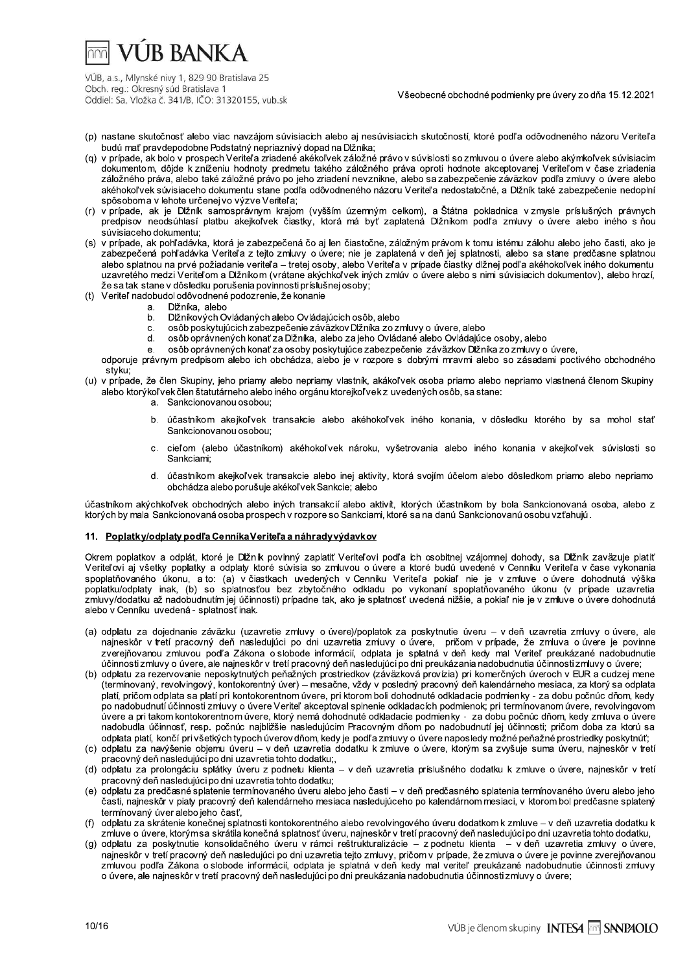## **VUR BANKA**

VÚB, a.s., Mlynské nivy 1, 829 90 Bratislava 25 Obch. reg.: Okresný súd Bratislava 1 Oddiel: Sa, Vložka č. 341/B, IČO: 31320155, vub.sk

Všeobecné obchodné podmienky pre úvery zo dňa 15.12.2021

- (p) nastane skutočnosť alebo viac navzájom súvisiacich alebo aj nesúvisiacich skutočností, ktoré podľa odôvodneného názoru Veriteľa budú mať pravdepodobne Podstatný nepriaznivý dopad na Dižníka;
- (q) v prípade, ak bolo v prospech Veriteľa zriadené akékoľvek záložné právo v súvisosti so zmluvou o úvere alebo akýmkoľvek súvisiacim dokumentom, dôjde k zníženiu hodnoty predmetu takého záložného práva oproti hodnote akceptovanej Veriteľom v čase zriadenia záložného práva, alebo také záložné právo po jeho zriadení nevznikne, alebo sa zabezpečenie záväzkov podľa zmluvy o úvere alebo akéhokoľvek súvisiaceho dokumentu stane podľa odôvodneného názoru Veriteľa nedostatočné, a Dĺžník také zabezpečenie nedoplní spôsoboma v lehote určenej vo výzve Veriteľa:
- (r) v prípade, ak je Dižník samosprávnym krajom (vyšším územným celkom), a Štátna pokladnica v zmysle príslušných právnych predpisov neodsúhlasí platbu akejkoľvek čiastky, ktorá má byť zaplatená Dižníkom podľa zmluvy o úvere alebo iného s ňou súvisiaceho dokumentu;
- (s) v prípade, ak pohľadávka, ktorá je zabezpečená čo aj len čiastočne, záložným právom k tomu istému zálohu alebo jeho časti, ako je zabezpečená pohľadávka Veriteľa z tejto zmluvy o úvere; nie je zaplatená v deň jej splatnosti, alebo sa stane predčasne splatnou alebo splatnou na prvé požiadanie veriteľa – tretej osoby, alebo Veriteľa v prípade čiastky dlžnej podľa akéhokoľvek iného dokumentu uzavretého medzi Veriteľom a Dĺžníkom (vrátane akýchkoľvek iných zmlúv o úvere alebo s nimi súvisiacich dokumentov), alebo hrozí, že sa tak stane v dôsledku porušenia povinnosti príslušnej osoby;
- (t) Veriteľ nadobudol odôvodnené podozrenie, že konanie
	- Dižníka, alebo a.
	- Dižníkových Ovládaných alebo Ovládajúcich osôb, alebo  $<sub>b</sub>$ </sub>
	- osôb poskytujúcich zábezpečenie záväzkov Dlžníka zo zmluvy o úvere, alebo  $\mathbf{C}$
	- osôb oprávnených konať za Dĺžníka, alebo za jeho Ovládané alebo Ovládajúce osoby, alebo  $\overline{d}$
	- e. osôb oprávnených konať za osoby poskytujúce zabezpečenie záväzkov Dĺžníka zo zmluvy o úvere,
- odporuje právnym predpisom alebo ich obchádza, alebo je v rozpore s dobrými mravmi alebo so zásadami poctivého obchodného styku;
- (u) v prípade, že člen Skupiny, jeho priamy alebo nepriamy vlastník, akákoľvek osoba priamo alebo nepriamo vlastnená členom Skupiny alebo ktorýkoľ vek člen štatutárneho alebo iného orgánu ktorejkoľ vek z uvedených osôb, sa stane:
	- a. Sankcionovanou osobou:
	- účastníkom akejkoľvek transakcie alebo akéhokoľvek iného konania, v dôsledku ktorého by sa mohol stať  $b<sub>1</sub>$ Sankcionovanou osobou:
	- cieľom (alebo účastníkom) akéhokoľvek nároku, vyšetrovania alebo iného konania v akejkoľvek súvislosti so  $\mathbf{C}$ Sankciami:
	- účastníkom akejkoľvek transakcie alebo inej aktivity, ktorá svojím účelom alebo dôsledkom priamo alebo nepriamo d. obchádza alebo porušuje akékoľvek Sankcie; alebo

účastníkom akýchkoľvek obchodných alebo iných transakcií alebo aktivít, ktorých účastníkom by bola Sankcionovaná osoba, alebo z ktorých by mala Sankcionovaná osoba prospech v rozpore so Sankciami, ktoré sa na danú Sankcionovanú osobu vzťahujú.

#### 11. Poplatky/odplaty podľa Cenníka Veriteľa a náhrady výdavkov

Okrem poplatkov a odplát, ktoré je Dĺžník povinný zaplatiť Veriteľovi podľa ich osobitnej vzájomnej dohody, sa Dĺžník zaväzuje platiť Veriteľovi aj všetky poplatky a odplaty ktoré súvisia so zmluvou o úvere a ktoré budú uvedené v Cenníku Veriteľa v čase vykonania spoplatňovaného úkonu, a to: (a) v čiastkach uvedených v Cenníku Veriteľa pokiaľ nie je v zmluve o úvere dohodnutá výška poplatku/odplaty inak, (b) so splatnosťou bez zbytočného odkladu po vykonaní spoplatňovaného úkonu (v prípade uzavretia<br>zmluvy/dodatku až nadobudnutím jej účinnosti) prípadne tak, ako je splatnosť uvedená nižšie, a pokiaľ alebo v Cenníku uvedená - splatnosť inak.

- (a) odplatu za dojednanie záväzku (uzavretie zmluvy o úvere)/poplatok za poskytnutie úveru v deň uzavretia zmluvy o úvere, ale najneskôr v tretí pracovný deň nasledujúci po dni uzavretia zmluvy o úvere, pričom v prípade, že zmluva o úvere je povinne<br>zverejňovanou zmluvou podľa Zákona o slobode informácií, odplata je splatná v deň kedy mal Veriteľ účinnosti zmluvy o úvere, ale najneskôr v tretí pracovný deň nasledujúci po dni preukázania nadobudnutia účinnosti zmluvy o úvere;
- (b) odplatu za rezervovanie neposkytnutých peňažných prostriedkov (záväzková provízia) pri komerčných úveroch v EUR a cudzej mene (termínovaný, revolvingový, kontokorentný úver) – mesačne, vždy v posledný pracovný deň kalendárneho mesiaca, za ktorý sa odplata platí, pričom odplata sa platí pri kontokorentnom úvere, pri ktorom boli dohodnuté odkladacie podmienky - za dobu počnúc dňom, kedy po nadobudnutí účinnosti zmluvy o úvere Veriteľ akceptoval splnenie odkladacích podmienok; pri termínovanom úvere, revolvingovom úvere a pri takom kontokorentnom úvere, ktorý nemá dohodnuté odkladacie podmienky - za dobu počnúc dňom, kedy zmluva o úvere nadobudla účinnosť, resp. počnúc najblížšie nasledujúcim Pracovným dňom po nadobudnutí jej účinnosti; pričom doba za ktorú sa odplata platí, končí pri všetkých typoch úverov dňom, kedy je podľa zmluvy o úvere naposledy možné peňažné prostriedky poskytnúť;
- (c) odplatu za navýšenie objemu úveru v deň uzavretia dodatku k zmluve o úvere, ktorým sa zvyšuje suma úveru, najneskôr v tretí pracovný deň nasledujúci po dni uzavretia tohto dodatku;,
- (d) odplatu za prolongáciu splátky úveru z podnetu klienta v deň uzavretia príslušného dodatku k zmluve o úvere, najneskôr v tretí pracovný deň nasledujúci po dni uzavretia tohto dodatku;
- (e) odplatu za predčasné splatenie termínovaného úveru alebo ieho časti v deň predčasného splatenia termínovaného úveru alebo ieho časti, najneskôr v piaty pracovný deň kalendárneho mesiaca nasledujúceho po kalendárnom mesiaci, v ktorom bol predčasne splatený termínovaný úver alebo jeho časť,
- odplatu za skrátenie konečnej splatnosti kontokorentného alebo revolvingového úveru dodatkom k zmluve v deň uzavretia dodatku k zmluve o úvere, ktorýmsa skrátila konečná splatnosť úveru, najneskôr v tretí pracovný deň nasledujúci po dni uzavretia tohto dodatku,
- (g) odplatu za poskytnutie konsolidačného úveru v rámci reštrukturalizácie z podnetu klienta v deň uzavretia zmluvy o úvere, najneskôr v tretí pracovný deň nasledujúci po dni uzavretia tejto zmluvy, pričom v prípade, že zmluva o úvere je povinne zverejňovanou zmluvou podľa Zákona o slobode informácií, odplata je splatná v deň kedy mal veriteľ preukázané nadobudnutie účinnosti zmluvy o úvere, ale najneskôr v tretí pracovný deň nasledujúci po dni preukázania nadobudnutia účinnosti zmluvy o úvere;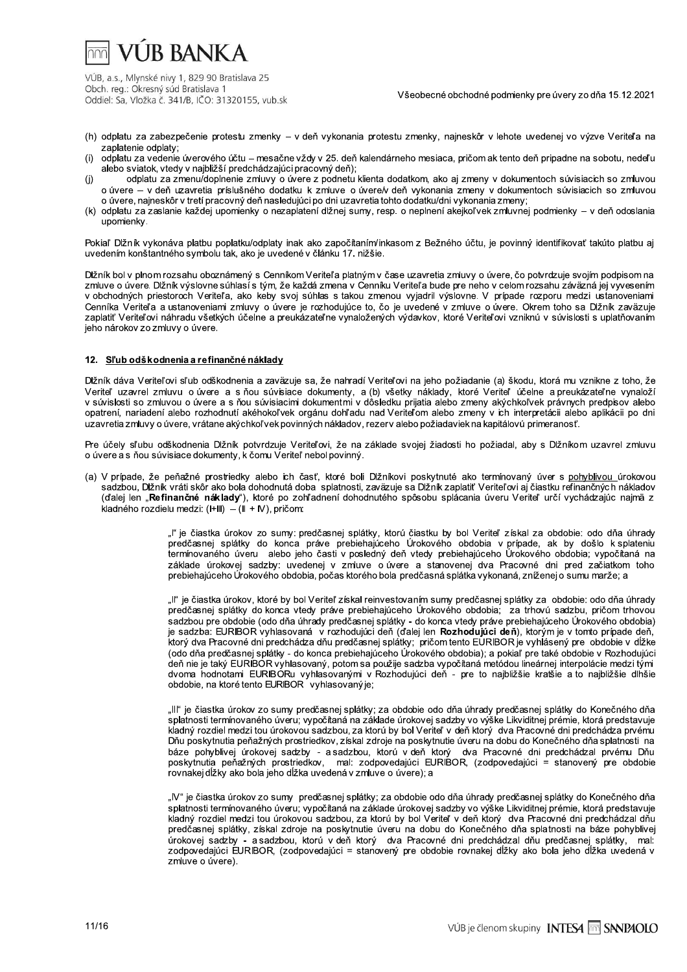# **VUR BANKA**

VÚB, a.s., Mlynské nivy 1, 829 90 Bratislava 25 Obch. reg.: Okresný súd Bratislava 1 Oddiel: Sa, Vložka č. 341/B, IČO: 31320155, vub.sk

Všeobecné obchodné podmienky pre úvery zo dňa 15.12.2021

- (h) odplatu za zabezpečenie protestu zmenky v deň vykonania protestu zmenky, najneskôr v lehote uvedenej vo výzve Veriteľa na zaplatenie odplaty:
- $(i)$ odplatu za vedenie úverového účtu – mesačne vždy v 25. deň kalendárneho mesiaca, pričom ak tento deň pripadne na sobotu, nedeľu alebo sviatok, vtedy v najbližší predchádzajúci pracovný deň);
- odplatu za zmenu/doplnenie zmluvy o úvere z podnetu klienta dodatkom, ako aj zmeny v dokumentoch súvisiacich so zmluvou  $(j)$ o úvere - v deň uzavretia príslušného dodatku k zmluve o úvere/v deň vykonania zmeny v dokumentoch súvisiacich so zmluvou o úvere, najneskôr v tretí pracovný deň nasledujúci po dni uzavretia tohto dodatku/dni vykonania zmeny;
- (k) odplatu za zaslanie každej upomienky o nezaplatení dlžnej sumy, resp. o neplnení akejkoľvek zmluvnej podmienky v deň odoslania upomienky.

Pokiaľ Dĺžník vykonáva platbu poplatku/odplaty inak ako započítaním/inkasom z Bežného účtu, je povinný identifikovať takúto platbu aj uvedením konštantného symbolu tak, ako je uvedené v článku 17. nižšie.

Dĺžník bol v plnom rozsahu oboznámený s Cenníkom Veriteľa platným v čase uzavretia zmluvy o úvere, čo potvrdzuje svojím podpisom na zmluve o úvere. Dĺžník výslovne súhlasí s tým, že každá zmena v Čenníku Veriteľa bude pre neho v celom rozsahu záväzná jej vyvesením v obchodných priestoroch Veriteľa, ako keby svoj súhlas s takou zmenou vyjadril výslovne. V prípade rozporu medzi ustanoveniami Cenníka Veriteľa a ustanoveniami zmluvy o úvere je rozhodujúce to, čo je uvedené v zmluve o úvere. Okrem toho sa Dlžník zaväzuje zaplatiť Veriteľovi náhradu všetkých účelne a preukázateľne vynaložených výdavkov, ktoré Veriteľovi vzniknú v súvislosti s uplatňovaním jeho nárokov zo zmluvy o úvere.

## 12. Sľub odškodnenia a refinančné náklady

Dĺžník dáva Veriteľovi sľub odškodnenia a zaväzuje sa, že nahradí Veriteľovi na jeho požiadanie (a) škodu, ktorá mu vznikne z toho, že Veriteľ uzavrel zmluvu o úvere a s ňou súvisiace dokumenty, a (b) všetky náklady, ktoré Veriteľ účelne a preukázateľne vynaloží v súvislosti so zmluvou o úvere a s ňou súvisiacimi dokumentmi v dôsledku prijatia alebo zmeny akýchkoľvek právnych predpisov alebo opatrení, nariadení alebo rozhodnutí akéhokoľvek orgánu dohľadu nad Veriteľom alebo zmeny v ich interpretácii alebo aplikácii po dni uzavretia zmluvy o úvere, vrátane akýchkoľvek povinných nákladov, rezerv alebo požiadaviek na kapitálovú primeranosť.

Pre účely sľubu odškodnenia Dĺžník potvrdzuje Veriteľovi, že na základe svojej žiadosti ho požiadal, aby s Dĺžníkom uzavrel zmluvu o úvere a s ňou súvisiace dokumenty, k čomu Veriteľ nebol povinný.

(a) V prípade, že peňažné prostriedky alebo ich časť, ktoré boli Dlžníkovi poskytnuté ako termínovaný úver s pohyblivou úrokovou sadzbou, Dlžník vráti skôr ako bola dohodnutá doba splatnosti, zaväzuje sa Dlžník zaplatiť Veriteľovi aj čiastku refinančných nákladov (ďalej len "Refinančné náklady"), ktoré po zohľadnení dohodnutého spôsobu splácania úveru Veriteľ určí vychádzajúc najmä z kladného rozdielu medzi:  $(H||) - (|| + W)$ , pričom:

> "ľ" je čiastka úrokov zo sumy: predčasnej splátky, ktorú čiastku by bol Veriteľ získal za obdobie: odo dňa úhrady<br>predčasnej splátky do konca práve prebiehajúceho Úrokového obdobia v prípade, ak by došlo k splateniu termínovaného úveru alebo jeho časti v posledný deň vtedy prebiehajúceho Úrokového obdobia; vypočítaná na základe úrokovej sadzby: uvedenej v zmluve o úvere a stanovenej dva Pracovné dni pred začiatkom toho prebiehajúceho Úrokového obdobia, počas ktorého bola predčasná splátka vykonaná, zníženej o sumu marže; a

> "Il" je čiastka úrokov, ktoré by bol Veriteľ získal reinvestovaním sumy predčasnej splátky za obdobie: odo dňa úhrady predčasnej splátky do konca vtedy práve prebiehajúceho Úrokového obdobia; za trhovú sadzbu, pričom trhovou sadzbou pre obdobie (odo dňa úhrady predčasnej splátky - do konca vtedy práve prebiehajúceho Úrokového obdobia) je sadzba: EURIBOR vyhlasovaná v rozhodujúci deň (ďalej len Rozhodujúci deň), ktorým je v tomto prípade deň, ktorý dva Pracovné dni predchádza dňu predčasnej splátky; pričom tento EURIBOR je vyhlásený pre obdobie v dĺžke<br>(odo dňa predčasnej splátky - do konca prebiehajúceho Úrokového obdobia); a pokiaľ pre také obdobie v Rozhoduj deň nie je taký EURÍBOR vyhlasovaný, potom sa použije sadzba vypočítaná metódou lineárnej interpolácie medzi tými dvoma nodnotami EURIBORu vyhlasovanými v Rozhodujúci deň - pre to najbližšie kratšie a to najbližšie dlnšie obdobie, na ktoré tento EURIBOR vyhlasovaný je;

> "III" je čiastka úrokov zo sumy predčasnej splátky; za obdobie odo dňa úhrady predčasnej splátky do Konečného dňa splatnosti termínovaného úveru; vypočítaná na základe úrokovej sadzby vo výške Likviditnej prémie, ktorá predstavuje kladný rozdiel medzi tou úrokovou sadzbou, za ktorú by bol Veriteľ v deň ktorý dva Pracovné dni predchádza prvému Dňu poskytnutia peňažných prostriedkov, získal zdroje na poskytnutie úveru na dobu do Konečného dňa splatnosti na báze pohyblivej úrokovej sadzby - a sadzbou, ktorú v deň ktorý dva Pracovné dni predchádzal prvému Dňu politicalne priestalne production and the material statement of the prediction of the prediction of production<br>poskythutia peňažných prostriedkov, mal: zodpovedajúci EURIBOR, (zodpovedajúci = stanovený pre obdobie rovnakej

> "IV" je čiastka úrokov zo sumy predčasnej splátky; za obdobie odo dňa úhrady predčasnej splátky do Konečného dňa splatnosti termínovaného úveru; vypočítaná na základe úrokovej sadzby vo výške Likviditnej prémie, ktorá predstavuje kladný rozdiel medzi tou úrokovou sadzbou, za ktorú by bol Veriteľ v deň ktorý dva Pracovné dni predchádzal dňu predčasnej splátky, získal zdroje na poskytnutie úveru na dobu do Konečného dňa splatnosti na báze pohyblivej úrokovej sadzby - a sadzbou, ktorú v deň ktorý dva Pracovné dni predchádzal dňu predčasnej splátky, mal: zodpovedajúci EURIBOR, (zodpovedajúci = stanovený pre obdobie rovnakej dĺžky ako bola jeho dĺžka uvedená v zmluve o úvere).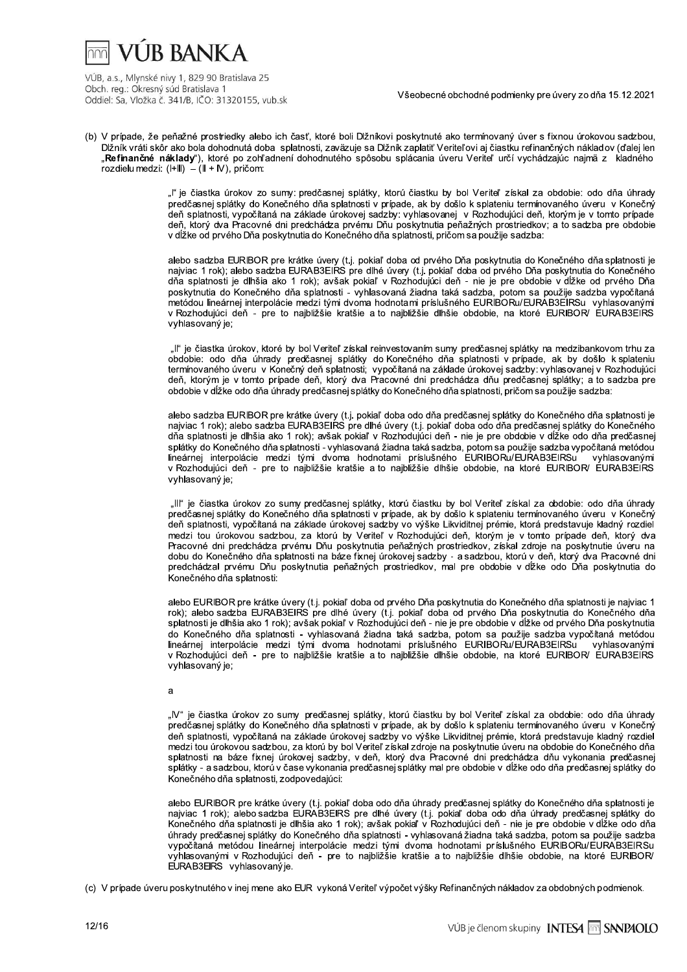## VI IB BANK A

VÚB, a.s., Mlynské nivy 1, 829 90 Bratislava 25 Obch. reg.: Okresný súd Bratislava 1 Oddiel: Sa, Vložka č. 341/B, IČO: 31320155, vub.sk

Všeobecné obchodné podmienky pre úvery zo dňa 15.12.2021

(b) V prípade, že peňažné prostriedky alebo ich časť, ktoré boli Dlžníkovi poskytnuté ako termínovaný úver s fixnou úrokovou sadzbou, Dĺžník vráti skôr ako bola dohodnutá doba splatnosti, zaväzuje sa Dĺžník zaplatiť Veriteľovi aj čiastku refinančných nákladov (ďalej len "**Refinančné náklady**"), ktoré po zohľadnení dohodnutého spôsobu splácania úveru Veriteľ určí vychádzajúc najmä z kladného rozdielu medzi:  $(H||) - (|| + W)$ , pričom:

> "l" je čiastka úrokov zo sumy: predčasnej splátky, ktorú čiastku by bol Veriteľ získal za obdobie: odo dňa úhrady predčasnej splátky do Konečného dňa splatnosti v prípade, ak by došlo k splateniu termínovaného úveru v Konečný deň splatnosti, vypočítaná na základe úrokovej sadzby: vyhlasovanej v Rozhodujúci deň, ktorým je v tomto prípade<br>deň, ktorý dva Pracovné dni predchádza prvému Dňu poskytnutia peňažných prostriedkov; a to sadzba pre obdobie v dĺžke od prvého Dňa poskytnutia do Konečného dňa splatnosti, pričom sa použije sadzba:

> alebo sadzba EURIBOR pre krátke úvery (t.j. pokiaľ doba od prvého Dňa poskytnutia do Konečného dňa splatnosti je<br>najviac 1 rok); alebo sadzba EURAB3EIRS pre dlhé úvery (t.j. pokiaľ doba od prvého Dňa poskytnutia do Konečné dňa splatnosti je dlhšia ako 1 rok); avšak pokiaľ v Rozhodujúci deň - nie je pre obdobie v dĺžke od prvého Dňa na v pracovali s platnosti - vyhlasovaná žiadna taká sadzba, potom sa použije sadzba vypočítaná<br>metódou lineárnej interpolácie medzi tými dvoma hodnotami príslušného EURIBORu/EURAB3EIRSu vyhlasovanými v Rozhodujúci deň - pre to najbližšie kratšie a to najbližšie dlhšie obdobie, na ktoré EURIBOR/ EURAB3EIRS vyhlasovaný je;

> "Il" je čiastka úrokov, ktoré by bol Veriteľ získal reinvestovaním sumy predčasnej splátky na medzibankovom trhu za obdobie: odo dňa úhrady predčasnej splátky do Konečného dňa splatnosti v prípade, ak by došlo k splateniu termínovaného úveru v Konečný deň splatnosti; vypočítaná na základe úrokovej sadzby: vyhlasovanej v Rozhodujúci deň, ktorým je v tomto prípade deň, ktorý dva Pracovné dni predchádza dňu predčasnej splátky; a to sadzba pre obdobie v dĺžke odo dňa úhrady predčasnej splátky do Konečného dňa splatnosti, pričom sa použije sadzba:

> alebo sadzba EURIBOR pre krátke úvery (t.j. pokiaľ doba odo dňa predčasnej splátky do Konečného dňa splatnosti je najviac 1 rok); alebo sadzba EURAB3EIRS pre dlhé úvery (t.j. pokiaľ doba odo dňa predčasnej splátky do Konečného dňa splatnosti je dlhšia ako 1 rok); avšak pokiaľ v Rozhodujúci deň - nie je pre obdobie v dĺžke odo dňa predčasnej splátky do Konečného dňa splatnosti - vyhlasovaná žiadna taká sadzba, potom sa použije sadzba vypočítaná metódou lineárnej interpolácie medzi tými dvoma hodnotami príslušného EURIBORu/EURAB3EIRSu vyhlasovanými v Rozhodujúci deň - pre to najbližšie kratšie a to najbližšie dlhšie obdobie, na ktoré EURIBOR/ EURAB3EIRS vvhlasovaný je:

> "III" je čiastka úrokov zo sumy predčasnej splátky, ktorú čiastku by bol Veriteľ získal za obdobie: odo dňa úhrady predčasnej splátky do Konečného dňa splatnosti v prípade, ak by došlo k splateniu termínovaného úveru v Konečný deň splatnosti, vypočítaná na základe úrokovej sadzby vo výške Likviditnej prémie, ktorá predstavuje kladný rozdiel medzi tou úrokovou sadzbou, za ktorú by Veriteľ v Rozhodujúci deň, ktorým je v tomto prípade deň, ktorý dva Pracovné dni predchádza prvému Dňu poskytnutia peňažných prostriedkov, získal zdroje na poskytnutie úveru na dobu do Konečného dňa splatnosti na báze fixnej úrokovej sadzby - a sadzbou, ktorú v deň, ktorý dva Pracovné dni predchádzal prvému Dňu poskytnutia peňažných prostriedkov, mal pre obdobie v dĺžke odo Dňa poskytnutia do Konečného dňa splatnosti:

> alebo EURIBOR pre krátke úvery (t.j. pokiaľ doba od prvého Dňa poskytnutia do Konečného dňa splatnosti je najviac 1 rok); alebo sadzba EURAB3EIRS pre dlhé úvery (t.j. pokiaľ doba od prvého Dňa poskytnutia do Konečného dňa splatnosti je dlhšia ako 1 rok); avšak pokiaľ v Rozhodujúci deň - nie je pre obdobie v dĺžke od prvého Dňa poskytnutia do Konečného dňa splatnosti - vyhlasovaná žiadna taká sadzba, potom sa použije sadzba vypočítaná metódou lineárnej interpolácie medzi tými dvoma hodnotami príslušného EURIBORu/EURAB3EIRSu vyhlasovanými v Rozhodujúci deň - pre to najbližšie kratšie a to najbližšie dlhšie obdobie, na ktoré EURIBOR/ ÉURAB3EIRS vvhlasovaný je:

#### a

"IV" je čiastka úrokov zo sumy predčasnej splátky, ktorú čiastku by bol Veriteľ získal za obdobie: odo dňa úhrady predčasnej splátky do Konečného dňa splatnosti v prípade, ak by došlo k splateniu termínovaného úveru v Konečný deň splatnosti, vypočítaná na základe úrokovej sadzby vo výške Likviditnej prémie, ktorá predstavuje kladný rozdiel medzi tou úrokovou sadzbou, za ktorú by bol Veriteľ získal zdroje na poskytnutie úveru na obdobie do Konečného dňa splatnosti na báze fixnej úrokovej sadzby, v deň, ktorý dva Pracovné dni predchádza dňu vykonania predčasnej splátky - a sadzbou, ktorú v čase vykonania predčasnej splátky mal pre obdobie v dĺžke odo dňa predčasnej splátky do Konečného dňa splatnosti, zodpovedajúci:

alebo EURIBOR pre krátke úvery (t.j. pokiaľ doba odo dňa úhrady predčasnej splátky do Konečného dňa splatnosti je najviac 1 rok); alebo sadzba EURAB3EIRS pre dlhé úvery (t.j. pokiaľ doba odo dňa úhrady predčasnej splátky do<br>Konečného dňa splatnosti je dlhšia ako 1 rok); avšak pokiaľ v Rozhodujúci deň - nie je pre obdobie v dĺžke odo d úhrady predčasnej splátky do Konečného dňa splatnosti - vyhlasovaná žiadna taká sadzba, potom sa použije sadzba vypočítaná metódou lineárnej interpolácie medzi tými dvoma hodnotami príslušného EURIBORu/EURAB3EIRSu vyhlasovanými v Rozhodujúci deň - pre to najbližšie kratšie a to najbližšie dlhšie obdobie, na ktoré EURIBOR/ EURAB3EIRS vyhlasovanýje.

(c) V prípade úveru poskytnutého v inej mene ako EUR vykoná Veriteľ výpočet výšky Refinančných nákladov za obdobných podmienok.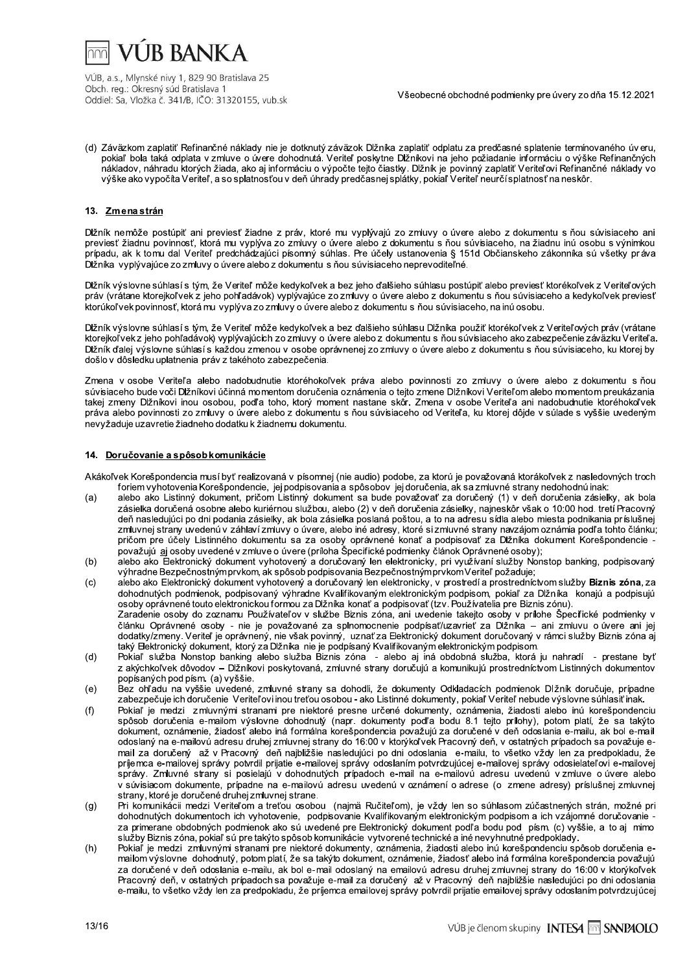

(d) Záväzkom zaplatiť Refinančné náklady nie je dotknutý záväzok Dlžníka zaplatiť odplatu za predčasné splatenie termínovaného úveru, pokiaľ bola taká odplata v zmluve o úvere dohodnutá. Veriteľ poskytne Dižníkovi na jeho požiadanie informáciu o výške Refinančných nákladov, náhradu ktorých žiada, ako aj informáciu o výpočte tejto čiastky. Dĺžník je povinný zaplatiť Veriteľovi Refinančné náklady vo výške ako vypočíta Veriteľ, a so splatnosťou v deň úhrady predčasnej splátky, pokiaľ Veriteľ neurčí splatnosť na neskôr.

### 13. Zmenastrán

Dĺžník nemôže postúpiť ani previesť žiadne z práv, ktoré mu vyplývajú zo zmluvy o úvere alebo z dokumentu s ňou súvisiaceho ani previesť žiadnu povinnosť, ktorá mu vyplýva zo zmluvy o úvere alebo z dokumentu s ňou súvisiaceho, na žiadnu inú osobu s výnimkou prípadu, ak k tomu dal Veriteľ predchádzajúci písomný súhlas. Pre účely ustanovenia § 151d Občianskeho zákonníka sú všetky práva Dĺžníka vyplývajúce zo zmluvy o úvere alebo z dokumentu s ňou súvisiaceho neprevoditeľné.

Dĺžník výslovne súhlasí s tým, že Veriteľ môže kedykoľvek a bez jeho ďalšieho súhlasu postúpiť alebo previesť ktorékoľvek z Veriteľových práv (vrátane ktorejkoľvek z jeho pohľadávok) vyplývajúce zo zmúvy o úvere alebo z dokumentu s ňou súvisiaceho a kedykoľvek previesť ktorúkoľvek povinnosť, ktorá mu vyplýva zo zmluvy o úvere alebo z dokumentu s ňou súvisiaceho, na inú osobu.

Dĺžník výslovne súhlasí s tým, že Veriteľ môže kedykoľvek a bez ďalšieho súhlasu Dĺžníka použiť ktorékoľvek z Veriteľových práv (vrátane ktorejkoľvek z jeho pohľadávok) vyplývajúcich zo zmluvy o úvere alebo z dokumentu s ňou súvisiaceho ako zabezpečenie záväzku Veriteľa. Dĺžník ďalej výslovne súhlasí s každou zmenou v osobe oprávnenej zo zmluvy o úvere alebo z dokumentu s ňou súvisiaceho, ku ktorej by došlo v dôsledku uplatnenia práv z takéhoto zabezpečenia.

Zmena v osobe Veriteľa alebo nadobudnutie ktoréhokoľvek práva alebo povinnosti zo zmluvy o úvere alebo z dokumentu s ňou súvisiaceho bude voči Dlžníkovi účinná momentom doručenia oznámenia o tejto zmene Dlžníkovi Veriteľom alebo momentom preukázania takej zmeny Dlžníkovi inou osobou, podľa toho, ktorý moment nastane skôr. Zmena v osobe Veriteľa ani nadobudnutie ktoréhokoľvek práva alebo povinnosti zo zmluvy o úvere alebo z dokumentu s ňou súvisiaceho od Veriteľa, ku ktorej dôjde v súlade s vyššie uvedeným nevyžaduje uzavretie žiadneho dodatku k žiadnemu dokumentu.

#### 14. Doručovanie a spôsob komunikácie

Akákoľvek Korešpondencia musí byť realizovaná v písomnej (nie audio) podobe, za ktorú je považovaná ktorákoľvek z nasledovných troch foriem vyhotovenia Korešpondencie, jej podpisovania a spôsobov jej doručenia, ak sa zmluvné strany nedohodnú inak:

- alebo ako Listinný dokument, pričom Listinný dokument sa bude považovať za doručený (1) v deň doručenia zásielky, ak bola  $(a)$ zásielka doručená osobne alebo kuriérnou službou, alebo (2) v deň doručenia zásielky, najneskôr však o 10:00 hod. tretí Pracovný deň nasledujúci po dni podania zásielky, ak bola zásielka poslaná poštou, a to na adresu sídla alebo miesta podnikania príslušnej<br>zmluvnej strany uvedenú v záhlaví zmluvy o úvere, alebo iné adresy, ktoré si zmluvné strany enízom pre účely Listinného dokumentu sa za osoby oprávnené konať a podpisovať za Dižníka dokument Korešpondencie<br>považujú aj osoby uvedené v zmluve o úvere (príloha Špecifické podmienky článok Oprávnené osoby);
- alebo ako Elektronický dokument vyhotovený a doručovaný len elektronicky, pri využívaní služby Nonstop banking, podpisovaný  $(b)$ výhradne Bezpečnostnýmprvkom, ak spôsob podpisovania Bezpečnostnýmprvkom Veriteľ požaduje;
- $(c)$ alebo ako Elektronický dokument vyhotovený a doručovaný len elektronicky, v prostredí a prostredníctvom služby Biznis zóna, za dohodnutých podmienok, podpisovaný výhradne Kvalifikovaným elektronickým podpisom, pokiaľ za Dlžníka konajú a podpisujú osoby oprávnené touto elektronickou formou za Dižníka konať a podpisovať (tzv. Používatelia pre Biznis zónu). Zaradenie osoby do zoznamu Používateľov v službe Biznis zóna, ani uvedenie takejto osoby v prílohe Špecfické podmienky v článku Oprávnené osoby - nie je považované za splnomocnenie podpísať/uzavrieť za Dlžníka – ani zmluvu o úvere ani jej dodatky/zmeny. Veriteľ je oprávnený, nie však povinný, uznať za Elektronický dokument doručovaný v rámci služby Biznis zóna aj taký Eektronický dokument, ktorý za Dlžníka nie je podpísaný Kvalifikovaným elektronickým podpisom.
- $(d)$ Pokiaľ služba Nonstop banking alebo služba Biznis zóna - alebo aj iná obdobná služba, ktorá ju nahradí - prestane byť z akýchkoľvek dôvodov – Dĺžníkovi poskytovaná, zmluvné strany doručujú a komunikujú prostredníctvom Listinných dokumentov popísaných pod písm. (a) vyššie.
- Bez ohľadu na vyššie uvedené, zmluvné strany sa dohodli, že dokumenty Odkladacích podmienok Dlžník doručuje, prípadne  $(e)$ zabezpečuje ich doručenie Veriteľovi inou treťou osobou - ako Listinné dokumenty, pokiaľ Veriteľ nebude výslovne súhlasiť inak.
- Pokiaľ je medzi zmluvnými stranami pre niektoré presne určené dokumenty, oznámenia, žiadosti alebo inú korešpondenciu<br>spôsob doručenia e-mailom výslovne dohodnutý (napr. dokumenty podľa bodu 8.1 tejto prílohy), potom platí  $(f)$ dokument, oznámenie, žiadosť alebo iná formálna korešpondencia považujú za doručené v deň odoslania e-mailu, ak bol e-mail odoslaný na e-mailovú adresu druhej zmluvnej strany do 16:00 v ktorýkoľvek Pracovný deň, v ostatných prípadoch sa považuje email za doručený až v Pracovný deň najbližšie nasledujúci po dni odoslania e-mailu, to všetko vždy len za predpokladu, že<br>príjemca e-mailovej správy potvrdil prijatie e-mailovej správy odoslaním potvrdzujúcej e-mailovej sp správy. Zmluvné strany si posielajú v dohodnutých prípadoch e-mail na e-mailovú adresu uvedenú v zmluve o úvere alebo v súvisiacom dokumente, prípadne na e-mailovú adresu uvedenú v oznámení o adrese (o zmene adresy) príslušnej zmluvnej strany, ktoré je doručené druhej zmluvnej strane.
- Pri komunikácii medzi Veriteľom a treťou osobou (najmä Ručiteľom), je vždy len so súhlasom zúčastnených strán, možné pri  $(g)$ dohodnutých dokumentoch ich vyhotovenie, podpisovanie Kvalifikovaným elektronickým podpisom a ich vzájomné doručovanie za primerane obdobných podmienok ako sú uvedené pre Elektronický dokument podľa bodu pod písm. (c) vyššie, a to aj mimo služby Biznis zóna, pokiaľ sú pre takýto spôsob komunikácie vytvorené technické a iné nevyhnutné predpoklady.
- $(h)$ Pokiaľ je medzi zmluvnými stranami pre niektoré dokumenty, oznámenia, žiadosti alebo inú korešpondenciu spôsob doručenia emailom výslovne dohodnutý, potom platí, že sa takýto dokument, oznámenie, žiadosť alebo iná formálna korešpondencia považujú za doručené v deň odoslania e-mailu, ak bol e-mail odoslaný na emailovú adresu druhej zmluvnej strany do 16:00 v ktorýkoľvek Pracovný deň, v ostatných prípadoch sa považuje e-mail za doručený až v Pracovný deň najbližšie nasiedujúci po dni odoslania e-mailu, to všetko vždy len za predpokladu, že prijemca emailovej správy potvrdil prijatie emailovej správy odoslaním potvrdzujúcej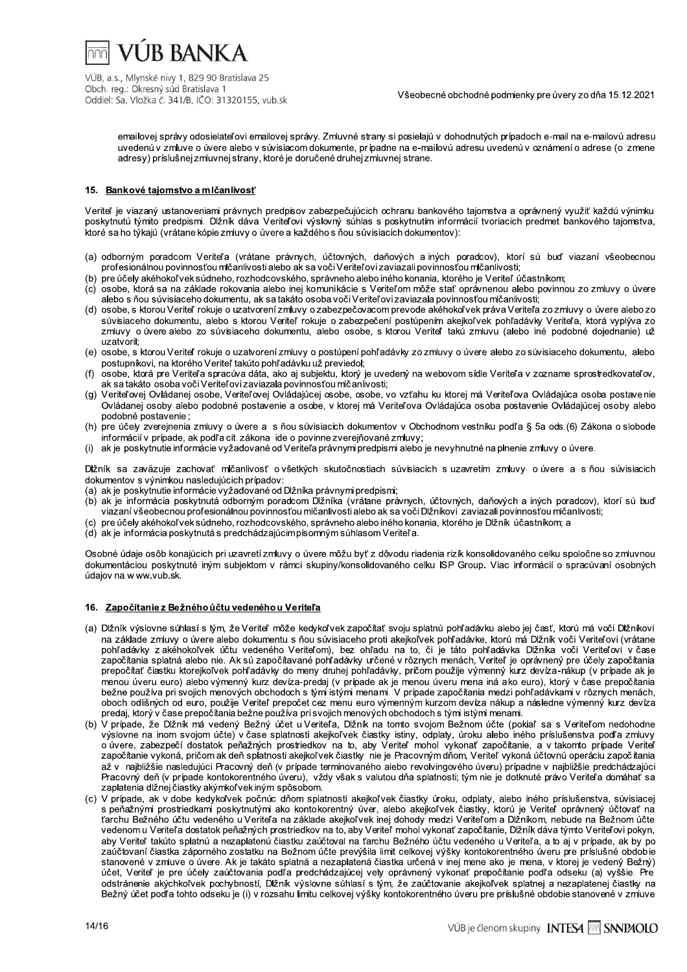

 $\overline{p}$   $\overline{p}$   $\overline{p}$   $\overline{p}$   $\overline{p}$   $\overline{p}$   $\overline{p}$   $\overline{p}$   $\overline{p}$   $\overline{p}$   $\overline{p}$   $\overline{p}$   $\overline{p}$   $\overline{p}$   $\overline{p}$   $\overline{p}$   $\overline{p}$   $\overline{p}$   $\overline{p}$   $\overline{p}$   $\overline{p}$   $\overline{p}$   $\overline{p}$   $\overline{p}$   $\overline{$ 

v seobeche obchodne podmienky pre uvery zo dna 15.12.2021

odosielateľovi emaliovej spravy. Zmluvne strány si poslelajú v dohodnutých pripadoch e-mali na e-maliovu adresu uvedenu v zmluve o uvere alebo v suvislačom dokumente, pripadne na e-maliovu adresu uvedenu v oznameni o adrese (o zmene adresy) prisiusnej zmluvnej strany, ktore je doručene druhej zmluvnej strane.

## 15. Bankové tajomstvo a mlčanlivosť

 $\ddot{\phantom{a}}$ veritel je vlazany ustanoveniami pravných predpisov zabezpecujúcich ochranu bankoveno tajomstva a opravnený vyuzit kazdu vynimku poskytnutu tymito predpismi. Diznik dava Veriterovi vyslovný sunias s poskytnutím informacií tvoriacích predmet bankoveno tajomstva, ktore sa no tykaju (vratane kopie zmluvý o uvere a kazdeno s nou suvisiación dokumentov):

- (a) odbornym poradcom Veritera (vratane pravných, učtovných, danových a iných poradcov), którí su bud vlazaní vseobechou profesionalnou povinnostou micanlivosti alebo ak sa voci veritel ovi zaviazali povinnostou micanlivosti;
- (b) pre ucely akenokol vek sudneno, roznodcovskeho, spravneho alebo ineho konania, ktoreho je Veritel učastnikom;
- (c) osobe, która sa na zaklade rokovania alebo inej komunikacie s Veriterom može stat opravnenou alebo povinnou zo zmluvy o uvere alebo s nou suvisiaceho dokumentu, ak sa takato osoba voci veritelovi zaviazala povinnostou micanlivosti;
- (d) osobe, s którou veriteľ rokuje o uzatvorení zmuvy o zabezpecovacom prevode akenokoľvek práva veriteľa zo zmuvy o uvere alebo zo suvsiaceno dokumentu, alebo s którou veriteľ rokuje o zabezpečení postupením akejkoľvek poniadavky veriteľa, która vyplyva zo zmluvy o uvere alebo zo suvislaceno dokumentu, alebo osobe, s ktorou Veriteľ taku zmluvu (alebo ine podobne dojednanie) uz uzatvoril:
- (e) osobe, s ktorou veritel rokuje o uzatvoreni zmluvy o postupeni ponľadavky zo zmluvy o uvere alebo zo suvisiaceno dokumentu, alebo postupnikovi, na ktoreno veritel takuto poni adavku uz previedol;
- (f) losobe, która pre Veritela spracuva data, ako aj subjektu, który je uvedeny na webovom sidle Veritela v zozname sprostredkovatelov, ak sa takato osoba voći v eritelovi zaviazala povinnostou mičanlivosti;
- (g) Veriterovej Ovladanej osobe, veriteľovej Ovladajucej osobe, osobe, vo vztahu ku ktorej ma Veriteľova Ovladajuca osoba postavenie Ovladanej osoby alebo podobne postavenie a osobe, v ktorej ma veriteľova Ovladajuca osoba postavenie Ovladajucej osoby alebo podobne postavenie ;  $\ddot{\phantom{0}}$ postupníkovi, na ktorého Veriteľ takúto pohľadávku už previedol;<br>
(f) osobe, ktorá pre Veriteľ a spracúva dáta, ako aj subjektu, ktorý je uvedený na w<br>
el k sa takáto osobe, voči Veriteľovi zaviazala povinnosťou mičanilivo
	- (h) pre ucely zverejnenia zmluvy o uvere a s nou suvisiacich dokumentov v Obchodnom vestniku podra § 5a ods.(b) Zakona o slobode informacii v pripade, ak podľa cit. zakona <sub>-</sub>ide o povinne zverejnovane zr
	- vyzadovane od Veriteľa pravnymi predpismi alebo je nevynnutne na plnenie zmluvy o uvere.  $\;$

 $\overline{\phantom{a}}$ Dizhik sa zavazuje zachovať micanlivosť o vsetkých skutochostiach suvisiacich s uzavretím zmluvy o uvere a s hou suvisiacich dokumentov s vynimkou nasiedujucich pr pripagov:<br>...

- (a) ak je poskytnutie informacie vyzadovane od Diznika pravnymi predpismi;
- (b) ak je informácia poskytnuta odborným poradcom Diznika (vrálane pravných, uctovných, danových a iných poradcov), ktorí su buď viazani vseobecnou profesionalnou povinnostou micanilvosti alebo ak sa voci Diznikovi "zaviazali povinnostou micanilvosti",
- (c) pre ucely akenokol vek sudneno, rozhodcovskeho, spravneho alebo iheno konania, ktoreho je Diznik ucastnikom; a
- (d) ak je informacia poskytnuta s predchadzajucim pisomnym suhlasom Veriteľa.

 $\mathbf{r}$ Osobne udaje osob konajučičn pri uzavreti zmluvy o uvere možu byť z dovodu riadenia rizik konsolidovaneho čelku spoločne so zmluvnou dokumentaciou poskytnute inym subjektom v ramci skupiny/konsolidovaneno celku ISP Group. Vlac informacii o spracuvani osobnych udajov na w ww.vub.sk.

#### 16. Započítanie z Bežného účtu vedeného u Veriteľa

- (a) Diznik vyslovne suniasi s tym, ze veriteľ moze kedykoľvek započitať svoju splatnu ponľadavku alebo jej časť, któru ma voci Diznikovi na zaklade zmuvy o uvere alebo dokumentu s nou suvisiaceno proti akejkoivek pon adavke, któru ma Diznik voci vertelovi (vratane ponradavky z akenokolvek učtu vedeneno veriterom), bez onladu na to, ci je tato ponradavka Diznika voci veriterovi v case zapocitania splatna alebo nie. Ak su zapocitavane pohradavky urcene v roznych menach, veriteľ je opravneny pre ucely zapocitania prepocitat clastku ktorejkolvek ponradavky do meny drunej ponradavky, pricom pouzije vymenny kurz deviza-nakup (v pripade ak je je menou uveru euro) alebo vymenny kurz deviza-predaj (v pripade ak je menou uveru mena ina ako euro), ktorý v case prepočitánia bezhe pouziva pri svojich menovych obchodoch s tymi istymi menami. V pripade započitania medzi poni adavkami v rozných menach, oboch odlisných od euro, pouzije Veritel prepocet cez menu euro výmenným kurzom devíza nakup a nasledne výmenny kurz devíza predaj, który v čase prepočitania bezne pouzíva pri svojich menových obchodoch s tými istymi menámi.
- (b) v pripade, ze Diznik ma vedeny Bezny učet u veritela, Diznik na tomto svojom Beznom učte (poklal sa s veritelom nedonodne vyslovne na inom svojom učte) v čase splatnosti akejkolvek člastky istiny, odplaty, uroku alebo ineho prislušenstva podľa zmluvy o uvere, zabezpeći dostatok penazných prostriedkov na to, aby veriteľ monol vykonat započítanie, a v takomto pripade veriteľ započitanie vykona, pričomak den splatnosti akejkolvek člastky me je Pracovným dnom, veritel vykona učtovnu operačiu započitania az v hajblizsie naslegujúci Pracovný den (v prípade terminovaneno alebo revolvingoveno uveru) pripadne v najblizsie preocnadzajúci Pracovny den (v pripade kontokorentného uveru), vzdy vsak s valutou dna splatnosti; tym nie je dotknute pravo veritela domanat sa zapiatenia diznej ciastky akymkol vek inym sposobom.
- (c) v prípade, ak v dobe kedykolvek počnúc dnom splatnosti akejkolvek clastky uroku, odplaty, alebo iného príslušenstva, suvislacej s penaznymi prostileokami poskytnutymi ako kontokorentny uver, alebo akejkolvek člastky, ktoru je veritel opravneny učtovat na  $\alpha$  and  $\alpha$  is a set of the control of  $\alpha$  and  $\alpha$  are a self-cover they donody meazl vertel om a Dizhikom, nepude ha Bezhom ucte vedenom u veritel a dostatok penaznych prostriedkov na to, aby veritel mohol vykonat započítanie, Diznik dava tymto veritelovi pokyn, aby verilel takuto splatnu a nezaplatenu clastku zauctoval na tarchu Bezheno uctu vedeneno u verilela, a to aj v pripade, ak by po Veriteľ vykoná účtovnú operáciu započ ítania<br>úveru) prípadne v najbližšie predchádzajúci<br>n nie je dotknuté právo Veriteľa domáhať sa<br>platy, alebo iného príslušenstva, súvisiacej<br>tiky, ktorú je Veriteľ oprávnený účtovať na<br> zauciovaní ciastka zaporneno zostatku na Beznom ucte prevysla limit celkovej výsky kontokorentného uveru pre prisiusné obdobie stanovené v zmluve o uvere. Ak je takato splatna a nezaplatena clastka urcena v lnej mene ako je mena, v której je vedený Bezhy) valutou dňa splatnosti; tým nie je dotknuté právo Veriteľa<br>sikoľvek čiastky úroku, odplaty, alebo iného príslušenstv<br>ver, alebo akejkoľvek čiastky, ktorú je Veriteľ oprávnený<br>ek inej dohody medzi Veriteľom a Dižníkom, nebu ucet, veritel je pre ucely zauctovania podľa predchadzajúcej vety opravnený vykonat prepocitanie podľa odseku (a) vyssie. Pre ogstranenie akychkolvek pochybnosti, Ulzhik vyslovne sunlasi s tym, że zauctovanie akejkolvek splatnej a nezapiatenej ciastky na  $\epsilon$ ezny ucet pod a tonto odseku je (i) v rozsanu limitu celkovej vysky kontokorentneho uveru pre prisiusne obdoble stanovene v zmluve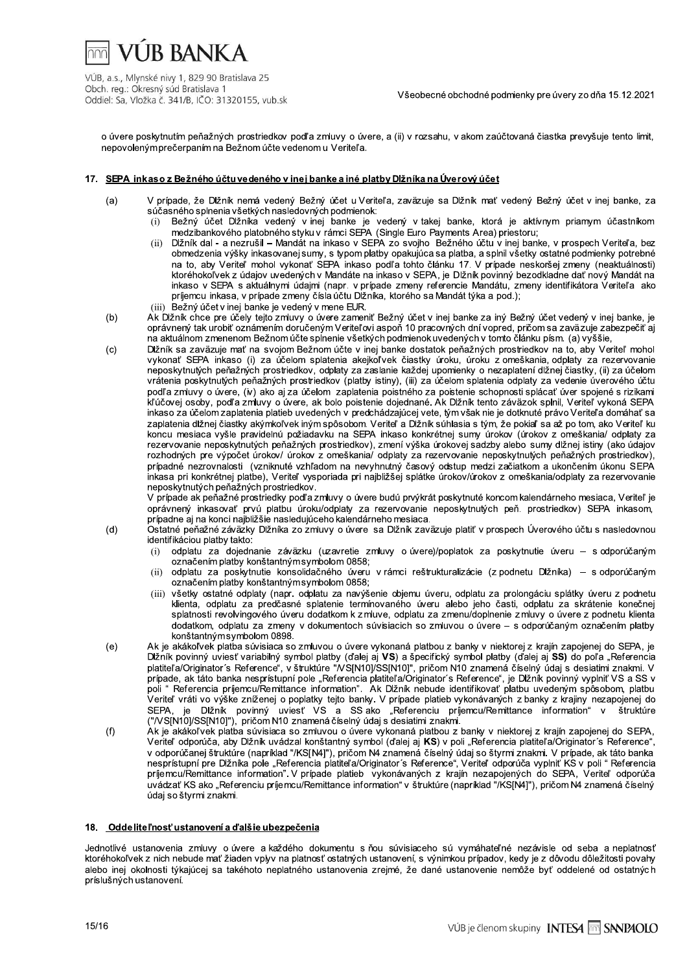**VUR BANKA** 

VÚB, a.s., Mlynské nivy 1, 829 90 Bratislava 25 Obch. reg.: Okresný súd Bratislava 1 Oddiel: Sa, Vložka č. 341/B, IČO: 31320155, vub.sk

Všeobecné obchodné podmienky pre úvery zo dňa 15.12.2021

o úvere poskytnutím peňažných prostriedkov podľa zmluvy o úvere, a (ii) v rozsahu, v akom zaúčtovaná čiastka prevyšuje tento limit. nepovoleným prečerpaním na Bežnom účte vedenom u Veriteľa.

## 17. SEPA inkaso z Bežného účtu vedeného v inei banke a iné platby Dižníka na Úverový účet

- $(a)$ V prípade, že Dĺžník nemá vedený Bežný účet u Veriteľa, zaväzuje sa Dĺžník mať vedený Bežný účet v inej banke, za súčasného splnenia všetkých nasledovných podmienok:
	- Bežný účet Dižníka vedený v inej banke je vedený v takej banke, ktorá je aktívnym priamym účastníkom  $(i)$ medzibankového platobného styku v rámci SEPA (Single Euro Payments Area) priestoru;
	- Dĺžník dal a nezrušil Mandát na inkaso v SEPA zo svojho Bežného účtu v inej banke, v prospech Veriteľa, bez  $(i)$ obmedzenia výšky inkasovanej sumy, s typom platby opakujúca sa platba, a splnil všetky ostatné podmienky potrebné na to, aby Veriteľ mohol vykonať SEPA inkaso podľa tohto článku 17. V prípade neskoršej zmeny (neaktuálnosti) ktoréhokoľvek z údajov uvedených v Mandáte na inkaso v SEPA, je Dĺžník povinný bezodkladne dať nový Mandát na inkaso v SEPA s aktuálnymi údajmi (napr. v prípade zmeny referencie Mandátu, zmeny identifikátora Veriteľa ako príjemcu inkasa, v prípade zmeny čísla účtu Dĺžníka, ktorého sa Mandát týka a pod.);
	- (iii) Bežný účet v inej banke je vedený v mene EUR.
- $(b)$ Ak Dlžník chce pre účely tejto zmluvy o úvere zameniť Bežný účet v inej banke za iný Bežný účet vedený v inej banke, je oprávnený tak urobiť oznámením doručeným Veriteľovi aspoň 10 pracovných dní vopred, pričom sa zaväzuje zabezpečiť ai na aktuálnom zmenenom Bežnom účte spĺnenie všetkých podmienok uvedených v tomto článku písm. (a) vyššie,
- $(c)$ Dĺžník sa zaväzuje mať na svojom Bežnom účte v inej banke dostatok peňažných prostriedkov na to, aby Veriteľ mohol vykonať SEPA inkaso (i) za účelom splatenia akejkoľvek čiastky úroku, úroku z omeškania odplaty za rezervovanie neposkytnutých peňažných prostriedkov, odplaty za zaslanie každej upomienky o nezaplatení dlžnej čiastky, (ii) za účelom vrátenia poskytnutých peňažných prostriedkov (platby istiny), (iii) za účelom splatenia odplaty za vedenie úverového účtu podľa zmluvy o úvere, (iv) ako aj za účelom zaplatenia poistného za poistenie schopnosti splácať úver spojené s rizikami .<br>kľúčovej osoby, podľa zmluvy o úvere, ak bolo poistenie dojednané. Ak Dlžník tento záväzok splnil, Veriteľ vykoná SEPA inkaso za účelom zaplatenia platieb uvedených v predchádzajúcej vete, tým však nie je dotknuté právo Veriteľa domáhať sa zaplatenia dĺžnej čiastky akýmkoľvek iným spôsobom. Veriteľ a Dĺžník súhlasia s tým, že pokiaľ sa až po tom, ako Veriteľ ku koncu mesiaca vyšle pravidelnú požiadavku na SEPA inkaso konkrétnej sumy úrokov (úrokov z omeškania/ odplaty za rezervovanie neposkytnutých peňažných prostriedkov), zmení výška úrokovej sadzby alebo sumy dĺžnej istiny (ako údajov rozhodných pre výpočet úrokov/ úrokov z omeškania/ odplaty za rezervovanie neposkytnutých peňažných prostriedkov), prípadné nezrovnalosti (vzniknuté vzhľadom na nevyhnutný časový odstup medzi začiatkom a ukončením úkonu SEPA inkasa pri konkrétnej platbe), Veriteľ vysporiada pri najbližšej splátke úrokov/úrokov z omeškania/odplaty za rezervovanie neposkytnutých peňažných prostriedkov.

V prípade ak peňažné prostriedky podľa zmluvy o úvere budú prvýkrát poskytnuté koncom kalendárneho mesiaca, Veriteľ je oprávnený inkasovať prvú platbu úroku/odplaty za rezervovanie neposkytnutých peň. prostriedkov) SEPA inkasom, prípadne aj na konci najbližšie nasledujúceho kalendárneho mesiaca.

Ostatné peňažné záväzky Dlžníka zo zmluvy o úvere sa Dlžník zaväzuje platiť v prospech Úverového účtu s nasledovnou identifikáciou platby takto:

- odplatu za dojednanie záväzku (uzavretie zmluvy o úvere)/poplatok za poskytnutie úveru s odporúčaným  $(i)$ označením platby konštantným symbolom 0858;
- odplatu za poskytnutie konsolidačného úveru v rámci reštrukturalizácie (z podnetu Dlžníka) s odporúčaným  $(ii)$ označením platby konštantným symbolom 0858;
- všetky ostatné odplaty (napr. odplatu za navýšenie obiemu úveru, odplatu za prolongáciu splátky úveru z podnetu  $(iii)$ klienta, odplatu za predčasné splatenie termínovaného úveru alebo jeho časti, odplatu za skrátenie konečnej splatnosti revolvingového úveru dodatkom k z mluve, odplatu za zmenu/doplnenie z mluvy o úvere z podnetu klienta dodatkom, odplatu za zmeny v dokumentoch súvisiacich so zmluvou o úvere - s odporúčaným označením platby konštantným symbolom 0898.
- Ak je akákoľvek platba súvisiaca so zmluvou o úvere vykonaná platbou z banky v niektorej z krajín zapojenej do SEPA, je  $(e)$ Dižník povinný uviesť variabilný symbol platby (ďalej aj VS) a špecifický symbol platby (ďalej aj SS) do poľa "Referencia platiteľ a/Originator's Reference", v štruktúre "NS[N10]/SS[N10]", pričom N10 znamená číselný údaj s desiatimi znakmi. V<br>prípade, ak táto banka nesprístupní pole "Referencia platiteľ a/Originator's Reference", je Dĺžník po poli " Referencia prijemcu/Remittance information". Ak Dižník nebude identifikovať platbu uvedeným spôsobom, platbu .<br>Veriteľ vráti vo výške zníženej o poplatky tejto banky. V prípade platieb vykonávaných z banky z krajiny nezapojenej do SEPA, je Dĺžník povinný uviesť VS a SS ako "Referenciu príjemcu/Remittance information"<br>("/VS[N10]/SS[N10]"), pričom N10 znamenáčíselný údaj s desiatimi znakmi. štruktúre
- $(f)$ Ak je akákoľvek platba súvisiaca so zmluvou o úvere vykonaná platbou z banky v niektorej z krajín zapojenej do SEPA, Veritel odporúča, aby Dlžník uvádzal konštantný symbol (ďalej aj KS) v poli "Referencia platiteľa/Originator's Reference", v odporúčanej štruktúre (napríklad "/KS[N4]"), pričom N4 znamená číselný údaj so štyrmi znakmi. V prípade, ak<br>nesprístupní pre Dlžníka pole "Referencia platiteľa/Originator's Reference", Veriteľ odporúča vyplniť KS v poli príjemcu/Remittance information". V prípade platieb vykonávaných z krajín nezapojených do SEPA, Veriteľ odporúča uvádzať KS ako "Referenciu príjemcu/Remittance information" v štruktúre (napríklad "/KS[N4]"), pričom N4 znamená číselný údaj so štyrmi znakmi.

## 18. Oddeliteľnosť ustanovení a ďalšie ubezpečenia

Jednotlivé ustanovenia zmluvy o úvere a každého dokumentu s ňou súvisiaceho sú vymáhateľné nezávisle od seba a neplatnosť ktoréhokoľvek z nich nebude mať žiaden vplyv na platnosť ostatných ustanovení, s výnimkou prípadov, kedy je z dôvodu dôležitosti povahy alebo inej okolnosti týkajúcej sa takéhoto neplatného ustanovenia zrejmé, že dané ustanovenie nemôže byť oddelené od ostatných príslušných ustanovení.

 $(d)$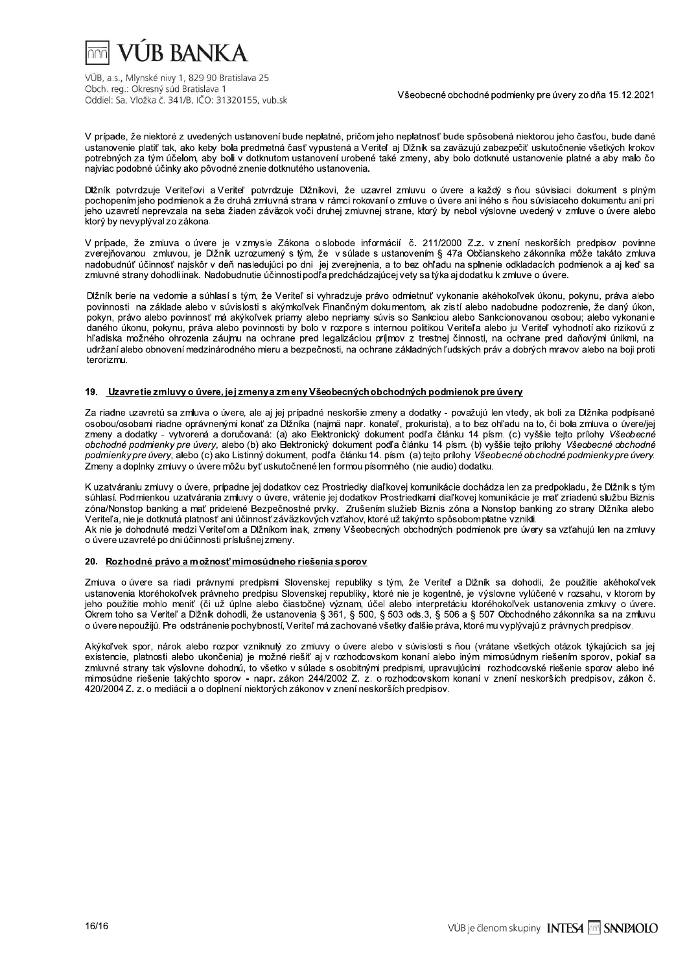# VI IR BANK A

VÚB, a.s., Mlynské nivy 1, 829 90 Bratislava 25 Obch. reg.: Okresný súd Bratislava 1 Oddiel: Sa, Vložka č. 341/B, IČO: 31320155, vub.sk

Všeobecné obchodné podmienky pre úvery zo dňa 15.12.2021

V prípade, že niektoré z uvedených ustanovení bude neplatné, pričom jeho neplatnosť bude spôsobená niektorou jeho časťou, bude dané ustanovenie platiť tak, ako keby bola predmetná časť vypustená a Veriteľ aj Dižník sa zaväzujú zabezpečiť uskutočnenie všetkých krokov potrebných za tým účelom, aby boli v dotknutom ustanovení urobené také zmeny, aby bolo dotknuté ustanovenie platné a aby malo čo najviac podobné účinky ako pôvodné znenie dotknutého ustanovenia.

Dĺžník potvrdzuje Veriteľovi a Veriteľ potvrdzuje Dĺžníkovi, že uzavrel zmluvu o úvere a každý s ňou súvisiaci dokument s plným pochopením jeho podmienok a že druhá zmluvná strana v rámci rokovaní o zmluve o úvere ani iného s ňou súvisiaceho dokumentu ani pri .<br>jeho uzavretí neprevzala na seba žiaden záväzok voči druhei zmluvnei strane, ktorý by nebol výslovne uvedený v zmluve o úvere alebo ktorý by nevyplýval zo zákona.

V prípade, že zmluva o úvere je v zmysle Zákona o slobode informácií č. 211/2000 Z.z. v znení neskorších predpisov povinne zverejňovanou zmluvou, je Dlžník uzrozumený s tým, že v súlade s ustanovením § 47a Občianskeho zákonníka môže takáto zmluva nadobudnúť účinnosť najskôr v deň nasledujúci po dni jej zverejnenia, a to bez ohľadu na splnenie odkladacích podmienok a aj keď sa zmluvné strany dohodli inak. Nadobudnutie účinnosti podľa predchádzajúcej vety sa týka aj dodatku k zmluve o úvere.

Dĺžník berie na vedomie a súhlasí s tým, že Veriteľ si vyhradzuje právo odmietnuť vykonanie akéhokoľvek úkonu, pokynu, práva alebo povinnosti na základe alebo v súvislosti s akýmkoľvek Finančným dokumentom, ak zistí alebo nadobudne podozrenie, že daný úkon, pokyn, právo alebo povinnosť má akýkoľvek priamy alebo nepriamy súvis so Sankciou alebo Sankcionovanou osobou; alebo vykonanie daného úkonu, pokynu, práva alebo povinnosti by bolo v rozpore s internou politikou Veriteľa alebo ju Veriteľ vyhodnotí ako rizikovú z hľadiska možného ohrozenia záujmu na ochrane pred legalizáciou príjmov z trestnej činnosti, na ochrane pred daňovými únikmi, na udržaní alebo obnovení medzinárodného mieru a bezpečnosti, na ochrane základných ľudských práv a dobrých mravov alebo na boji proti terorizmu.

### 19. Uzavretie zmluvy o úvere, jej zmeny a zmeny Všeobecných obchodných podmienok pre úvery

Za riadne uzavretú sa zmluva o úvere, ale aj jej prípadné neskoršie zmeny a dodatky - považujú len vtedy, ak boli za Dlžníka podpísané osobou/osobami riadne oprávnenými konať za Dĺžníka (najmä napr. konateľ, prokurista), a to bez ohľadu na to, či bola zmluva o úvere/jej zmeny a dodatky - vytvorená a doručovaná: (a) ako Elektronický dokument podľa článku 14 písm. (c) vyššie tejto prílohy Všeobecné obchodné podmienky pre úvery, alebo (b) ako Elektronický dokument podľa článku 14 písm. (b) vyššie tejto prílohy Všeobecné obchodné podmienky pre úvery, alebo (c) ako Listinný dokument, podľa článku 14. písm. (a) tejto prílohy Všeobecné obchodné podmienky pre úvery. Zmeny a doplnky zmluvy o úvere môžu byť uskutočnené len formou písomného (nie audio) dodatku.

K uzatváraniu zmluvy o úvere, prípadne jej dodatkov cez Prostriedky diaľkovej komunikácie dochádza len za predpokladu, že Dlžník s tým súhlasí. Podmienkou uzatvárania zmluvy o úvere, vrátenie jej dodatkov Prostriedkami diaľkovej komunikácie je mať zriadenú službu Biznis zóna/Nonstop banking a mať pridelené Bezpečnostné prvky. Zrušením služieb Biznis zóna a Nonstop banking zo strany Dĺžníka alebo Veriteľa, nie je dotknutá platnosť ani účinnosť záväzkových vzťahov, ktoré už takýmto spôsobom platne vznikli. Ak nie je dohodnuté medzi Veriteľom a Dlžníkom inak, zmeny Všeobecných obchodných podmienok pre úvery sa vzťahujú len na zmluvy o úvere uzavreté po dni účinnosti príslušnej zmeny.

### 20. Rozhodné právo a možnosť mimosúdneho riešenia sporov

Zmluva o úvere sa riadi právnymi predpismi Slovenskej republiky s tým, že Veriteľ a Dlžník sa dohodli, že použitie akéhokoľvek ustanovenia ktoréhokoľvek právneho predpisu Slovenskej republiky, ktoré nie je kogentné, je výslovne vylúčené v rozsahu, v ktorom by<br>jeho použitie mohlo meniť (či už úplne alebo čiastočne) význam, účel alebo interpretáciu Okrem toho sa Veriteľ a Dlžník dohodli, že ustanovenia § 361, § 500, § 503 ods.3, § 506 a § 507 Obchodného zákonníka sa na zmluvu o úvere nepoužijú. Pre odstránenie pochybností, Veriteľ má zachované všetky ďalšie práva, ktoré mu vyplývajú z právnych predpisov.

Akýkoľvek spor, nárok alebo rozpor vzniknutý zo zmluvy o úvere alebo v súvislosti s ňou (vrátane všetkých otázok týkajúcich sa jej existencie, platnosti alebo ukončenia) je možné riešiť aj v rozhodcovskom konaní alebo iným mimosúdnym riešením sporov, pokiaľ sa zmluvné strany tak výslovne dohodnú, to všetko v súlade s osobitnými predpismi, upravujúcimi rozhodcovské riešenie sporov alebo iné mimosúdne riešenie takýchto sporov - napr. zákon 244/2002 Z. z. o rozhodcovskom konaní v znení neskorších predpisov, zákon č. 420/2004 Z. z. o mediácii a o doplnení niektorých zákonov v znení neskorších predpisov.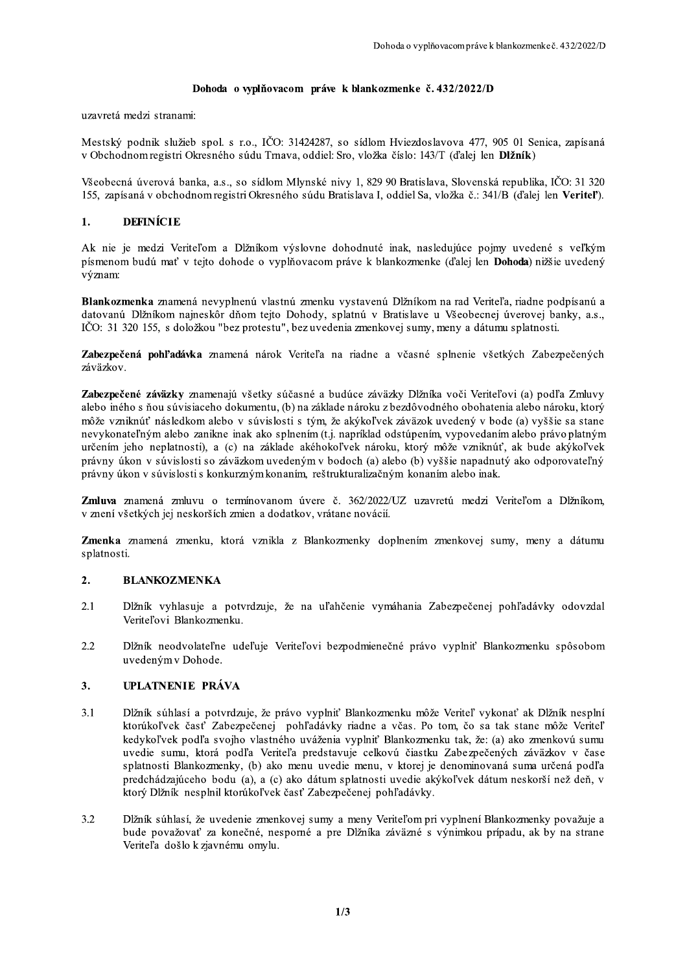## Dohoda o wplňovacom práve k blankozmenke č. 432/2022/D

uzavretá medzi stranami:

Mestský podnik služieb spol. s r.o., IČO: 31424287, so sídlom Hviezdoslavova 477, 905 01 Senica, zapísaná v Obchodnom registri Okresného súdu Trnava, oddiel: Sro, vložka číslo: 143/T (ďalej len Dlžník)

Všeobecná úverová banka, a.s., so sídlom Mlynské nivy 1, 829 90 Bratislava, Slovenská republika, IČO: 31 320 155, zapísaná v obchodnom registri Okresného súdu Bratislava I, oddiel Sa, vložka č.: 341/B (ďalej len Veritel').

#### $\mathbf{1}$ . **DEFINÍCIE**

Ak nie je medzi Veriteľom a Dĺžníkom výslovne dohodnuté inak, nasledujúce pojmy uvedené s veľkým písmenom budú mať v tejto dohode o vyplňovacom práve k blankozmenke (ďalej len **Dohoda**) nižšie uvedený význam:

Blankozmenka znamená nevyplnenú vlastnú zmenku vystavenú Dĺžníkom na rad Veriteľa, riadne podpísanú a datovanú Dĺžníkom najneskôr dňom tejto Dohody, splatnú v Bratislave u Všeobecnej úverovej banky, a.s., IČO: 31 320 155, s doložkou "bez protestu", bez uvedenia zmenkovej sumy, meny a dátumu splatnosti.

Zabezpečená pohľadávka znamená nárok Veriteľa na riadne a včasné splnenie všetkých Zabezpečených záväzkov.

Zabezpečené záväzky znamenajú všetky súčasné a budúce záväzky Dlžníka voči Veriteľovi (a) podľa Zmluvy alebo iného s ňou súvisiaceho dokumentu, (b) na základe nároku z bezdôvodného obohatenia alebo nároku, ktorý môže vzniknúť následkom alebo v súvislosti s tým, že akýkoľvek záväzok uvedený v bode (a) vyššie sa stane nevykonateľným alebo zanikne inak ako splnením (t.j. napríklad odstúpením, vypovedaním alebo právo platným určením jeho neplatnosti), a (c) na základe akéhokoľvek nároku, ktorý môže vzniknúť, ak bude akýkoľvek právny úkon v súvislosti so záväzkom uvedeným v bodoch (a) alebo (b) vyššie napadnutý ako odporovateľný právny úkon v súvislosti s konkurzným konaním, reštrukturalizačným konaním alebo inak.

Zmluva znamená zmluvu o termínovanom úvere č. 362/2022/UZ uzavretú medzi Veriteľom a Dĺžníkom, v znení všetkých jej neskorších zmien a dodatkov, vrátane novácií.

Zmenka znamená zmenku, ktorá vznikla z Blankozmenky doplnením zmenkovej sumy, meny a dátumu splatnosti.

#### $2.$ **BLANKOZMENKA**

- $2.1$ Dĺžník vyhlasuje a potvrdzuje, že na uľahčenie vymáhania Zabezpečenej pohľadávky odovzdal Veriteľovi Blankozmenku.
- $2.2$ Dĺžník neodvolateľne udeľuje Veriteľovi bezpodmienečné právo vyplniť Blankozmenku spôsobom uvedeným v Dohode.

#### $3.$ UPLATNENIE PRÁVA

- Dĺžník súhlasí a potvrdzuje, že právo vyplniť Blankozmenku môže Veriteľ vykonať ak Dĺžník nesplní  $3.1$ ktorúkoľvek časť Zabezpečenej pohľadávky riadne a včas. Po tom, čo sa tak stane môže Veriteľ kedykoľvek podľa svojho vlastného uváženia vyplniť Blankozmenku tak, že: (a) ako zmenkovú sumu uvedie sumu, ktorá podľa Veriteľa predstavuje celkovú čiastku Zabezpečených záväzkov v čase splatnosti Blankozmenky, (b) ako menu uvedie menu, v ktorej je denominovaná suma určená podľa predchádzajúceho bodu (a), a (c) ako dátum splatnosti uvedie akýkoľvek dátum neskorší než deň, v ktorý Dĺžník nesplnil ktorúkoľvek časť Zabezpečenej pohľadávky.
- Dĺžník súhlasí, že uvedenie zmenkovej sumy a meny Veriteľom pri vyplnení Blankozmenky považuje a  $3.2$ bude považovať za konečné, nesporné a pre Dĺžníka záväzné s výnimkou prípadu, ak by na strane Veriteľa došlo k zjavnému omylu.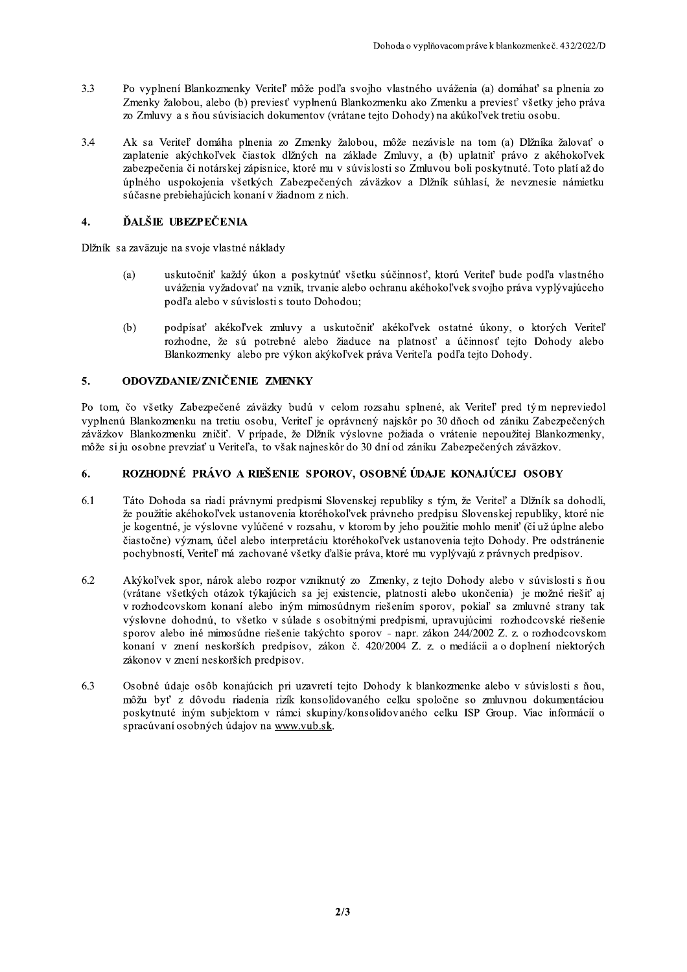- $3.3$ Po vyplnení Blankozmenky Veriteľ môže podľa svojho vlastného uváženia (a) domáhať sa plnenia zo Zmenky žalobou, alebo (b) previesť vyplnenú Blankozmenku ako Zmenku a previesť všetky jeho práva zo Zmluvy a s ňou súvisiacich dokumentov (vrátane tejto Dohody) na akúkoľvek tretiu osobu.
- $3.4$ Ak sa Veriteľ domáha plnenia zo Zmenky žalobou, môže nezávisle na tom (a) Dĺžníka žalovať o zaplatenie akýchkoľvek čiastok dĺžných na základe Zmluvy, a (b) uplatniť právo z akéhokoľvek zabezpečenia či notárskej zápisnice, ktoré mu v súvislosti so Zmluvou boli poskytnuté. Toto platí až do úplného uspokojenia všetkých Zabezpečených záväzkov a Dĺžník súhlasí, že nevznesie námietku súčasne prebiehajúcich konaní v žiadnom z nich.

#### $\overline{4}$ . ĎALŠIE UBEZPEČENIA

Dĺžník sa zaväzuje na svoje vlastné náklady

- uskutočniť každý úkon a poskytnúť všetku súčinnosť, ktorú Veriteľ bude podľa vlastného  $(a)$ uváženia vyžadovať na vznik, trvanie alebo ochranu akéhokoľvek svojho práva vyplývajúceho podľa alebo v súvislosti s touto Dohodou:
- $(b)$ podpísať akékoľvek zmluvy a uskutočniť akékoľvek ostatné úkony, o ktorých Veriteľ rozhodne, že sú potrebné alebo žiaduce na platnosť a účinnosť tejto Dohody alebo Blankozmenky alebo pre výkon akýkoľvek práva Veriteľa podľa tejto Dohody.

#### $5.$ ODOVZDANIE/ZNIČENIE ZMENKY

Po tom, čo všetky Zabezpečené záväzky budú v celom rozsahu splnené, ak Veriteľ pred tým nepreviedol vyplnenú Blankozmenku na tretiu osobu, Veriteľ je oprávnený najskôr po 30 dňoch od zániku Zabezpečených záväzkov Blankozmenku zničiť. V prípade, že Dĺžník výslovne požiada o vrátenie nepoužitej Blankozmenky, môže si ju osobne prevziať u Veriteľa, to však najneskôr do 30 dní od zániku Zabezpečených záväzkov.

#### ROZHODNÉ PRÁVO A RIEŠENIE SPOROV, OSOBNÉ ÚDAJE KONAJÚCEJ OSOBY 6.

- Táto Dohoda sa riadi právnymi predpismi Slovenskej republiky s tým, že Veriteľ a Dĺžník sa dohodli, 6.1 že použitie akéhokoľvek ustanovenia ktoréhokoľvek právneho predpisu Slovenskej republiky, ktoré nie je kogentné, je výslovne vylúčené v rozsahu, v ktorom by jeho použitie mohlo meniť (či už úplne alebo čiastočne) význam, účel alebo interpretáciu ktoréhokoľvek ustanovenia tejto Dohody. Pre odstránenie pochybností, Veriteľ má zachované všetky ďalšie práva, ktoré mu vyplývajú z právnych predpisov.
- 6.2 Akýkoľvek spor, nárok alebo rozpor vzniknutý zo Zmenky, z tejto Dohody alebo v súvislosti s ňou (vrátane všetkých otázok týkajúcich sa jej existencie, platnosti alebo ukončenia) je možné riešiť aj v rozhodcovskom konaní alebo iným mimosúdnym riešením sporov, pokiaľ sa zmluvné strany tak výslovne dohodnú, to všetko v súlade s osobitnými predpismi, upravujúcimi rozhodcovské riešenie sporov alebo iné mimosúdne riešenie takýchto sporov - napr. zákon 244/2002 Z. z. o rozhodcovskom konaní v znení neskorších predpisov, zákon č. 420/2004 Z. z. o mediácii a o doplnení niektorých zákonov v znení neskorších predpisov.
- 6.3 Osobné údaje osôb konajúcich pri uzavretí tejto Dohody k blankozmenke alebo v súvislosti s ňou, môžu byť z dôvodu riadenia rizík konsolidovaného celku spoločne so zmluvnou dokumentáciou poskytnuté iným subjektom v rámci skupiny/konsolidovaného celku ISP Group. Viac informácií o spracúvaní osobných údajov na www.vub.sk.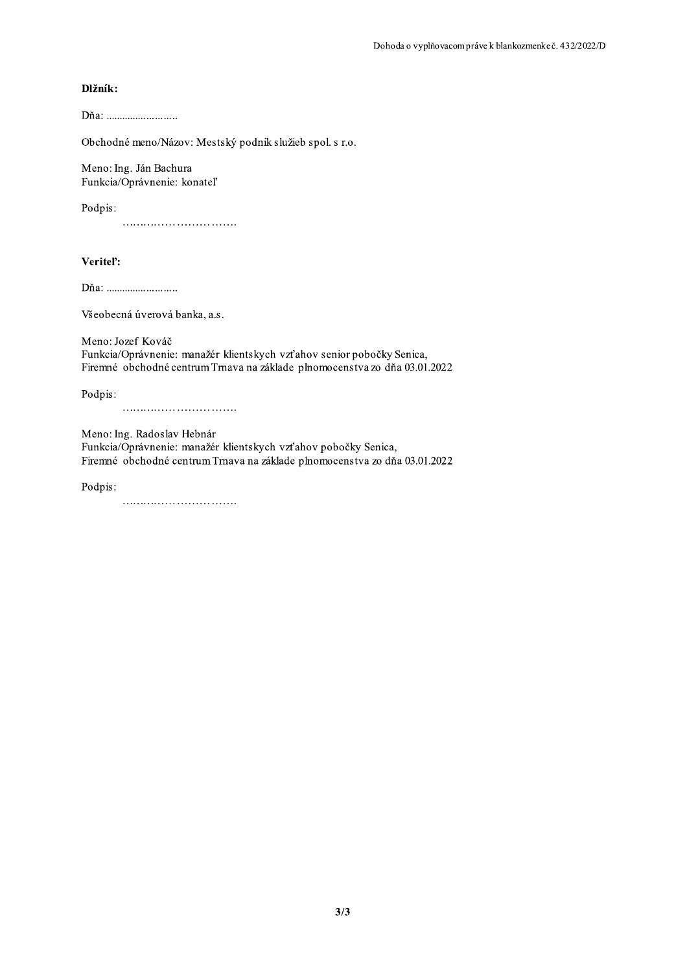## Dlžník:

Obchodné meno/Názov: Mestský podnik služieb spol. s r.o.

Meno: Ing. Ján Bachura Funkcia/Oprávnenie: konateľ

Podpis:

Veritel':

Dňa: ............................

Všeobecná úverová banka, a.s.

Meno: Jozef Kováč Funkcia/Oprávnenie: manažér klientskych vzťahov senior pobočky Senica, Firemné obchodné centrum Trnava na základe plnomocenstva zo dňa 03.01.2022

Podpis:

Meno: Ing. Radoslav Hebnár

Funkcia/Oprávnenie: manažér klientskych vzťahov pobočky Senica, Firemné obchodné centrum Trnava na základe plnomocenstva zo dňa 03.01.2022

Podpis: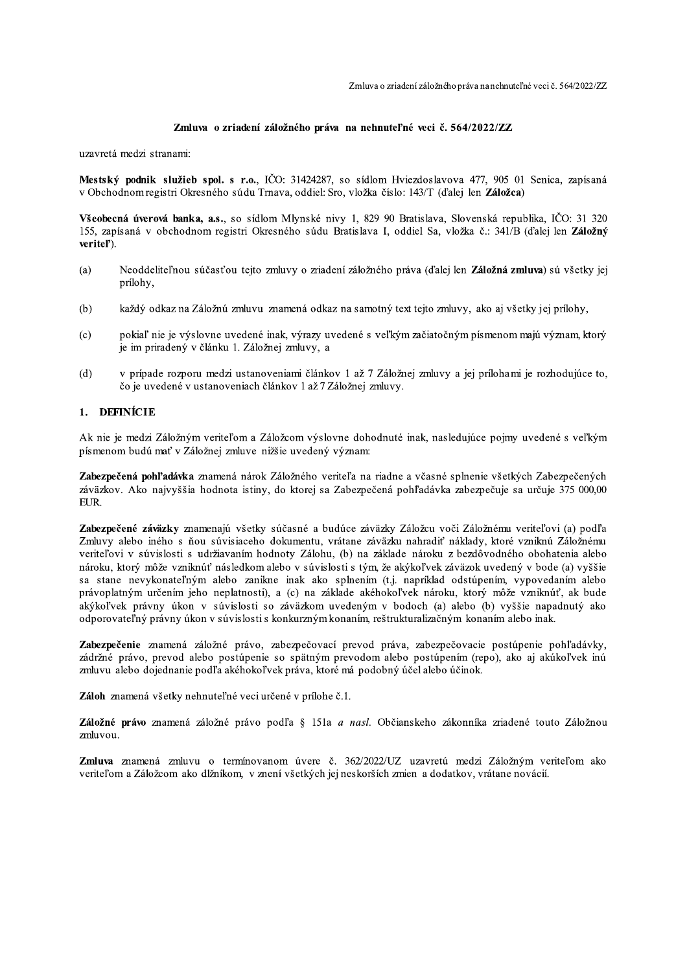### Zmluva o zriadení záložného práva na nehnuteľné veci č. 564/2022/ZZ

uzavretá medzi stranami:

Mestský podnik služieb spol. s r.o., IČO: 31424287, so sídlom Hviezdoslavova 477, 905 01 Senica, zapísaná v Obchodnom registri Okresného súdu Trnava, oddiel: Sro, vložka číslo: 143/T (ďalej len Záložca)

Všeobecná úverová banka, a.s., so sídlom Mlynské nivy 1, 829 90 Bratislava, Slovenská republika, IČO: 31 320 155, zapísaná v obchodnom registri Okresného súdu Bratislava I, oddiel Sa, vložka č.: 341/B (ďalej len Záložný veritel').

- $(a)$ Neoddeliteľnou súčasťou tejto zmluvy o zriadení záložného práva (ďalej len Záložná zmluva) sú všetky jej prílohy,
- $(b)$ každý odkaz na Záložnú zmluvu znamená odkaz na samotný text tejto zmluvy, ako aj všetky jej prílohy,
- pokiaľ nie je výslovne uvedené inak, výrazy uvedené s veľkým začiatočným písmenom majú význam, ktorý  $(c)$ je im priradený v článku 1. Záložnej zmluvy, a
- v prípade rozporu medzi ustanoveniami článkov 1 až 7 Záložnej zmluvy a jej prílohami je rozhodujúce to,  $(d)$ čo je uvedené v ustanoveniach článkov 1 až 7 Záložnej zmluvy.

#### **DEFINÍCIE**  $1<sup>1</sup>$

Ak nie je medzi Záložným veriteľom a Záložcom výslovne dohodnuté inak, nasledujúce pojmy uvedené s veľkým písmenom budú mať v Záložnej zmluve nižšie uvedený význam:

Zabezpečená pohľadávka znamená nárok Záložného veriteľa na riadne a včasné splnenie všetkých Zabezpečených záväzkov. Ako najvyššia hodnota istiny, do ktorej sa Zabezpečená pohľadávka zabezpečuje sa určuje 375 000,00 EUR.

Zabezpečené záväzky znamenajú všetky súčasné a budúce záväzky Záložcu voči Záložnému veriteľovi (a) podľa Zmluvy alebo iného s ňou súvisiaceho dokumentu, vrátane záväzku nahradiť náklady, ktoré vzniknú Záložnému veriteľovi v súvislosti s udržiavaním hodnoty Zálohu, (b) na základe nároku z bezdôvodného obohatenia alebo nároku, ktorý môže vzniknúť následkom alebo v súvislosti s tým, že akýkoľvek záväzok uvedený v bode (a) vyššie sa stane nevykonateľným alebo zanikne inak ako splnením (t.j. napríklad odstúpením, vypovedaním alebo právoplatným určením jeho neplatnosti), a (c) na základe akéhokoľvek nároku, ktorý môže vzniknúť, ak bude akýkoľvek právny úkon v súvislosti so záväzkom uvedeným v bodoch (a) alebo (b) vyššie napadnutý ako odporovateľný právny úkon v súvislosti s konkurzným konaním, reštrukturalizačným konaním alebo inak.

Zabezpečenie znamená záložné právo, zabezpečovací prevod práva, zabezpečovacie postúpenie pohľadávky, zádržné právo, prevod alebo postúpenie so spätným prevodom alebo postúpením (repo), ako aj akúkoľvek inú zmluvu alebo dojednanie podľa akéhokoľvek práva, ktoré má podobný účel alebo účinok.

Záloh znamená všetky nehnuteľné veci určené v prílohe č.1.

Záložné právo znamená záložné právo podľa § 151a a nasl. Občianskeho zákonníka zriadené touto Záložnou zmluvou.

Zmluva znamená zmluvu o termínovanom úvere č. 362/2022/UZ uzavretú medzi Záložným veriteľom ako veriteľom a Záložcom ako dlžníkom, v znení všetkých jej neskorších zmien a dodatkov, vrátane novácií.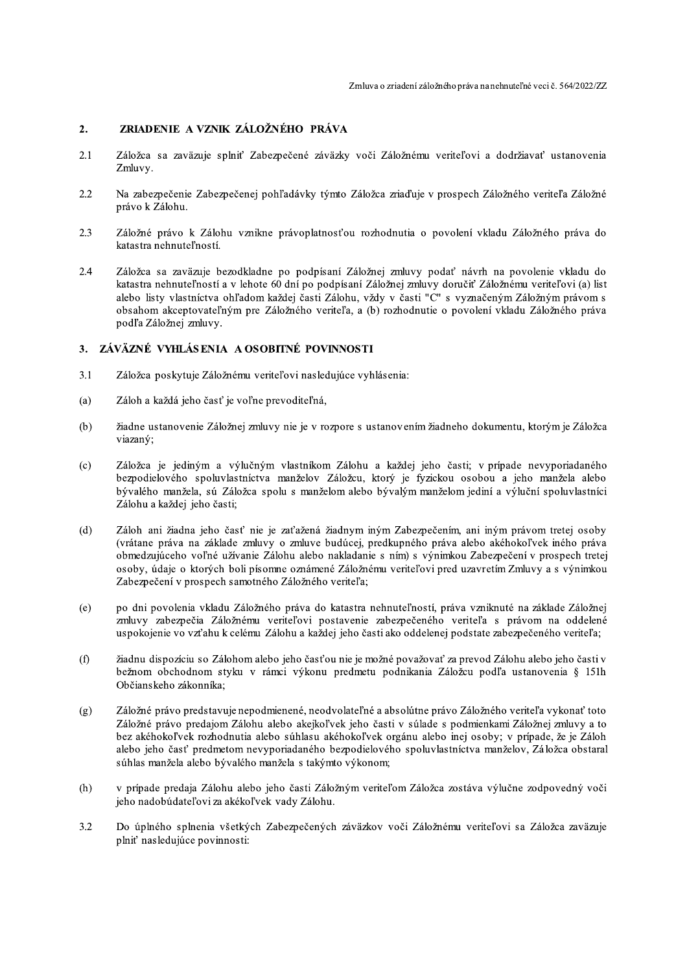#### ZRIADENIE A VZNIK ZÁLOŽNÉHO PRÁVA  $2.$

- 2.1 Záložca sa zaväzuje splniť Zabezpečené záväzky voči Záložnému veriteľovi a dodržiavať ustanovenia Zmluvy.
- 2.2 Na zabezpečenie Zabezpečenej pohľadávky týmto Záložca zriaďuje v prospech Záložného veriteľa Záložné právo k Zálohu.
- Záložné právo k Zálohu vznikne právoplatnosťou rozhodnutia o povolení vkladu Záložného práva do 2.3 katastra nehnuteľností.
- Záložca sa zaväzuje bezodkladne po podpísaní Záložnej zmluvy podať návrh na povolenie vkladu do 2.4 katastra nehnuteľností a v lehote 60 dní po podpísaní Záložnej zmluvy doručiť Záložnému veriteľovi (a) list alebo listy vlastníctva ohľadom každej časti Zálohu, vždy v časti "C" s vyznačeným Záložným právom s obsahom akceptovateľným pre Záložného veriteľa, a (b) rozhodnutie o povolení vkladu Záložného práva podľa Záložnej zmluvy.

## 3. ZÁVÄZNÉ VYHLÁSENIA A OSOBITNÉ POVINNOSTI

- $3.1$ Záložca poskytuje Záložnému veriteľovi nasledujúce vyhlásenia:
- Záloh a každá jeho časť je voľne prevoditeľná,  $(a)$
- $(b)$ žiadne ustanovenie Záložnej zmluvy nie je v rozpore s ustanovením žiadneho dokumentu, ktorým je Záložca viazaný;
- Záložca je jediným a výlučným vlastníkom Zálohu a každej jeho časti; v prípade nevyporiadaného  $(c)$ bezpodielového spoluvlastníctva manželov Záložcu, ktorý je fyzickou osobou a jeho manžela alebo bývalého manžela, sú Záložca spolu s manželom alebo bývalým manželom jediní a výluční spoluvlastníci Zálohu a každej jeho časti;
- $(d)$ Záloh ani žiadna jeho časť nie je zaťažená žiadnym iným Zabezpečením, ani iným právom tretej osoby (vrátane práva na základe zmluvy o zmluve budúcej, predkupného práva alebo akéhokoľvek iného práva obmedzujúceho voľné užívanie Zálohu alebo nakladanie s ním) s výnimkou Zabezpečení v prospech tretej osoby, údaje o ktorých boli písomne oznámené Záložnému veriteľovi pred uzavretím Zmluvy a s výnimkou Zabezpečení v prospech samotného Záložného veriteľa;
- po dni povolenia vkladu Záložného práva do katastra nehnuteľností, práva vzniknuté na základe Záložnej  $(e)$ zmluvy zabezpečia Záložnému veriteľovi postavenie zabezpečeného veriteľa s právom na oddelené uspokojenie vo vzťahu k celému Zálohu a každej jeho časti ako oddelenej podstate zabezpečeného veriteľa;
- žiadnu dispozíciu so Zálohom alebo jeho časťou nie je možné považovať za prevod Zálohu alebo jeho časti v  $(f)$ bežnom obchodnom styku v rámci výkonu predmetu podnikania Záložcu podľa ustanovenia § 151h Občianskeho zákonníka;
- Záložné právo predstavuje nepodmienené, neodvolateľné a absolútne právo Záložného veriteľa vykonať toto  $(g)$ Záložné právo predajom Zálohu alebo akejkoľvek jeho časti v súlade s podmienkami Záložnej zmluvy a to bez akéhokoľvek rozhodnutia alebo súhlasu akéhokoľvek orgánu alebo inej osoby; v prípade, že je Záloh alebo jeho časť predmetom nevyporiadaného bezpodielového spoluvlastníctva manželov, Záložca obstaral súhlas manžela alebo bývalého manžela s takýmto výkonom;
- $(h)$ v prípade predaja Zálohu alebo jeho časti Záložným veriteľom Záložca zostáva výlučne zodpovedný voči jeho nadobúdateľovi za akékoľvek vady Zálohu.
- $3.2$ Do úplného splnenia všetkých Zabezpečených záväzkov voči Záložnému veriteľovi sa Záložca zaväzuje plniť nasledujúce povinnosti: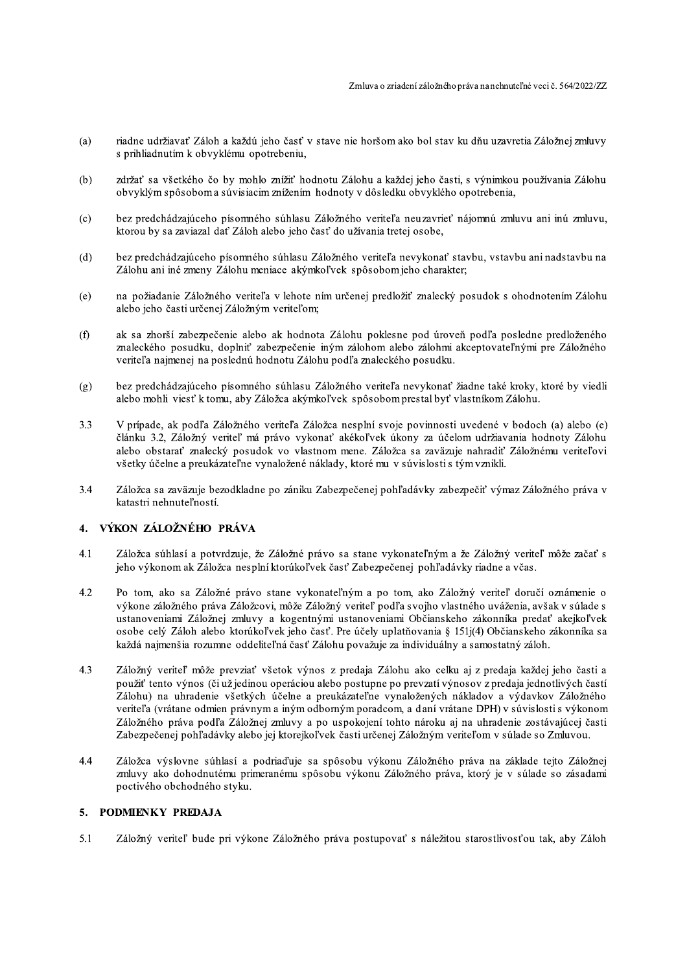- riadne udržiavať Záloh a každú jeho časť v stave nie horšom ako bol stav ku dňu uzavretia Záložnej zmluvy (a) s prihliadnutím k obvyklému opotrebeniu,
- zdržať sa všetkého čo by mohlo znížiť hodnotu Zálohu a každej jeho časti, s výnimkou používania Zálohu  $(b)$ obvyklým spôsobom a súvisiacim znížením hodnoty v dôsledku obvyklého opotrebenia,
- bez predchádzajúceho písomného súhlasu Záložného veriteľa neuzavrieť nájomnú zmluvu ani inú zmluvu,  $(c)$ ktorou by sa zaviazal dať Záloh alebo jeho časť do užívania tretej osobe,
- $(d)$ bez predchádzajúceho písomného súhlasu Záložného veriteľa nevykonať stavbu, vstavbu ani nadstavbu na Zálohu ani iné zmeny Zálohu meniace akýmkoľvek spôsobom jeho charakter;
- na požiadanie Záložného veriteľa v lehote ním určenej predložiť znalecký posudok s ohodnotením Zálohu  $(e)$ alebo jeho časti určenej Záložným veriteľom;
- ak sa zhorší zabezpečenie alebo ak hodnota Zálohu poklesne pod úroveň podľa posledne predloženého  $(f)$ znaleckého posudku, doplniť zabezpečenie iným zálohom alebo zálohmi akceptovateľnými pre Záložného veriteľa najmenej na poslednú hodnotu Zálohu podľa znaleckého posudku.
- bez predchádzajúceho písomného súhlasu Záložného veriteľa nevykonať žiadne také kroky, ktoré by viedli  $(g)$ alebo mohli viesť k tomu, aby Záložca akýmkoľvek spôsobom prestal byť vlastníkom Zálohu.
- $3.3$ V prípade, ak podľa Záložného veriteľa Záložca nesplní svoje povinnosti uvedené v bodoch (a) alebo (e) článku 3.2. Záložný veriteľ má právo vykonať akékoľvek úkony za účelom udržiavania hodnoty Zálohu alebo obstarať znalecký posudok vo vlastnom mene. Záložca sa zaväzuje nahradiť Záložnému veriteľovi všetky účelne a preukázateľne vynaložené náklady, ktoré mu v súvislosti s tým vznikli.
- Záložca sa zaväzuje bezodkladne po zániku Zabezpečenej pohľadávky zabezpečiť výmaz Záložného práva v  $3.4$ katastri nehnuteľností.

#### VÝKON ZÁLOŽNÉHO PRÁVA  $\mathbf{A}$

- $4.1$ Záložca súhlasí a potvrdzuje, že Záložné právo sa stane vykonateľným a že Záložný veriteľ môže začať s jeho výkonom ak Záložca nesplní ktorúkoľvek časť Zabezpečenej pohľadávky riadne a včas.
- 4.2 Po tom, ako sa Záložné právo stane vykonateľným a po tom, ako Záložný veriteľ doručí oznámenie o výkone záložného práva Záložcovi, môže Záložný veriteľ podľa svojho vlastného uváženia, avšak v súlade s ustanoveniami Záložnej zmluvy a kogentnými ustanoveniami Občianskeho zákonníka predať akejkoľvek osobe celý Záloh alebo ktorúkoľvek jeho časť. Pre účely uplatňovania § 151j(4) Občianskeho zákonníka sa každá najmenšia rozumne oddeliteľná časť Zálohu považuje za individuálny a samostatný záloh.
- 4.3 Záložný veriteľ môže prevziať všetok výnos z predaja Zálohu ako celku aj z predaja každej jeho časti a použiť tento výnos (či už jedinou operáciou alebo postupne po prevzatí výnosov z predaja jednotlivých častí Zálohu) na uhradenie všetkých účelne a preukázateľne vynaložených nákladov a výdavkov Záložného veriteľa (vrátane odmien právnym a iným odborným poradcom, a daní vrátane DPH) v súvislosti s výkonom Záložného práva podľa Záložnej zmluvy a po uspokojení tohto nároku aj na uhradenie zostávajúcej časti Zabezpečenej pohľadávky alebo jej ktorejkoľvek časti určenej Záložným veriteľom v súlade so Zmluvou.
- $4.4$ Záložca výslovne súhlasí a podriaďuje sa spôsobu výkonu Záložného práva na základe tejto Záložnej zmluvy ako dohodnutému primeranému spôsobu výkonu Záložného práva, ktorý je v súlade so zásadami poctivého obchodného styku.

#### 5. PODMIENKY PREDAJA

5.1 Záložný veriteľ bude pri výkone Záložného práva postupovať s náležitou starostlivosťou tak, aby Záloh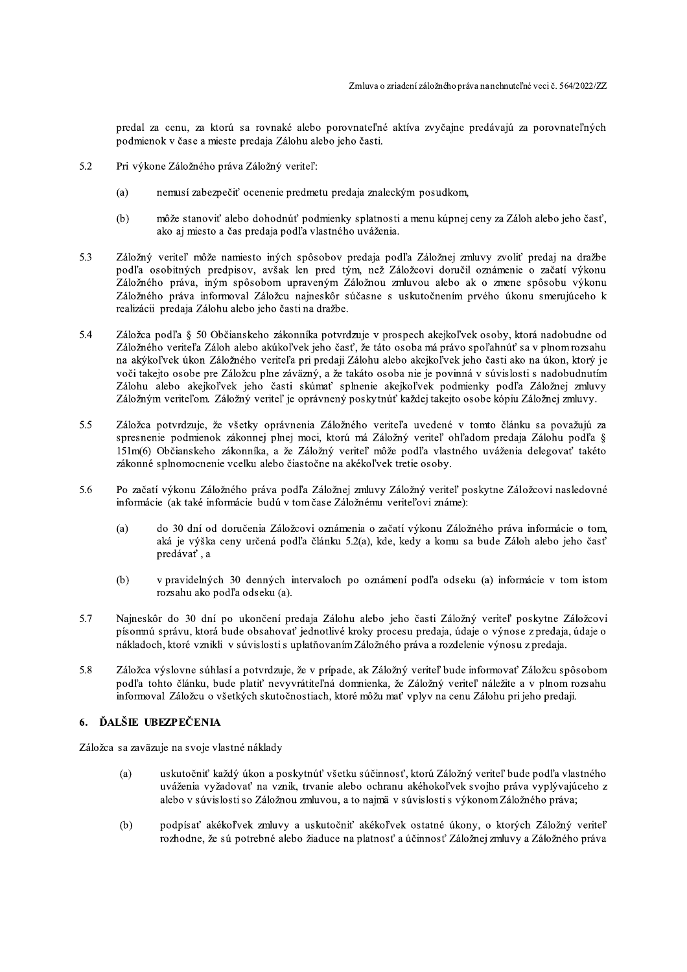predal za cenu, za ktorú sa rovnaké alebo porovnateľné aktíva zvyčajne predávajú za porovnateľných podmienok v čase a mieste predaja Zálohu alebo jeho časti.

- 5.2 Pri výkone Záložného práva Záložný veriteľ:
	- nemusí zabezpečiť ocenenie predmetu predaja znaleckým posudkom,  $(a)$
	- môže stanoviť alebo dohodnúť podmienky splatnosti a menu kúpnej ceny za Záloh alebo jeho časť,  $(b)$ ako aj miesto a čas predaja podľa vlastného uváženia.
- 5.3 Záložný veriteľ môže namiesto iných spôsobov predaja podľa Záložnej zmluvy zvoliť predaj na dražbe podľa osobitných predpisov, avšak len pred tým, než Záložcovi doručil oznámenie o začatí výkonu Záložného práva, iným spôsobom upraveným Záložnou zmluvou alebo ak o zmene spôsobu výkonu Záložného práva informoval Záložcu najneskôr súčasne s uskutočnením prvého úkonu smerujúceho k realizácii predaja Zálohu alebo jeho časti na dražbe.
- Záložca podľa § 50 Občianskeho zákonníka potvrdzuje v prospech akejkoľvek osoby, ktorá nadobudne od 5.4 Záložného veriteľa Záloh alebo akúkoľvek jeho časť, že táto osoba má právo spoľahnúť sa v plnom rozsahu na akýkoľvek úkon Záložného veriteľa pri predaji Zálohu alebo akejkoľvek jeho časti ako na úkon, ktorý je voči takejto osobe pre Záložcu plne záväzný, a že takáto osoba nie je povinná v súvislosti s nadobudnutím Zálohu alebo akejkoľvek jeho časti skúmať splnenie akejkoľvek podmienky podľa Záložnej zmluvy Záložným veriteľom. Záložný veriteľ je oprávnený poskytnúť každej takejto osobe kópiu Záložnej zmluvy.
- $5.5$ Záložca potvrdzuje, že všetky oprávnenia Záložného veriteľa uvedené v tomto článku sa považujú za spresnenie podmienok zákonnej plnej moci, ktorú má Záložný veriteľ ohľadom predaja Zálohu podľa § 151m(6) Občianskeho zákonníka, a že Záložný veriteľ môže podľa vlastného uváženia delegovať takéto zákonné splnomocnenie vcelku alebo čiastočne na akékoľvek tretie osoby.
- Po začatí výkonu Záložného práva podľa Záložnej zmluvy Záložný veriteľ poskytne Záložcovi nasledovné 5.6 informácie (ak také informácie budú v tom čase Záložnému veriteľovi známe):
	- do 30 dní od doručenia Záložcovi oznámenia o začatí výkonu Záložného práva informácie o tom.  $(a)$ aká je výška ceny určená podľa článku 5.2(a), kde, kedy a komu sa bude Záloh alebo jeho časť predávať, a
	- $(b)$ v pravidelných 30 denných intervaloch po oznámení podľa odseku (a) informácie v tom istom rozsahu ako podľa odseku (a).
- 5.7 Najneskôr do 30 dní po ukončení predaja Zálohu alebo jeho časti Záložný veriteľ poskytne Záložcovi písomnú správu, ktorá bude obsahovať jednotlivé kroky procesu predaja, údaje o výnose z predaja, údaje o nákladoch, ktoré vznikli v súvislosti s uplatňovaním Záložného práva a rozdelenie výnosu z predaja.
- 5.8 Záložca výslovne súhlasí a potvrdzuje, že v prípade, ak Záložný veriteľ bude informovať Záložcu spôsobom podľa tohto článku, bude platiť nevyvrátiteľná domnienka, že Záložný veriteľ náležite a v plnom rozsahu informoval Záložcu o všetkých skutočnostiach, ktoré môžu mať vplyv na cenu Zálohu pri jeho predaji.

## 6. ĎALŠIE UBEZPEČENIA

Záložca sa zaväzuje na svoje vlastné náklady

- $(a)$ uskutočniť každý úkon a poskytnúť všetku súčinnosť, ktorú Záložný veriteľ bude podľa vlastného uváženia vyžadovať na vznik, trvanie alebo ochranu akéhokoľvek svojho práva vyplývajúceho z alebo v súvislosti so Záložnou zmluvou, a to najmä v súvislosti s výkonom Záložného práva;
- $(b)$ podpísať akékoľvek zmluvy a uskutočniť akékoľvek ostatné úkony, o ktorých Záložný veriteľ rozhodne, že sú potrebné alebo žiaduce na platnosť a účinnosť Záložnej zmluvy a Záložného práva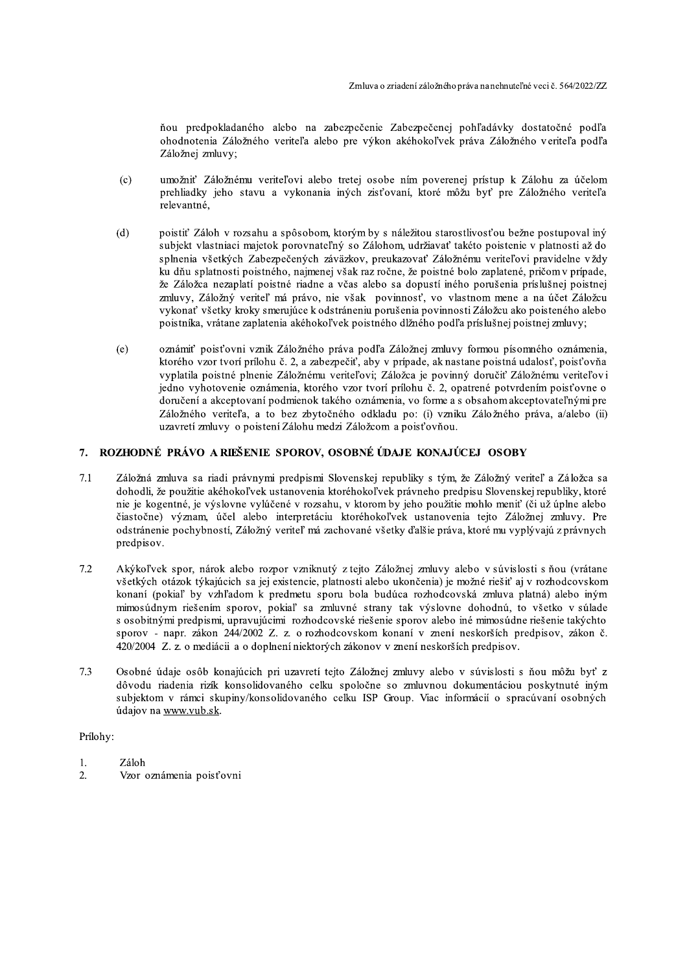ňou predpokladaného alebo na zabezpečenie Zabezpečenej pohľadávky dostatočné podľa ohodnotenia Záložného veriteľa alebo pre výkon akéhokoľvek práva Záložného veriteľa podľa Záložnej zmluvy;

- umožniť Záložnému veriteľovi alebo tretej osobe ním poverenej prístup k Zálohu za účelom  $(c)$ prehliadky jeho stavu a vykonania iných zisťovaní, ktoré môžu byť pre Záložného veriteľa relevantné.
- $(d)$ poistiť Záloh v rozsahu a spôsobom, ktorým by s náležitou starostlivosťou bežne postupoval iný subjekt vlastniaci majetok porovnateľný so Zálohom, udržiavať takéto poistenie v platnosti až do splnenia všetkých Zabezpečených záväzkov, preukazovať Záložnému veriteľovi pravidelne vždy ku dňu splatnosti poistného, najmenej však raz ročne, že poistné bolo zaplatené, pričom v prípade, že Záložca nezaplatí poistné riadne a včas alebo sa dopustí iného porušenia príslušnej poistnej zmluvy, Záložný veriteľ má právo, nie však povinnosť, vo vlastnom mene a na účet Záložcu vykonať všetky kroky smerujúce k odstráneniu porušenia povinnosti Záložcu ako poisteného alebo poistníka, vrátane zaplatenia akéhokoľvek poistného dĺžného podľa príslušnej poistnej zmluvy;
- oznámiť poisťovni vznik Záložného práva podľa Záložnej zmluvy formou písomného oznámenia,  $(e)$ ktorého vzor tvorí prílohu č. 2, a zabezpečiť, aby v prípade, ak nastane poistná udalosť, poisťovňa vyplatila poistné plnenie Záložnému veriteľovi; Záložca je povinný doručiť Záložnému veriteľovi jedno vyhotovenie oznámenia, ktorého vzor tvorí prílohu č. 2, opatrené potvrdením poisťovne o doručení a akceptovaní podmienok takého oznámenia, vo forme a s obsahom akceptovateľnými pre Záložného veriteľa, a to bez zbytočného odkladu po: (i) vzniku Záložného práva, a/alebo (ii) uzavretí zmluvy o poistení Zálohu medzi Záložcom a poisťovňou.

#### ROZHODNÉ PRÁVO A RIEŠENIE SPOROV, OSOBNÉ ÚDAJE KONAJÚCEJ OSOBY 7.

- Záložná zmluva sa riadi právnymi predpismi Slovenskej republiky s tým, že Záložný veriteľ a Záložca sa  $7.1$ dohodli, že použitie akéhokoľvek ustanovenia ktoréhokoľvek právneho predpisu Slovenskej republiky, ktoré nie je kogentné, je výslovne vylúčené v rozsahu, v ktorom by jeho použitie mohlo meniť (či už úplne alebo čiastočne) význam, účel alebo interpretáciu ktoréhokoľvek ustanovenia tejto Záložnej zmluvy. Pre odstránenie pochybností, Záložný veriteľ má zachované všetky ďalšie práva, ktoré mu vyplývajú z právnych predpisov.
- Akýkoľvek spor, nárok alebo rozpor vzniknutý z tejto Záložnej zmluvy alebo v súvislosti s ňou (vrátane  $7.2$ všetkých otázok týkajúcich sa jej existencie, platnosti alebo ukončenia) je možné riešiť aj v rozhodcovskom konaní (pokiaľ by vzhľadom k predmetu sporu bola budúca rozhodcovská zmluva platná) alebo iným mimosúdnym riešením sporov, pokiaľ sa zmluvné strany tak výslovne dohodnú, to všetko v súlade s osobitnými predpismi, upravujúcimi rozhodcovské riešenie sporov alebo iné mimosúdne riešenie takýchto sporov - napr. zákon 244/2002 Z. z. o rozhodcovskom konaní v znení neskorších predpisov, zákon č. 420/2004 Z. z. o mediácii a o doplnení niektorých zákonov v znení neskorších predpisov.
- $7.3$ Osobné údaje osôb konajúcich pri uzavretí tejto Záložnej zmluvy alebo v súvislosti s ňou môžu byť z dôvodu riadenia rizík konsolidovaného celku spoločne so zmluvnou dokumentáciou poskytnuté iným subjektom v rámci skupiny/konsolidovaného celku ISP Group. Viac informácií o spracúvaní osobných údajov na www.vub.sk.

Prílohy:

- $\mathbf{1}$ . Záloh
- $\overline{2}$ . Vzor oznámenia poisťovni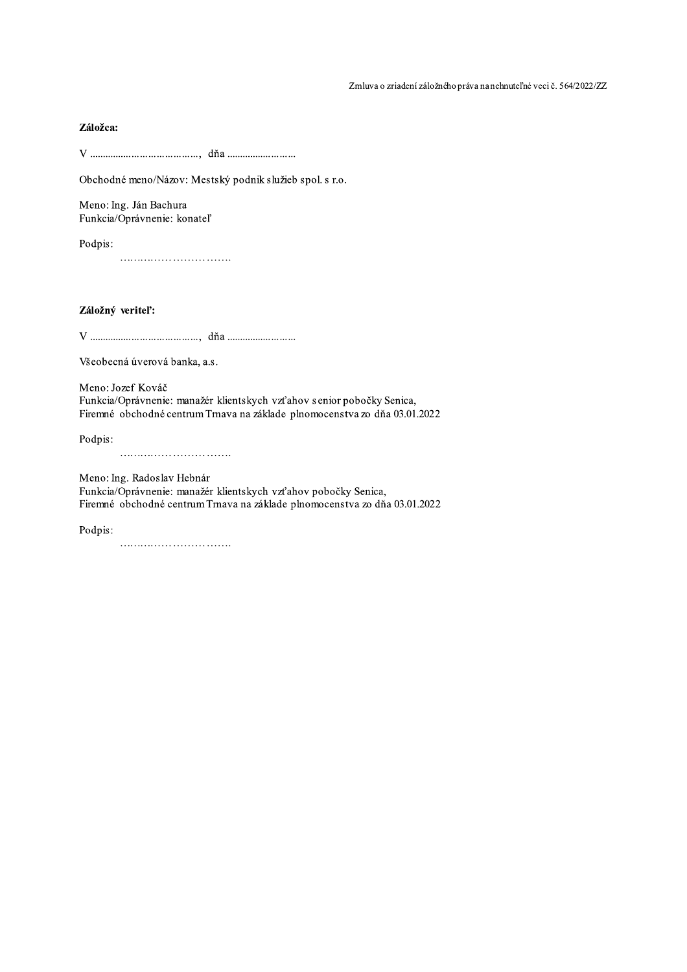## Záložca:

Obchodné meno/Názov: Mestský podnik služieb spol. s r.o.

Meno: Ing. Ján Bachura Funkcia/Oprávnenie: konateľ

Podpis: 

Záložný veriteľ:

Všeobecná úverová banka, a.s.

Meno: Jozef Kováč Funkcia/Oprávnenie: manažér klientskych vzťahov senior pobočky Senica, Firemné obchodné centrum Trnava na základe plnomocenstva zo dňa 03.01.2022

Podpis:

Meno: Ing. Radoslav Hebnár

Funkcia/Oprávnenie: manažér klientskych vzťahov pobočky Senica, Firemné obchodné centrum Trnava na základe plnomocenstva zo dňa 03.01.2022

Podpis: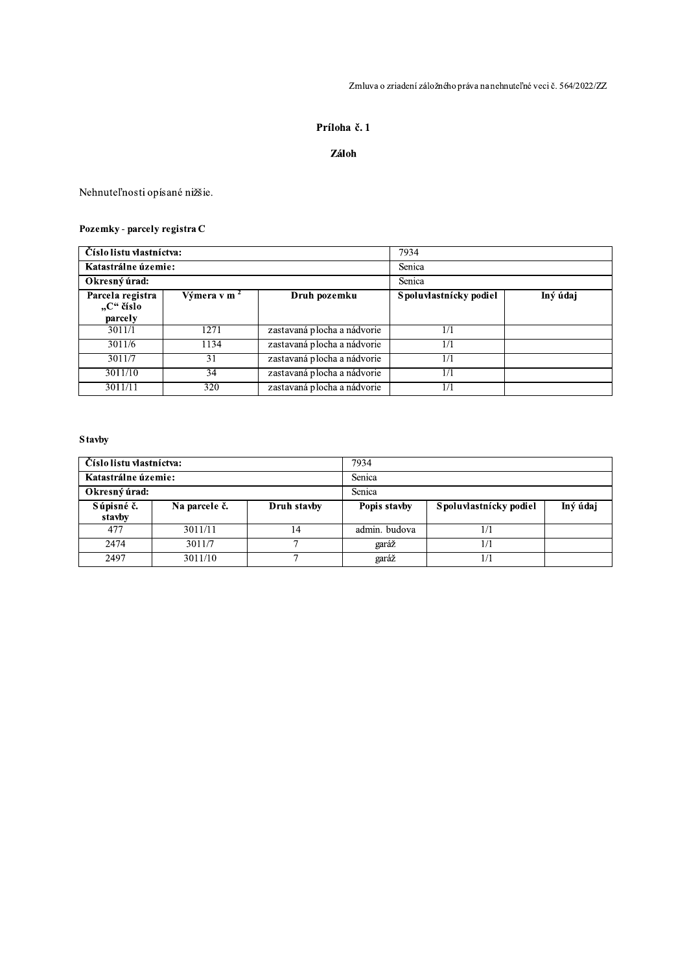Zmluva o zriadení záložného práva na nehnuteľné veci č. 564/2022/ZZ

## Príloha č. 1

## Záloh

Nehnuteľnosti opísané nižšie.

## Pozemky - parcely registra C

| Číslo listu vlastníctva:                 |                         | 7934                        |                        |          |  |
|------------------------------------------|-------------------------|-----------------------------|------------------------|----------|--|
| Katastrálne územie:                      |                         |                             | Senica                 |          |  |
| Okresný úrad:                            |                         |                             | Senica                 |          |  |
| Parcela registra<br>"C" číslo<br>parcely | Výmera v m <sup>2</sup> | Druh pozemku                | Spoluvlastnícky podiel | Iný údaj |  |
| 3011/1                                   | 1271                    | zastavaná plocha a nádvorie |                        |          |  |
| 3011/6                                   | 1134                    | zastavaná plocha a nádvorie | 1/1                    |          |  |
| 3011/7                                   | 31                      | zastavaná plocha a nádvorie | 171                    |          |  |
| 3011/10                                  | 34                      | zastavaná plocha a nádvorie | 1/1                    |          |  |
| 3011/11                                  | 320                     | zastavaná plocha a nádvorie | 1/1                    |          |  |

## **Stavby**

| Číslo listu vlastníctva: |               |             | 7934          |                        |          |
|--------------------------|---------------|-------------|---------------|------------------------|----------|
| Katastrálne územie:      |               |             | Senica        |                        |          |
| Okresný úrad:            |               |             | Senica        |                        |          |
| Súpisné č.<br>stavby     | Na parcele č. | Druh stavby | Popis stavby  | Spoluvlastnícky podiel | Iný údaj |
| 477                      | 3011/11       | 14          | admin. budova |                        |          |
|                          |               |             |               |                        |          |
| 2474                     | 3011/7        |             | garáž         |                        |          |
| 2497                     | 3011/10       |             | garáž         |                        |          |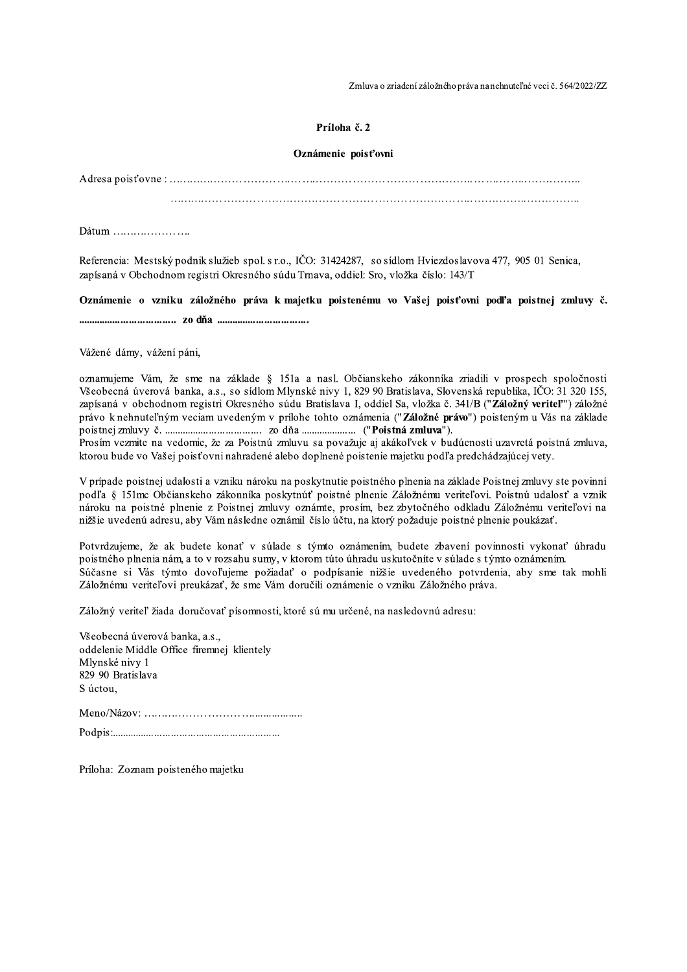Zmluva o zriadení záložného práva na nehnuteľné veci č. 564/2022/ZZ

### Príloha č. 2

#### Oznámenie poisťovni

Dátum .....................

Referencia: Mestský podnik služieb spol. s r.o., IČO: 31424287, so sídlom Hviezdoslavova 477, 905 01 Senica, zapísaná v Obchodnom registri Okresného súdu Trnava, oddiel: Sro, vložka číslo: 143/T

Oznámenie o vzniku záložného práva k majetku poistenému vo Vašej poisťovni podľa poistnej zmluvy č. 

Vážené dámy, vážení páni,

oznamujeme Vám, že sme na základe § 151a a nasl. Občianskeho zákonníka zriadili v prospech spoločnosti Všeobecná úverová banka, a.s., so sídlom Mlynské nivy 1, 829 90 Bratislava, Slovenská republika, IČO: 31 320 155, zapísaná v obchodnom registri Okresného súdu Bratislava I, oddiel Sa, vložka č. 341/B ("Záložný veriteľ") záložné právo k nehnuteľným veciam uvedeným v prílohe tohto oznámenia ("Záložné právo") poisteným u Vás na základe 

Prosím vezmite na vedomie, že za Poistnú zmluvu sa považuje aj akákoľvek v budúcnosti uzavretá poistná zmluva, ktorou bude vo Vašej poisťovni nahradené alebo doplnené poistenie majetku podľa predchádzajúcej vety.

V prípade poistnej udalosti a vzniku nároku na poskytnutie poistného plnenia na základe Poistnej zmluvy ste povinní podľa § 151mc Občianskeho zákonníka poskytnúť poistné plnenie Záložnému veriteľovi. Poistnú udalosť a vznik nároku na poistné plnenie z Poistnej zmluvy oznámte, prosím, bez zbytočného odkladu Záložnému veriteľovi na nižšie uvedenú adresu, aby Vám následne oznámil číslo účtu, na ktorý požaduje poistné plnenie poukázať.

Potvrdzujeme, že ak budete konať v súlade s týmto oznámením, budete zbavení povinnosti vykonať úhradu poistného plnenia nám, a to v rozsahu sumy, v ktorom túto úhradu uskutočníte v súlade s týmto oznámením. Súčasne si Vás týmto dovoľujeme požiadať o podpísanie nižšie uvedeného potvrdenia, aby sme tak mohli Záložnému veriteľovi preukázať, že sme Vám doručili oznámenie o vzniku Záložného práva.

Záložný veriteľ žiada doručovať písomnosti, ktoré sú mu určené, na nasledovnú adresu:

Všeobecná úverová banka, a.s., oddelenie Middle Office firemnej klientely Mlvnské nivy 1 829 90 Bratislava S úctou. 

Príloha: Zoznam poisteného majetku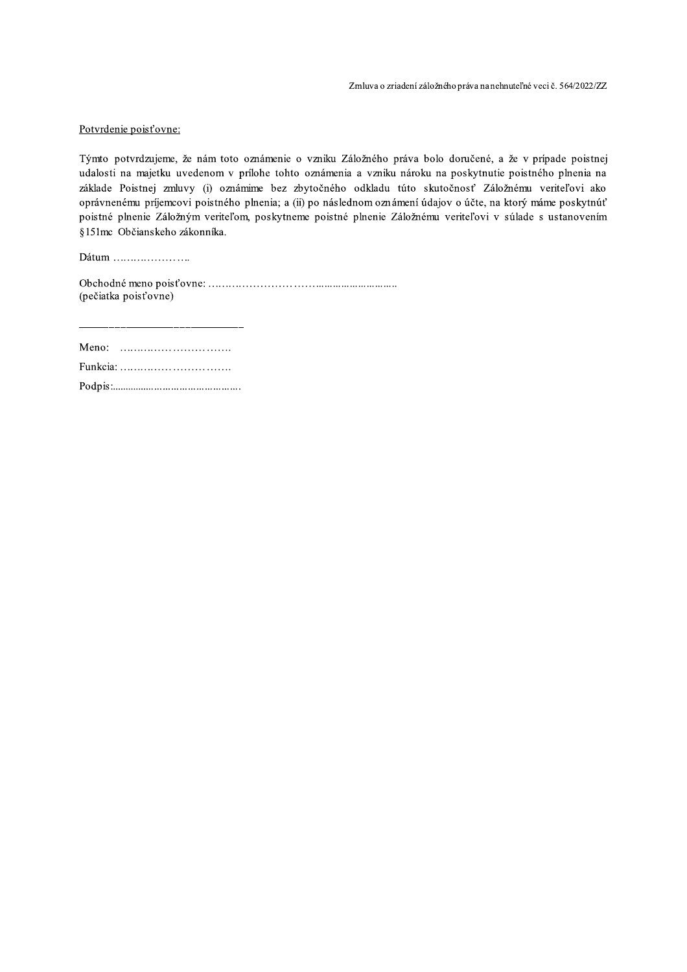## Potyrdenie poisťovne:

Potvrdenie poisťovne:<br>Týmto potvrdzujeme, že nám toto oznámenie<br>udalosti na majetku uvedenom v prílohe toht<br>základe Poistnej zmluvy (i) oznámime bez<br>oprávnenému príjemcovi poistného plnenia; a (<br>poistné plnenie Záložným ve e o vzniku Záložného práva bolo doručené, a že v prípade poist Zmluva o zriadení záložného práva nanehnuteľné veci č. 5642022/ZZ<br>
Potvrdenie poisťovne:<br>
Týmto potvrdzujeme, že nám toto oznámenie o vzniku Záložného práva bolo doručené, a že v prípade poistnej<br>
udalosti na majetku uvede ohe tohto oznámenia a vzniku nároku na poskytnutie poistného plnenia na základe Poistnei zmluvy (i) oznámime bez zbytočného odkladu túto skutočnosť Záložnému veriteľovi a Potvrdenie poisťovne:<br>
Týmto potvrdzujeme, že nám toto ozná<br>
udalosti na majetku uvedenom v prílok<br>
základe Poistnej zmluvy (i) oznámime<br>
oprávnenému príjemcovi poistného plne<br>
poistné plnenie Záložným veriteľom, po<br>
§151m Potvrdenie poisťovne:<br>
Týmto potvrdzujeme, že nám toto oznámenie o vzniku Záložného práva bolo doručené, a že v prípade poistnej<br>
udalosti na majetku uvedenom v prílohe tohto oznámenia a vzniku nároku na poskytnutie poistn poistného plnenia: a (ii) po násled Potvrdenie poisťovne:<br>Týmto potvrdzujeme, že nám toto oznámenie o vzniku Záložného práva bolo doručené, a že v prípade poistnej<br>udalosti na majetku uvedenom v prílohe tohto oznámenia a vzniku nároku na poskytnutie poistnéh stné plnenie Záložným veriteľom, poskytneme poistné plnenie Záložnému veriteľovi v súlade s ustanovením §151 mc Občianskeho zákonníka. Ť.

 $\textsf{Dátum}\,\dots\dots\dots\dots\dots\dots\dots$ 

>\*
 "#
\$@@@@@@@@@@AAAAAAAAAAAAAAAAAAAAAAAAAAAAA  $(nečiatka poist'ovne)$ 

C63/D@@@@@@@@@@ Funkcia: ................................... H/,I20DAAAAAAAAAAAAAAAAAAAAAAAAAAAAAAAAAAAAAAAAAAAAAAA